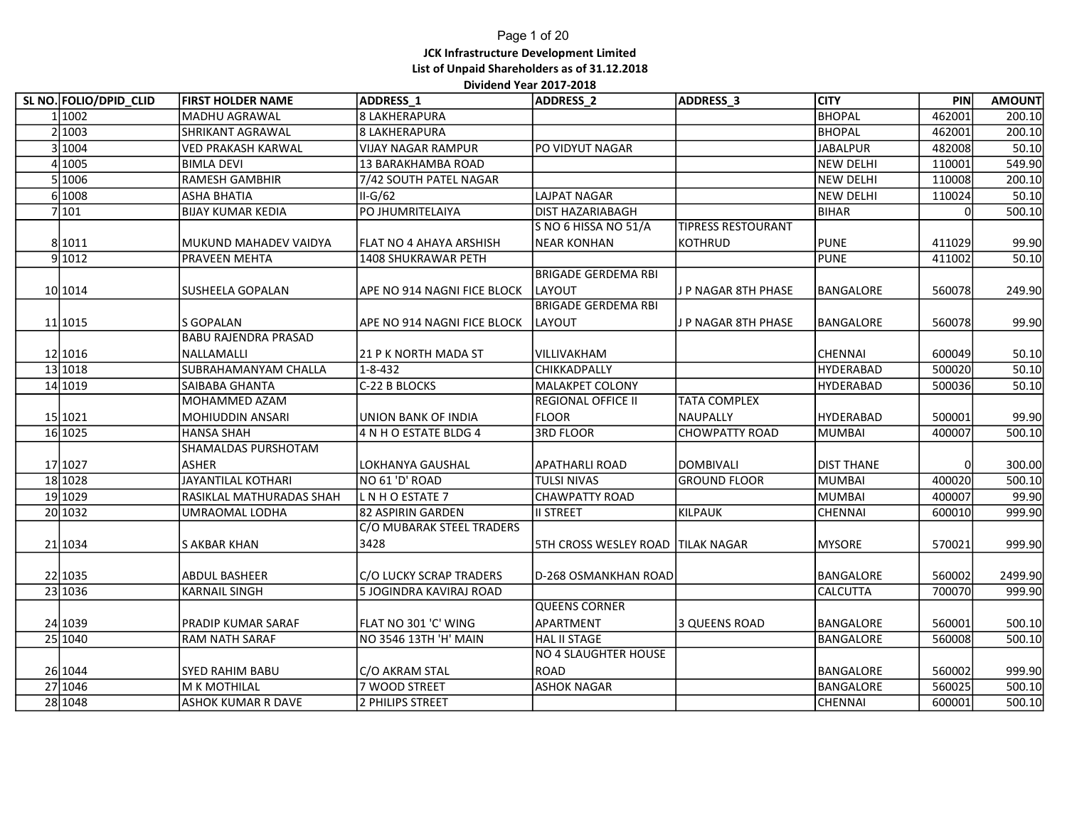### Page 1 of 20 JCK Infrastructure Development Limited List of Unpaid Shareholders as of 31.12.2018 Dividend Year 2017-2018

|                        |                             | <b>JCK Infrastructure Development Limited</b> | List of Unpaid Shareholders as of 31.12.2018 |                       |                   |        |               |
|------------------------|-----------------------------|-----------------------------------------------|----------------------------------------------|-----------------------|-------------------|--------|---------------|
|                        |                             |                                               |                                              |                       |                   |        |               |
|                        |                             |                                               | Dividend Year 2017-2018                      |                       |                   |        |               |
| SL NO. FOLIO/DPID_CLID | <b>FIRST HOLDER NAME</b>    | ADDRESS_1                                     | ADDRESS_2                                    | ADDRESS_3             | <b>CITY</b>       | PIN    | <b>AMOUNT</b> |
| 1 1002                 | <b>MADHU AGRAWAL</b>        | 8 LAKHERAPURA                                 |                                              |                       | <b>BHOPAL</b>     | 462001 | 200.10        |
| 2 1003                 | SHRIKANT AGRAWAL            | 8 LAKHERAPURA                                 |                                              |                       | BHOPAL            | 462001 | 200.10        |
| 3 1004                 | VED PRAKASH KARWAL          | <b>VIJAY NAGAR RAMPUR</b>                     | PO VIDYUT NAGAR                              |                       | <b>JABALPUR</b>   | 482008 | 50.10         |
| 4 1005                 | <b>BIMLA DEVI</b>           | 13 BARAKHAMBA ROAD                            |                                              |                       | <b>NEW DELHI</b>  | 110001 | 549.90        |
| 5 1006                 | <b>RAMESH GAMBHIR</b>       | 7/42 SOUTH PATEL NAGAR                        |                                              |                       | <b>NEW DELHI</b>  | 110008 | 200.10        |
| 6 1008                 | <b>ASHA BHATIA</b>          | $II-G/62$                                     | LAJPAT NAGAR                                 |                       | <b>NEW DELHI</b>  | 110024 | 50.10         |
| 7 101                  | <b>BIJAY KUMAR KEDIA</b>    | PO JHUMRITELAIYA                              | DIST HAZARIABAGH                             |                       | <b>BIHAR</b>      |        | 500.10        |
|                        |                             |                                               | S NO 6 HISSA NO 51/A                         | TIPRESS RESTOURANT    |                   |        |               |
| 8 1011                 | MUKUND MAHADEV VAIDYA       | FLAT NO 4 AHAYA ARSHISH                       | <b>NEAR KONHAN</b>                           | KOTHRUD               | <b>PUNE</b>       | 411029 | 99.90         |
| 9 1012                 | PRAVEEN MEHTA               | 1408 SHUKRAWAR PETH                           |                                              |                       | <b>PUNE</b>       | 411002 | 50.10         |
|                        |                             |                                               | <b>BRIGADE GERDEMA RBI</b>                   |                       |                   |        |               |
| 10 10 14               | <b>SUSHEELA GOPALAN</b>     | APE NO 914 NAGNI FICE BLOCK                   | LAYOUT                                       | J P NAGAR 8TH PHASE   | BANGALORE         | 560078 | 249.90        |
|                        |                             |                                               | <b>BRIGADE GERDEMA RBI</b>                   |                       |                   |        |               |
| 11 1015                | S GOPALAN                   | APE NO 914 NAGNI FICE BLOCK                   | <b>LAYOUT</b>                                | J P NAGAR 8TH PHASE   | BANGALORE         | 560078 | 99.90         |
|                        | <b>BABU RAJENDRA PRASAD</b> |                                               |                                              |                       |                   |        |               |
| 12 1016                | NALLAMALLI                  | 21 P K NORTH MADA ST                          | VILLIVAKHAM                                  |                       | CHENNAI           | 600049 | 50.10         |
| 13 1018                | <b>SUBRAHAMANYAM CHALLA</b> | $1 - 8 - 432$                                 | <b>CHIKKADPALLY</b>                          |                       | <b>HYDERABAD</b>  | 500020 | 50.10         |
| 14 1019                | SAIBABA GHANTA              | C-22 B BLOCKS                                 | MALAKPET COLONY                              |                       | HYDERABAD         | 500036 | 50.10         |
|                        | MOHAMMED AZAM               |                                               | REGIONAL OFFICE II                           | TATA COMPLEX          |                   |        |               |
| 15 1021                | MOHIUDDIN ANSARI            | <b>UNION BANK OF INDIA</b>                    | <b>FLOOR</b>                                 | <b>NAUPALLY</b>       | HYDERABAD         | 500001 | 99.90         |
| 16 1025                | <b>HANSA SHAH</b>           | 4 N H O ESTATE BLDG 4                         | 3RD FLOOR                                    | <b>CHOWPATTY ROAD</b> | MUMBAI            | 400007 | 500.10        |
|                        | SHAMALDAS PURSHOTAM         |                                               |                                              |                       |                   |        |               |
| 17 1027                | <b>ASHER</b>                | LOKHANYA GAUSHAL                              | <b>APATHARLI ROAD</b>                        | <b>DOMBIVALI</b>      | <b>DIST THANE</b> |        | 300.00        |
| 18 1028                | <b>JAYANTILAL KOTHARI</b>   | NO 61 'D' ROAD                                | <b>TULSI NIVAS</b>                           | <b>GROUND FLOOR</b>   | MUMBAI            | 400020 | 500.10        |
| 19 1029                | RASIKLAL MATHURADAS SHAH    | L N H O ESTATE 7                              | <b>CHAWPATTY ROAD</b>                        |                       | <b>MUMBAI</b>     | 400007 | 99.90         |
| 20 1032                | UMRAOMAL LODHA              | 82 ASPIRIN GARDEN                             | <b>II STREET</b>                             | KILPAUK               | CHENNAI           | 600010 | 999.90        |
|                        |                             | C/O MUBARAK STEEL TRADERS                     |                                              |                       |                   |        |               |
| 21 1034                | <b>S AKBAR KHAN</b>         | 3428                                          | <b>STH CROSS WESLEY ROAD TILAK NAGAR</b>     |                       | <b>MYSORE</b>     | 570021 | 999.90        |
|                        |                             |                                               |                                              |                       |                   |        |               |
| 22 1035                | ABDUL BASHEER               | C/O LUCKY SCRAP TRADERS                       | D-268 OSMANKHAN ROAD                         |                       | BANGALORE         | 560002 | 2499.90       |
| 23 1036                | <b>KARNAIL SINGH</b>        | 5 JOGINDRA KAVIRAJ ROAD                       |                                              |                       | CALCUTTA          | 700070 | 999.90        |
|                        |                             |                                               | <b>QUEENS CORNER</b>                         |                       |                   |        |               |
| 24 1039                | PRADIP KUMAR SARAF          | FLAT NO 301 'C' WING                          | APARTMENT                                    | 3 QUEENS ROAD         | BANGALORE         | 560001 | 500.10        |
| 25 1040                | RAM NATH SARAF              | NO 3546 13TH 'H' MAIN                         | HAL II STAGE<br>NO 4 SLAUGHTER HOUSE         |                       | BANGALORE         | 560008 | 500.10        |
|                        |                             |                                               |                                              |                       |                   |        |               |
| 26 1044                | <b>SYED RAHIM BABU</b>      | C/O AKRAM STAL                                | ROAD                                         |                       | BANGALORE         | 560002 | 999.90        |
| 27 1046                | M K MOTHILAL                | 7 WOOD STREET                                 | <b>ASHOK NAGAR</b>                           |                       | BANGALORE         | 560025 | 500.10        |
| 28 1048                | <b>ASHOK KUMAR R DAVE</b>   | 2 PHILIPS STREET                              |                                              |                       | CHENNAI           | 600001 | 500.10        |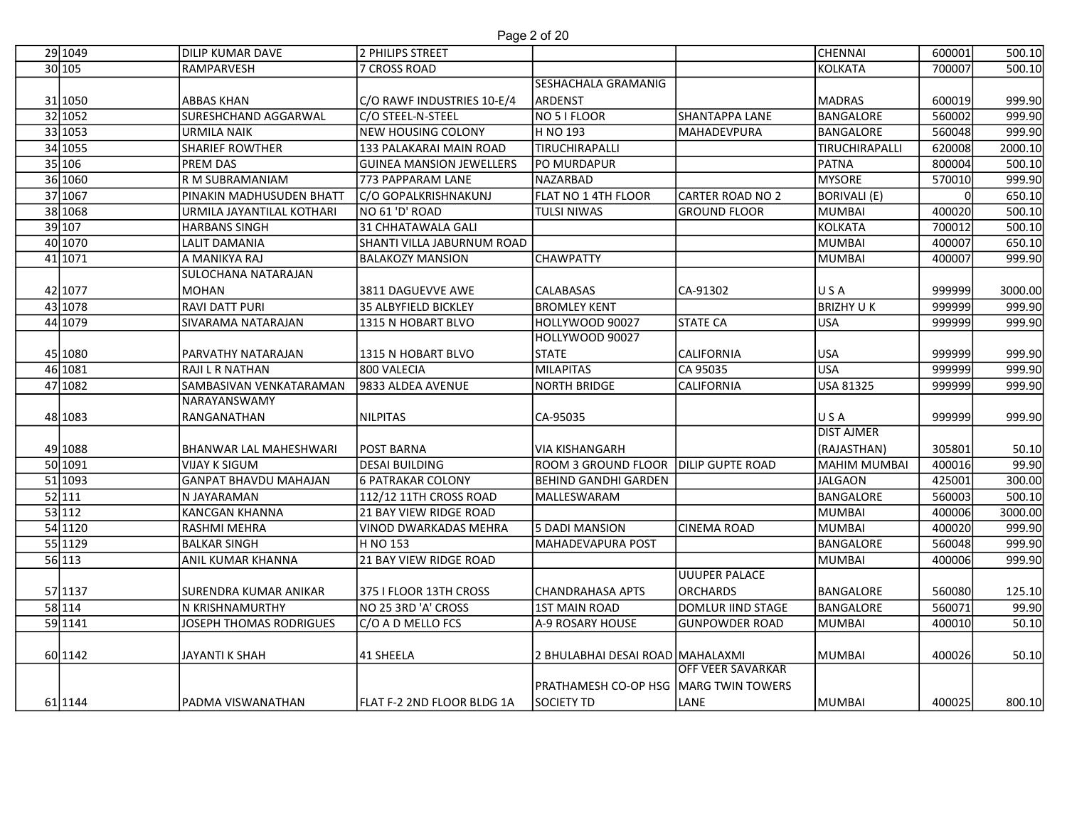| 29 1049            | <b>DILIP KUMAR DAVE</b>                       | 2 PHILIPS STREET                                | Page 2 of 20                                 |                          | <b>CHENNAI</b>                 | 600001           | 500.10           |
|--------------------|-----------------------------------------------|-------------------------------------------------|----------------------------------------------|--------------------------|--------------------------------|------------------|------------------|
| 30 105             | RAMPARVESH                                    | 7 CROSS ROAD                                    |                                              |                          | <b>KOLKATA</b>                 | 700007           | 500.10           |
|                    | <b>ABBAS KHAN</b>                             |                                                 | SESHACHALA GRAMANIG<br>ARDENST               |                          |                                | 600019           |                  |
| 31 1050<br>32 1052 | SURESHCHAND AGGARWAL                          | C/O RAWF INDUSTRIES 10-E/4<br>C/O STEEL-N-STEEL | NO 5 I FLOOR                                 | SHANTAPPA LANE           | <b>MADRAS</b><br>BANGALORE     | 560002           | 999.90<br>999.90 |
| 33 1053            | <b>URMILA NAIK</b>                            | NEW HOUSING COLONY                              | H NO 193                                     | MAHADEVPURA              | BANGALORE                      | 560048           | 999.90           |
| 34 1055            | <b>SHARIEF ROWTHER</b>                        | 133 PALAKARAI MAIN ROAD                         | TIRUCHIRAPALLI                               |                          | TIRUCHIRAPALLI                 | 620008           | 2000.10          |
| 35 106             | <b>PREM DAS</b>                               | <b>GUINEA MANSION JEWELLERS</b>                 | PO MURDAPUR                                  |                          | <b>PATNA</b>                   | 800004           | 500.10           |
| 36 1060            | R M SUBRAMANIAM                               | 773 PAPPARAM LANE                               | NAZARBAD                                     |                          | <b>MYSORE</b>                  | 570010           | 999.90           |
| 37 1067            | PINAKIN MADHUSUDEN BHATT                      | C/O GOPALKRISHNAKUNJ                            | FLAT NO 1 4TH FLOOR                          | <b>CARTER ROAD NO 2</b>  | BORIVALI (E)                   |                  | 650.10           |
| 38 1068            | URMILA JAYANTILAL KOTHARI                     | NO 61 'D' ROAD                                  | <b>TULSI NIWAS</b>                           | <b>GROUND FLOOR</b>      | MUMBAI                         | 400020           | 500.10           |
| 39 107             | <b>HARBANS SINGH</b>                          | 31 CHHATAWALA GALI                              |                                              |                          | <b>KOLKATA</b>                 | 700012           | 500.10           |
| 40 1070            | <b>LALIT DAMANIA</b>                          | SHANTI VILLA JABURNUM ROAD                      |                                              |                          | <b>MUMBAI</b>                  | 400007           | 650.10           |
| 41 1071            | A MANIKYA RAJ<br>SULOCHANA NATARAJAN          | <b>BALAKOZY MANSION</b>                         | <b>CHAWPATTY</b>                             |                          | <b>MUMBAI</b>                  | 400007           | 999.90           |
| 42 1077            | MOHAN                                         | 3811 DAGUEVVE AWE                               | <b>CALABASAS</b>                             | CA-91302                 | USA                            | 999999           | 3000.00          |
| 43 1078            | <b>RAVI DATT PURI</b>                         | 35 ALBYFIELD BICKLEY                            | <b>BROMLEY KENT</b>                          |                          | <b>BRIZHY UK</b>               | 999999           | 999.90           |
| 44 1079            | SIVARAMA NATARAJAN                            | 1315 N HOBART BLVO                              | HOLLYWOOD 90027                              | <b>STATE CA</b>          | <b>USA</b>                     | 999999           | 999.90           |
|                    |                                               |                                                 | HOLLYWOOD 90027                              |                          |                                |                  |                  |
| 45 1080            | PARVATHY NATARAJAN                            | 1315 N HOBART BLVO                              | <b>STATE</b>                                 | <b>CALIFORNIA</b>        | <b>USA</b>                     | 999999           | 999.90           |
| 46 1081            | RAJI L R NATHAN                               | 800 VALECIA                                     | MILAPITAS                                    | CA 95035                 | USA.                           | 999999           | 999.90           |
| 47 1082            | <b>SAMBASIVAN VENKATARAMAN</b>                | 9833 ALDEA AVENUE                               | <b>NORTH BRIDGE</b>                          | <b>CALIFORNIA</b>        | USA 81325                      | 999999           | 999.90           |
|                    | NARAYANSWAMY                                  |                                                 |                                              |                          |                                |                  |                  |
| 48 1083            | RANGANATHAN                                   | NILPITAS                                        | CA-95035                                     |                          | USA                            | 999999           | 999.90           |
|                    |                                               |                                                 |                                              |                          | <b>DIST AJMER</b>              |                  |                  |
| 49 1088            | <b>BHANWAR LAL MAHESHWARI</b>                 | <b>POST BARNA</b>                               | <b>VIA KISHANGARH</b>                        |                          | (RAJASTHAN)                    | 305801           | 50.10            |
| 50 1091<br>51 1093 | <b>VIJAY K SIGUM</b><br>GANPAT BHAVDU MAHAJAN | <b>DESAI BUILDING</b><br>6 PATRAKAR COLONY      | ROOM 3 GROUND FLOOR<br>BEHIND GANDHI GARDEN  | <b>DILIP GUPTE ROAD</b>  | MAHIM MUMBAI<br><b>JALGAON</b> | 400016<br>425001 | 99.90<br>300.00  |
| 52 111             | N JAYARAMAN                                   | 112/12 11TH CROSS ROAD                          | MALLESWARAM                                  |                          | BANGALORE                      | 560003           | 500.10           |
| 53 112             | KANCGAN KHANNA                                | 21 BAY VIEW RIDGE ROAD                          |                                              |                          | <b>MUMBAI</b>                  | 400006           | 3000.00          |
| 54 1120            | <b>RASHMI MEHRA</b>                           | VINOD DWARKADAS MEHRA                           | 5 DADI MANSION                               | <b>CINEMA ROAD</b>       | <b>MUMBAI</b>                  | 400020           | 999.90           |
| 55 1129            | <b>BALKAR SINGH</b>                           | H NO 153                                        | MAHADEVAPURA POST                            |                          | BANGALORE                      | 560048           | 999.90           |
| 56 113             | <b>ANIL KUMAR KHANNA</b>                      | 21 BAY VIEW RIDGE ROAD                          |                                              |                          | MUMBAI                         | 400006           | 999.90           |
|                    |                                               |                                                 |                                              | <b>UUUPER PALACE</b>     |                                |                  |                  |
| 57 1137            | SURENDRA KUMAR ANIKAR                         | 375 I FLOOR 13TH CROSS                          | <b>CHANDRAHASA APTS</b>                      | <b>ORCHARDS</b>          | BANGALORE                      | 560080           | 125.10           |
| 58 114             | N KRISHNAMURTHY                               | NO 25 3RD 'A' CROSS                             | 1ST MAIN ROAD                                | DOMLUR IIND STAGE        | BANGALORE                      | 560071           | 99.90            |
| 59 1141            | JOSEPH THOMAS RODRIGUES                       | C/O A D MELLO FCS                               | A-9 ROSARY HOUSE                             | <b>GUNPOWDER ROAD</b>    | MUMBAI                         | 400010           | 50.10            |
| 60 1142            | JAYANTI K SHAH                                | 41 SHEELA                                       | 2 BHULABHAI DESAI ROAD MAHALAXMI             |                          | MUMBAI                         | 400026           | 50.10            |
|                    |                                               |                                                 |                                              | <b>OFF VEER SAVARKAR</b> |                                |                  |                  |
|                    |                                               |                                                 | <b>PRATHAMESH CO-OP HSG MARG TWIN TOWERS</b> |                          |                                |                  |                  |
| 61 1144            | <b>PADMA VISWANATHAN</b>                      | <b>FLAT F-2 2ND FLOOR BLDG 1A</b>               | SOCIETY TD                                   | LANE                     | MUMBAI                         | 400025           | 800.10           |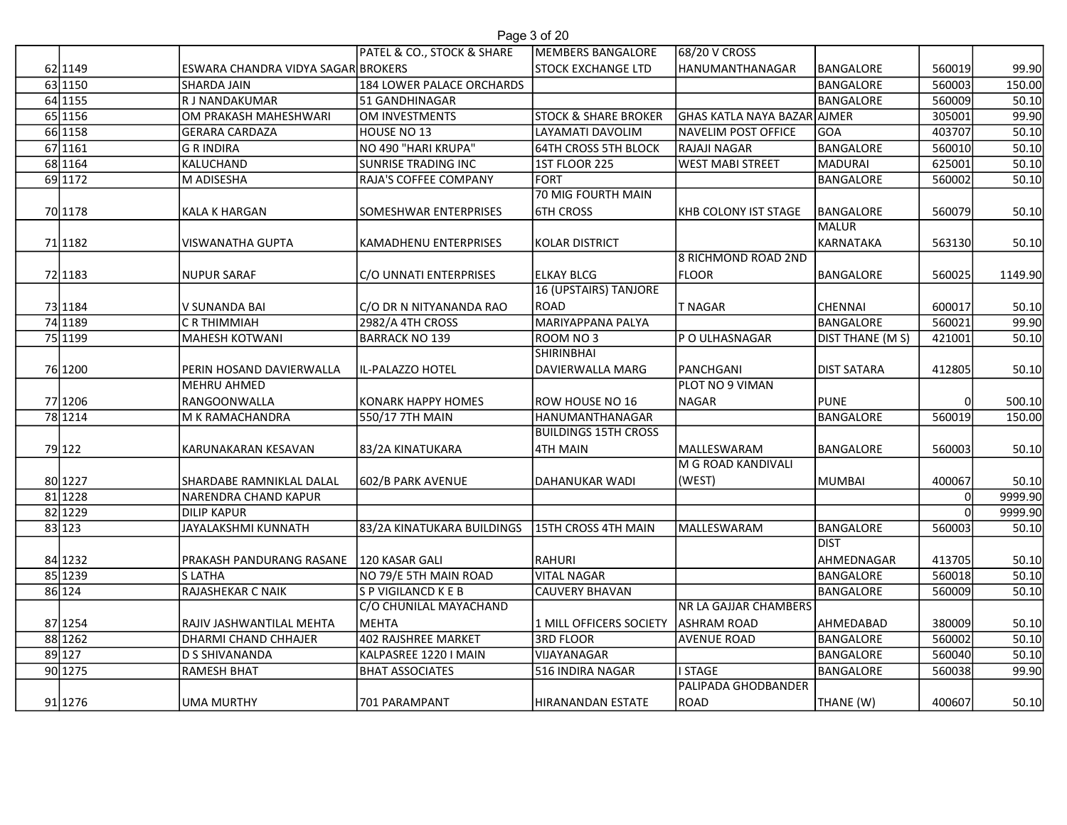| Page 3 of 20 |  |  |
|--------------|--|--|
|              |  |  |

|                    |                                                         | PATEL & CO., STOCK & SHARE                        | Page 3 of 20<br>MEMBERS BANGALORE              |                                                |                      |                  |                  |
|--------------------|---------------------------------------------------------|---------------------------------------------------|------------------------------------------------|------------------------------------------------|----------------------|------------------|------------------|
| 62 1149            | ESWARA CHANDRA VIDYA SAGAR BROKERS                      |                                                   | <b>STOCK EXCHANGE LTD</b>                      | 68/20 V CROSS<br>HANUMANTHANAGAR               | BANGALORE            | 560019           | 99.90            |
| 63 1150            | <b>SHARDA JAIN</b>                                      | 184 LOWER PALACE ORCHARDS                         |                                                |                                                | BANGALORE            | 560003           | 150.00           |
| 64 1155            | R J NANDAKUMAR                                          | 51 GANDHINAGAR                                    |                                                |                                                | BANGALORE            | 560009           | 50.10            |
| 65 1156            | OM PRAKASH MAHESHWARI                                   | OM INVESTMENTS                                    | <b>STOCK &amp; SHARE BROKER</b>                | GHAS KATLA NAYA BAZAR AJMER                    |                      | 305001           | 99.90            |
| 66 1158            | <b>GERARA CARDAZA</b>                                   | HOUSE NO 13                                       | LAYAMATI DAVOLIM                               | NAVELIM POST OFFICE                            | GOA                  | 403707           | 50.10            |
| 67 1161<br>68 1164 | <b>G R INDIRA</b><br>KALUCHAND                          | NO 490 "HARI KRUPA"<br><b>SUNRISE TRADING INC</b> | <b>64TH CROSS 5TH BLOCK</b><br>1ST FLOOR 225   | <b>RAJAJI NAGAR</b><br><b>WEST MABI STREET</b> | BANGALORE<br>MADURAI | 560010<br>625001 | 50.10<br>50.10   |
| 69 1172            | M ADISESHA                                              | RAJA'S COFFEE COMPANY                             | FORT                                           |                                                | BANGALORE            | 560002           | 50.10            |
|                    |                                                         |                                                   | 70 MIG FOURTH MAIN                             |                                                |                      |                  |                  |
| 70 1178            | <b>KALA K HARGAN</b>                                    | SOMESHWAR ENTERPRISES                             | <b>6TH CROSS</b>                               | KHB COLONY IST STAGE                           | BANGALORE            | 560079           | 50.10            |
|                    |                                                         |                                                   |                                                |                                                | <b>MALUR</b>         |                  |                  |
| 71 1182            | VISWANATHA GUPTA                                        | KAMADHENU ENTERPRISES                             | KOLAR DISTRICT                                 | 8 RICHMOND ROAD 2ND                            | KARNATAKA            | 563130           | 50.10            |
| 72 1183            | <b>NUPUR SARAF</b>                                      | <b>C/O UNNATI ENTERPRISES</b>                     | <b>ELKAY BLCG</b>                              | <b>FLOOR</b>                                   | BANGALORE            | 560025           | 1149.90          |
|                    |                                                         |                                                   | 16 (UPSTAIRS) TANJORE                          |                                                |                      |                  |                  |
| 73 1184            | V SUNANDA BAI                                           | C/O DR N NITYANANDA RAO                           | ROAD                                           | T NAGAR                                        | CHENNAI              | 600017           | 50.10            |
| 74 1189            | C R THIMMIAH                                            | 2982/A 4TH CROSS                                  | MARIYAPPANA PALYA                              |                                                | BANGALORE            | 560021           | 99.90            |
| 75 1199            | MAHESH KOTWANI                                          | BARRACK NO 139                                    | ROOM NO 3<br><b>SHIRINBHAI</b>                 | <b>P O ULHASNAGAR</b>                          | DIST THANE (M S)     | 421001           | 50.10            |
| 76 1200            | PERIN HOSAND DAVIERWALLA                                | IL-PALAZZO HOTEL                                  | DAVIERWALLA MARG                               | PANCHGANI                                      | <b>DIST SATARA</b>   | 412805           | 50.10            |
|                    | <b>MEHRU AHMED</b>                                      |                                                   |                                                | PLOT NO 9 VIMAN                                |                      |                  |                  |
| 77 1206            | RANGOONWALLA                                            | KONARK HAPPY HOMES                                | ROW HOUSE NO 16                                | <b>NAGAR</b>                                   | PUNE                 |                  | 500.10           |
| 78 1214            | M K RAMACHANDRA                                         | 550/17 7TH MAIN                                   | HANUMANTHANAGAR<br><b>BUILDINGS 15TH CROSS</b> |                                                | BANGALORE            | 560019           | 150.00           |
| 79 122             | KARUNAKARAN KESAVAN                                     | 83/2A KINATUKARA                                  | 4TH MAIN                                       | MALLESWARAM                                    | BANGALORE            | 560003           | 50.10            |
|                    |                                                         |                                                   |                                                | M G ROAD KANDIVALI                             |                      |                  |                  |
| 80 1227            | SHARDABE RAMNIKLAL DALAL                                | 602/B PARK AVENUE                                 | DAHANUKAR WADI                                 | (WEST)                                         | MUMBAI               | 400067           | 50.10            |
| 81 1228            | NARENDRA CHAND KAPUR                                    |                                                   |                                                |                                                |                      |                  | 9999.90          |
| 82 1229<br>83 123  | <b>DILIP KAPUR</b><br>JAYALAKSHMI KUNNATH               | 83/2A KINATUKARA BUILDINGS                        | 15TH CROSS 4TH MAIN                            | MALLESWARAM                                    | BANGALORE            | 560003           | 9999.90<br>50.10 |
|                    |                                                         |                                                   |                                                |                                                | Idist                |                  |                  |
| 84 1232            | PRAKASH PANDURANG RASANE   120 KASAR GALI               |                                                   | RAHURI                                         |                                                | AHMEDNAGAR           | 413705           | 50.10            |
| 85 1239            | S LATHA                                                 | NO 79/E 5TH MAIN ROAD                             | <b>VITAL NAGAR</b>                             |                                                | BANGALORE            | 560018           | 50.10            |
| 86 124             | RAJASHEKAR C NAIK                                       | S P VIGILANCD K E B                               | CAUVERY BHAVAN                                 |                                                | BANGALORE            | 560009           | 50.10            |
|                    |                                                         | C/O CHUNILAL MAYACHAND<br>MEHTA                   | 1 MILL OFFICERS SOCIETY                        | NR LA GAJJAR CHAMBERS<br><b>ASHRAM ROAD</b>    | AHMEDABAD            | 380009           |                  |
| 87 1254<br>88 1262 | RAJIV JASHWANTILAL MEHTA<br><b>DHARMI CHAND CHHAJER</b> | 402 RAJSHREE MARKET                               | 3RD FLOOR                                      | <b>AVENUE ROAD</b>                             | BANGALORE            | 560002           | 50.10<br>50.10   |
| 89 127             | <b>D S SHIVANANDA</b>                                   | KALPASREE 1220   MAIN                             | VIJAYANAGAR                                    |                                                | BANGALORE            | 560040           | 50.10            |
| 90 1275            | RAMESH BHAT                                             | <b>BHAT ASSOCIATES</b>                            | 516 INDIRA NAGAR                               | <b>I STAGE</b>                                 | BANGALORE            | 560038           | 99.90            |
|                    |                                                         |                                                   |                                                | <b>PALIPADA GHODBANDER</b>                     | THANE (W)            |                  | 50.10            |
| 91 1276            | UMA MURTHY                                              | 701 PARAMPANT                                     | HIRANANDAN ESTATE                              | ROAD                                           |                      | 400607           |                  |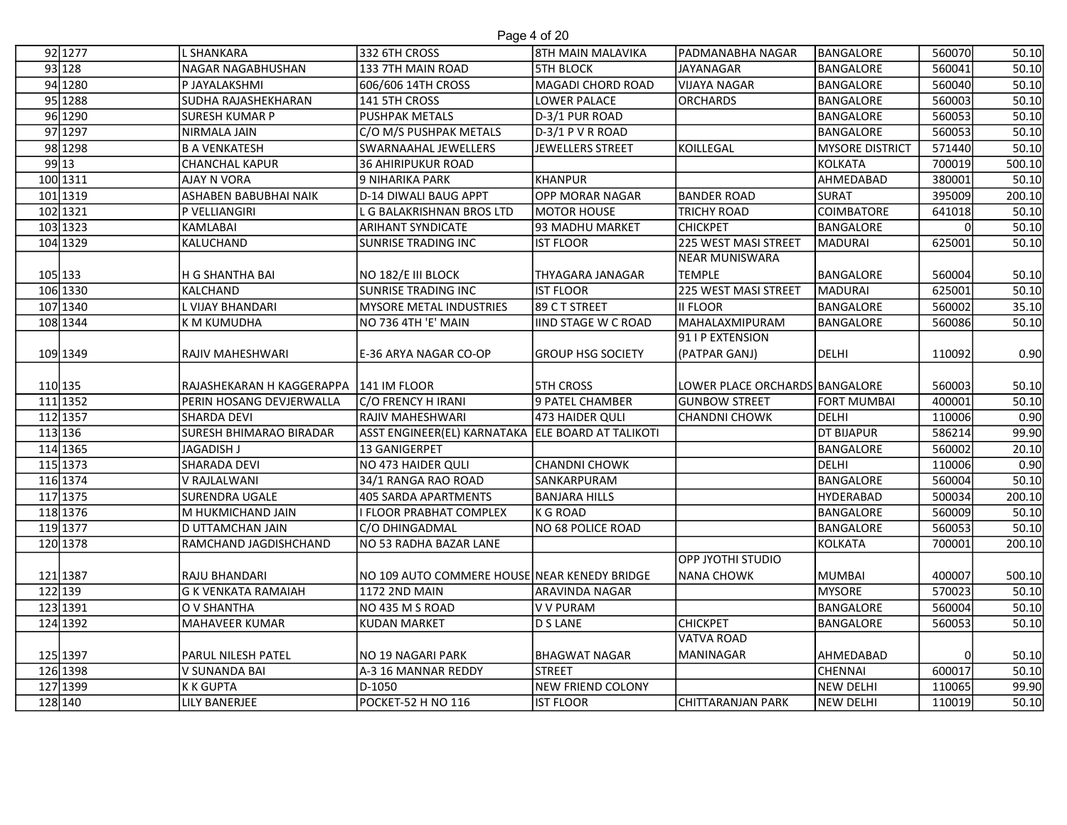## Page 4 of 20

|          |                                |                                                   | Page 4 of 20               |                                |                        |        |        |
|----------|--------------------------------|---------------------------------------------------|----------------------------|--------------------------------|------------------------|--------|--------|
| 92 1277  | <b>L SHANKARA</b>              | 332 6TH CROSS                                     | 8TH MAIN MALAVIKA          | lPADMANABHA NAGAR              | <b>BANGALORE</b>       | 560070 | 50.10  |
| 93 128   | NAGAR NAGABHUSHAN              | 133 7TH MAIN ROAD                                 | <b>5TH BLOCK</b>           | <b>JAYANAGAR</b>               | <b>BANGALORE</b>       | 560041 | 50.10  |
| 94 1280  | P JAYALAKSHMI                  | 606/606 14TH CROSS                                | MAGADI CHORD ROAD          | <b>VIJAYA NAGAR</b>            | <b>BANGALORE</b>       | 560040 | 50.10  |
| 95 1288  | SUDHA RAJASHEKHARAN            | 141 5TH CROSS                                     | LOWER PALACE               | <b>ORCHARDS</b>                | <b>BANGALORE</b>       | 560003 | 50.10  |
| 96 1290  | <b>SURESH KUMAR P</b>          | <b>PUSHPAK METALS</b>                             | D-3/1 PUR ROAD             |                                | <b>BANGALORE</b>       | 560053 | 50.10  |
| 97 1297  | NIRMALA JAIN                   | C/O M/S PUSHPAK METALS                            | D-3/1 P V R ROAD           |                                | <b>BANGALORE</b>       | 560053 | 50.10  |
| 98 1298  | <b>B A VENKATESH</b>           | SWARNAAHAL JEWELLERS                              | JEWELLERS STREET           | KOILLEGAL                      | <b>MYSORE DISTRICT</b> | 571440 | 50.10  |
| 99 13    | <b>CHANCHAL KAPUR</b>          | <b>36 AHIRIPUKUR ROAD</b>                         |                            |                                | <b>KOLKATA</b>         | 700019 | 500.10 |
| 100 1311 | <b>AJAY N VORA</b>             | 9 NIHARIKA PARK                                   | KHANPUR                    |                                | AHMEDABAD              | 380001 | 50.10  |
| 101 1319 | <b>ASHABEN BABUBHAI NAIK</b>   | D-14 DIWALI BAUG APPT                             | <b>OPP MORAR NAGAR</b>     | <b>BANDER ROAD</b>             | <b>SURAT</b>           | 395009 | 200.10 |
| 102 1321 | P VELLIANGIRI                  | L G BALAKRISHNAN BROS LTD                         | MOTOR HOUSE                | <b>TRICHY ROAD</b>             | COIMBATORE             | 641018 | 50.10  |
| 103 1323 | KAMLABAI                       | ARIHANT SYNDICATE                                 | 93 MADHU MARKET            | <b>CHICKPET</b>                | <b>BANGALORE</b>       |        | 50.10  |
| 104 1329 | KALUCHAND                      | <b>SUNRISE TRADING INC</b>                        | <b>IST FLOOR</b>           | 225 WEST MASI STREET           | <b>MADURAI</b>         | 625001 | 50.10  |
|          |                                |                                                   |                            | NEAR MUNISWARA                 |                        |        |        |
| 105 133  | H G SHANTHA BAI                | NO 182/E III BLOCK                                | THYAGARA JANAGAR           | <b>TEMPLE</b>                  | BANGALORE              | 560004 | 50.10  |
| 106 1330 | KALCHAND                       | SUNRISE TRADING INC                               | <b>IST FLOOR</b>           | 225 WEST MASI STREET           | MADURAI                | 625001 | 50.10  |
| 107 1340 | L VIJAY BHANDARI               | MYSORE METAL INDUSTRIES                           | 89 C T STREET              | <b>II FLOOR</b>                | BANGALORE              | 560002 | 35.10  |
| 108 1344 | K M KUMUDHA                    | NO 736 4TH 'E' MAIN                               | <b>IIND STAGE W C ROAD</b> | MAHALAXMIPURAM                 | BANGALORE              | 560086 | 50.10  |
|          |                                |                                                   |                            | 91 I P EXTENSION               |                        |        |        |
| 109 1349 | <b>RAJIV MAHESHWARI</b>        | E-36 ARYA NAGAR CO-OP                             | <b>GROUP HSG SOCIETY</b>   | (PATPAR GANJ)                  | DELHI                  | 110092 | 0.90   |
|          |                                |                                                   |                            |                                |                        |        |        |
| 110 135  | RAJASHEKARAN H KAGGERAPPA      | <b>141 IM FLOOR</b>                               | <b>5TH CROSS</b>           | LOWER PLACE ORCHARDS BANGALORE |                        | 560003 | 50.10  |
| 111 1352 | PERIN HOSANG DEVJERWALLA       | C/O FRENCY H IRANI                                | 9 PATEL CHAMBER            | <b>GUNBOW STREET</b>           | <b>FORT MUMBAI</b>     | 400001 | 50.10  |
| 112 1357 | <b>SHARDA DEVI</b>             | RAJIV MAHESHWARI                                  | 473 HAIDER QULI            | <b>CHANDNI CHOWK</b>           | DELHI                  | 110006 | 0.90   |
| 113 136  | <b>SURESH BHIMARAO BIRADAR</b> | ASST ENGINEER(EL) KARNATAKA ELE BOARD AT TALIKOTI |                            |                                | <b>DT BIJAPUR</b>      | 586214 | 99.90  |
| 114 1365 | <b>JAGADISH J</b>              | 13 GANIGERPET                                     |                            |                                | <b>BANGALORE</b>       | 560002 | 20.10  |
| 115 1373 | <b>SHARADA DEVI</b>            | NO 473 HAIDER QULI                                | <b>CHANDNI CHOWK</b>       |                                | DELHI                  | 110006 | 0.90   |
| 116 1374 | V RAJLALWANI                   | 34/1 RANGA RAO ROAD                               | SANKARPURAM                |                                | <b>BANGALORE</b>       | 560004 | 50.10  |
| 117 1375 | <b>SURENDRA UGALE</b>          | <b>405 SARDA APARTMENTS</b>                       | <b>BANJARA HILLS</b>       |                                | HYDERABAD              | 500034 | 200.10 |
| 118 1376 | M HUKMICHAND JAIN              | I FLOOR PRABHAT COMPLEX                           | K G ROAD                   |                                | <b>BANGALORE</b>       | 560009 | 50.10  |
| 119 1377 | ID UTTAMCHAN JAIN              | C/O DHINGADMAL                                    | NO 68 POLICE ROAD          |                                | <b>BANGALORE</b>       | 560053 | 50.10  |
| 120 1378 | RAMCHAND JAGDISHCHAND          | NO 53 RADHA BAZAR LANE                            |                            |                                | KOLKATA                | 700001 | 200.10 |
|          |                                |                                                   |                            | OIUDI IHTOYI 10PP              |                        |        |        |
| 121 1387 | RAJU BHANDARI                  | NO 109 AUTO COMMERE HOUSE NEAR KENEDY BRIDGE      |                            | <b>NANA CHOWK</b>              | <b>MUMBAI</b>          | 400007 | 500.10 |
| 122 139  | <b>G K VENKATA RAMAIAH</b>     | <b>1172 2ND MAIN</b>                              | ARAVINDA NAGAR             |                                | <b>MYSORE</b>          | 570023 | 50.10  |
| 123 1391 | O V SHANTHA                    | NO 435 M S ROAD                                   | V V PURAM                  |                                | <b>BANGALORE</b>       | 560004 | 50.10  |
| 124 1392 | MAHAVEER KUMAR                 | <b>KUDAN MARKET</b>                               | D S LANE                   | <b>CHICKPET</b>                | BANGALORE              | 560053 | 50.10  |
|          |                                |                                                   |                            | <b>VATVA ROAD</b>              |                        |        |        |
| 125 1397 | <b>PARUL NILESH PATEL</b>      | NO 19 NAGARI PARK                                 | <b>BHAGWAT NAGAR</b>       | <b>MANINAGAR</b>               | AHMEDABAD              |        | 50.10  |
| 126 1398 | V SUNANDA BAI                  | A-3 16 MANNAR REDDY                               | STREET                     |                                | <b>CHENNAI</b>         | 600017 | 50.10  |
| 127 1399 | <b>K K GUPTA</b>               | D-1050                                            | NEW FRIEND COLONY          |                                | <b>NEW DELHI</b>       | 110065 | 99.90  |
| 128 140  | LILY BANERJEE                  | POCKET-52 H NO 116                                | <b>IST FLOOR</b>           | CHITTARANJAN PARK              | <b>NEW DELHI</b>       | 110019 | 50.10  |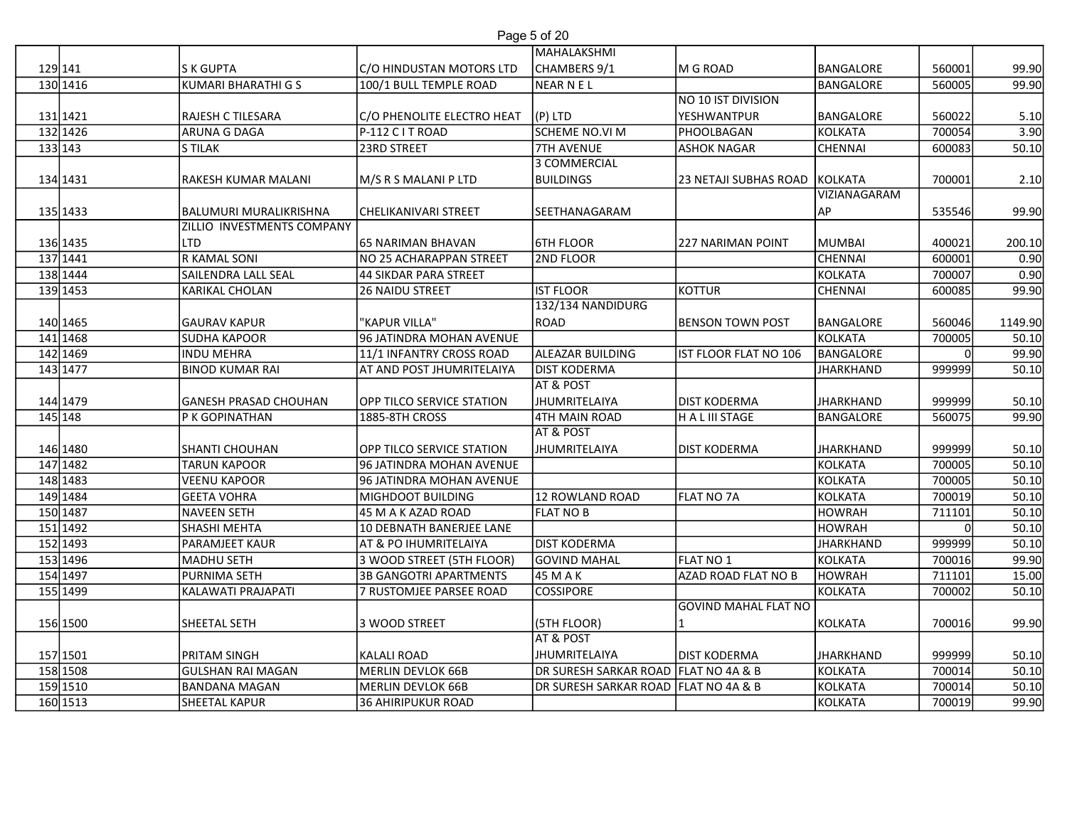| Page 5 of 20 |  |  |
|--------------|--|--|
|              |  |  |

|                      |                              |                               | Page 5 of 20                         |                             |                    |                  |                |
|----------------------|------------------------------|-------------------------------|--------------------------------------|-----------------------------|--------------------|------------------|----------------|
|                      |                              |                               | MAHALAKSHMI                          |                             |                    |                  |                |
| 129 141              | <b>S K GUPTA</b>             | C/O HINDUSTAN MOTORS LTD      | CHAMBERS 9/1                         | M G ROAD                    | <b>BANGALORE</b>   | 560001           | 99.90          |
| 130 1416             | <b>KUMARI BHARATHI G S</b>   | 100/1 BULL TEMPLE ROAD        | NEAR N EL                            |                             | BANGALORE          | 560005           | 99.90          |
|                      |                              |                               |                                      | NO 10 IST DIVISION          |                    |                  |                |
| 131 1421             | RAJESH C TILESARA            | C/O PHENOLITE ELECTRO HEAT    | $(P)$ LTD                            | YESHWANTPUR                 | <b>BANGALORE</b>   | 560022           | 5.10           |
| 132 1426             | ARUNA G DAGA                 | P-112 C I T ROAD              | SCHEME NO.VI M                       | PHOOLBAGAN                  | <b>KOLKATA</b>     | 700054           | 3.90           |
| 133 143              | <b>S TILAK</b>               | 23RD STREET                   | <b>7TH AVENUE</b><br>3 COMMERCIAL    | <b>ASHOK NAGAR</b>          | <b>CHENNAI</b>     | 600083           | 50.10          |
| 134 1431             | RAKESH KUMAR MALANI          | M/S R S MALANI P LTD          | <b>BUILDINGS</b>                     | 23 NETAJI SUBHAS ROAD       | KOLKATA            | 700001           | 2.10           |
|                      |                              |                               |                                      |                             | VIZIANAGARAM       |                  |                |
| 135 1433             | BALUMURI MURALIKRISHNA       | CHELIKANIVARI STREET          | SEETHANAGARAM                        |                             | AP                 | 535546           | 99.90          |
|                      | ZILLIO INVESTMENTS COMPANY   |                               |                                      |                             |                    |                  |                |
| 136 1435             | <b>LTD</b>                   | 65 NARIMAN BHAVAN             | <b>6TH FLOOR</b>                     | <b>227 NARIMAN POINT</b>    | MUMBAI             | 400021           | 200.10         |
| 137 1441             | R KAMAL SONI                 | NO 25 ACHARAPPAN STREET       | 2ND FLOOR                            |                             | <b>CHENNAI</b>     | 600001           | 0.90           |
| 138 1444             | SAILENDRA LALL SEAL          | <b>44 SIKDAR PARA STREET</b>  |                                      |                             | <b>KOLKATA</b>     | 700007           | 0.90           |
| 139 1453             | <b>KARIKAL CHOLAN</b>        | 26 NAIDU STREET               | <b>IST FLOOR</b>                     | <b>KOTTUR</b>               | CHENNAI            | 600085           | 99.90          |
|                      |                              |                               | 132/134 NANDIDURG                    |                             |                    |                  |                |
| 140 1465             | <b>GAURAV KAPUR</b>          | "KAPUR VILLA"                 | <b>IROAD</b>                         | <b>BENSON TOWN POST</b>     | <b>BANGALORE</b>   | 560046           | 1149.90        |
| 141 1468             | <b>SUDHA KAPOOR</b>          | 96 JATINDRA MOHAN AVENUE      |                                      |                             | KOLKATA            | 700005           | 50.10          |
| 142 1469             | <b>INDU MEHRA</b>            | 11/1 INFANTRY CROSS ROAD      | <b>ALEAZAR BUILDING</b>              | IST FLOOR FLAT NO 106       | BANGALORE          |                  | 99.90          |
| 143 1477             | <b>BINOD KUMAR RAI</b>       | AT AND POST JHUMRITELAIYA     | <b>DIST KODERMA</b>                  |                             | <b>JHARKHAND</b>   | 999999           | 50.10          |
|                      |                              |                               | <b>AT &amp; POST</b>                 |                             |                    |                  |                |
| 144 1479             | <b>GANESH PRASAD CHOUHAN</b> | OPP TILCO SERVICE STATION     | JHUMRITELAIYA                        | <b>DIST KODERMA</b>         | <b>JHARKHAND</b>   | 999999           | 50.10          |
| 145 148              | P K GOPINATHAN               | 1885-8TH CROSS                | 4TH MAIN ROAD                        | H A L III STAGE             | <b>BANGALORE</b>   | 560075           | 99.90          |
|                      |                              |                               | AT & POST                            |                             |                    |                  |                |
| 146 1480             | <b>SHANTI CHOUHAN</b>        | OPP TILCO SERVICE STATION     | JHUMRITELAIYA                        | <b>DIST KODERMA</b>         | <b>JHARKHAND</b>   | 999999           | 50.10          |
| 147 1482             | <b>TARUN KAPOOR</b>          | 96 JATINDRA MOHAN AVENUE      |                                      |                             | <b>KOLKATA</b>     | 700005           | 50.10          |
| 148 1483             | <b>VEENU KAPOOR</b>          | 96 JATINDRA MOHAN AVENUE      |                                      |                             | <b>KOLKATA</b>     | 700005           | 50.10          |
| 149 1484             | <b>GEETA VOHRA</b>           | MIGHDOOT BUILDING             | 12 ROWLAND ROAD                      | FLAT NO 7A                  | KOLKATA            | 700019           | 50.10          |
| 150 1487             | <b>NAVEEN SETH</b>           | 45 M A K AZAD ROAD            | <b>FLAT NO B</b>                     |                             | <b>HOWRAH</b>      | 711101           | 50.10          |
| 151 1492             | SHASHI MEHTA                 | 10 DEBNATH BANERJEE LANE      |                                      |                             | <b>HOWRAH</b>      |                  | 50.10          |
| 152 1493             | PARAMJEET KAUR               | AT & PO IHUMRITELAIYA         | <b>DIST KODERMA</b>                  |                             | <b>JHARKHAND</b>   | 999999           | 50.10          |
| 153 1496             | MADHU SETH                   | 3 WOOD STREET (5TH FLOOR)     | GOVIND MAHAL                         | FLAT NO 1                   | <b>KOLKATA</b>     | 700016           | 99.90          |
| 154 1497             | PURNIMA SETH                 | <b>3B GANGOTRI APARTMENTS</b> | 45 M A K                             | <b>AZAD ROAD FLAT NO B</b>  | <b>HOWRAH</b>      | 711101           | 15.00          |
| 155 1499             | KALAWATI PRAJAPATI           | 7 RUSTOMJEE PARSEE ROAD       | <b>COSSIPORE</b>                     |                             | <b>KOLKATA</b>     | 700002           | 50.10          |
|                      |                              |                               |                                      | <b>GOVIND MAHAL FLAT NO</b> |                    |                  |                |
| 156 1500             | SHEETAL SETH                 | 3 WOOD STREET                 | (5TH FLOOR)                          |                             | <b>KOLKATA</b>     | 700016           | 99.90          |
|                      |                              |                               | AT & POST                            |                             |                    |                  |                |
| 157 1501             | <b>PRITAM SINGH</b>          | <b>KALALI ROAD</b>            | JHUMRITELAIYA                        | <b>DIST KODERMA</b>         | <b>JHARKHAND</b>   | 999999           | 50.10          |
| 158 1508             | <b>GULSHAN RAI MAGAN</b>     | <b>MERLIN DEVLOK 66B</b>      | DR SURESH SARKAR ROAD FLAT NO 4A & B |                             | KOLKATA            | 700014           | 50.10          |
| 159 1510<br>160 1513 | <b>BANDANA MAGAN</b>         | <b>MERLIN DEVLOK 66B</b>      | DR SURESH SARKAR ROAD FLAT NO 4A & B |                             | KOLKATA<br>KOLKATA | 700014<br>700019 | 50.10<br>99.90 |
|                      | <b>SHEETAL KAPUR</b>         | <b>36 AHIRIPUKUR ROAD</b>     |                                      |                             |                    |                  |                |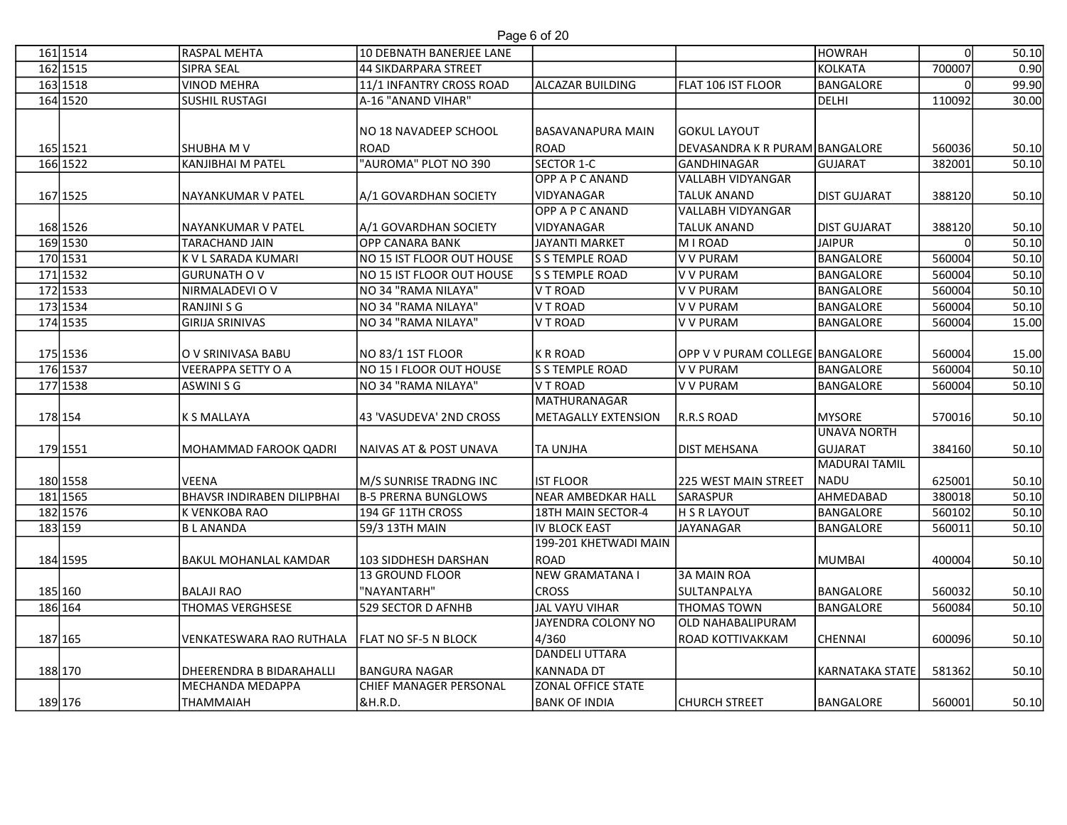| 161 1514 |          |                                   |                                   |                           |                                 |                     |        |       |
|----------|----------|-----------------------------------|-----------------------------------|---------------------------|---------------------------------|---------------------|--------|-------|
|          |          | RASPAL MEHTA                      | 10 DEBNATH BANERJEE LANE          | Page 6 of 20              |                                 | <b>HOWRAH</b>       |        | 50.10 |
|          | 162 1515 | <b>SIPRA SEAL</b>                 | <b>44 SIKDARPARA STREET</b>       |                           |                                 | KOLKATA             | 700007 | 0.90  |
|          | 163 1518 | <b>VINOD MEHRA</b>                | 11/1 INFANTRY CROSS ROAD          | ALCAZAR BUILDING          | FLAT 106 IST FLOOR              | <b>BANGALORE</b>    |        | 99.90 |
|          | 164 1520 | <b>SUSHIL RUSTAGI</b>             | A-16 "ANAND VIHAR"                |                           |                                 | DELHI               | 110092 | 30.00 |
|          |          |                                   | NO 18 NAVADEEP SCHOOL             | <b>BASAVANAPURA MAIN</b>  | GOKUL LAYOUT                    |                     |        |       |
|          | 165 1521 | <b>SHUBHA M V</b>                 | <b>ROAD</b>                       | ROAD                      | DEVASANDRA K R PURAM BANGALORE  |                     | 560036 | 50.10 |
|          | 166 1522 | <b>KANJIBHAI M PATEL</b>          | "AUROMA" PLOT NO 390              | SECTOR 1-C                | GANDHINAGAR                     | GUJARAT             | 382001 | 50.10 |
|          |          |                                   |                                   | OPP A P C ANAND           | VALLABH VIDYANGAR               |                     |        |       |
|          | 167 1525 | NAYANKUMAR V PATEL                | A/1 GOVARDHAN SOCIETY             | VIDYANAGAR                | <b>TALUK ANAND</b>              | <b>DIST GUJARAT</b> | 388120 | 50.10 |
|          |          |                                   |                                   | OPP A P C ANAND           | VALLABH VIDYANGAR               |                     |        |       |
|          | 168 1526 | NAYANKUMAR V PATEL                | A/1 GOVARDHAN SOCIETY             | VIDYANAGAR                | <b>TALUK ANAND</b>              | <b>DIST GUJARAT</b> | 388120 | 50.10 |
|          | 169 1530 | <b>TARACHAND JAIN</b>             | OPP CANARA BANK                   | JAYANTI MARKET            | MIROAD                          | <b>JAIPUR</b>       |        | 50.10 |
|          | 170 1531 | <b>K V L SARADA KUMARI</b>        | NO 15 IST FLOOR OUT HOUSE         | S STEMPLE ROAD            | V V PURAM                       | BANGALORE           | 560004 | 50.10 |
|          | 171 1532 | <b>GURUNATH OV</b>                | NO 15 IST FLOOR OUT HOUSE         | S S TEMPLE ROAD           | V V PURAM                       | <b>BANGALORE</b>    | 560004 | 50.10 |
|          | 172 1533 | NIRMALADEVI O V                   | NO 34 "RAMA NILAYA"               | V T ROAD                  | V V PURAM                       | <b>BANGALORE</b>    | 560004 | 50.10 |
|          | 173 1534 | RANJINI S G                       | NO 34 "RAMA NILAYA"               | V T ROAD                  | V V PURAM                       | <b>BANGALORE</b>    | 560004 | 50.10 |
|          | 174 1535 | <b>GIRIJA SRINIVAS</b>            | NO 34 "RAMA NILAYA"               | V T ROAD                  | V V PURAM                       | BANGALORE           | 560004 | 15.00 |
|          |          |                                   |                                   |                           |                                 |                     |        |       |
|          | 175 1536 | O V SRINIVASA BABU                | NO 83/1 1ST FLOOR                 | K R ROAD                  | OPP V V PURAM COLLEGE BANGALORE |                     | 560004 | 15.00 |
|          | 176 1537 | VEERAPPA SETTY O A                | NO 15 I FLOOR OUT HOUSE           | S S TEMPLE ROAD           | V V PURAM                       | <b>BANGALORE</b>    | 560004 | 50.10 |
|          | 177 1538 | ASWINI S G                        | NO 34 "RAMA NILAYA"               | V T ROAD                  | V V PURAM                       | BANGALORE           | 560004 | 50.10 |
|          |          |                                   |                                   | MATHURANAGAR              |                                 |                     |        |       |
|          | 178 154  | K S MALLAYA                       | 43 'VASUDEVA' 2ND CROSS           | METAGALLY EXTENSION       | R.R.S ROAD                      | MYSORE              | 570016 | 50.10 |
|          |          |                                   |                                   |                           |                                 | <b>UNAVA NORTH</b>  |        |       |
|          | 179 1551 | <b>MOHAMMAD FAROOK QADRI</b>      | <b>NAIVAS AT &amp; POST UNAVA</b> | <b>TA UNJHA</b>           | <b>DIST MEHSANA</b>             | GUJARAT             | 384160 | 50.10 |
|          |          |                                   |                                   |                           |                                 | MADURAI TAMIL       |        |       |
|          | 180 1558 | <b>VEENA</b>                      | M/S SUNRISE TRADNG INC            | <b>IST FLOOR</b>          | 225 WEST MAIN STREET            | NADU                | 625001 | 50.10 |
|          | 181 1565 | <b>BHAVSR INDIRABEN DILIPBHAI</b> | B-5 PRERNA BUNGLOWS               | NEAR AMBEDKAR HALL        | <b>SARASPUR</b>                 | AHMEDABAD           | 380018 | 50.10 |
|          | 182 1576 | K VENKOBA RAO                     | 194 GF 11TH CROSS                 | 18TH MAIN SECTOR-4        | H S R LAYOUT                    | BANGALORE           | 560102 | 50.10 |
|          | 183 159  | <b>BLANANDA</b>                   | 59/3 13TH MAIN                    | IV BLOCK EAST             | JAYANAGAR                       | BANGALORE           | 560011 | 50.10 |
|          |          |                                   |                                   | 199-201 KHETWADI MAIN     |                                 |                     |        |       |
|          | 184 1595 | <b>BAKUL MOHANLAL KAMDAR</b>      | 103 SIDDHESH DARSHAN              | ROAD                      |                                 | <b>MUMBAI</b>       | 400004 | 50.10 |
|          |          |                                   | 13 GROUND FLOOR                   | <b>NEW GRAMATANA I</b>    | <b>3A MAIN ROA</b>              |                     |        |       |
|          | 185 160  | <b>BALAJI RAO</b>                 | "NAYANTARH"                       | <b>CROSS</b>              | SULTANPALYA                     | BANGALORE           | 560032 | 50.10 |
|          | 186 164  | <b>THOMAS VERGHSESE</b>           | 529 SECTOR D AFNHB                | JAL VAYU VIHAR            | <b>THOMAS TOWN</b>              | BANGALORE           | 560084 | 50.10 |
|          |          |                                   |                                   | JAYENDRA COLONY NO        | <b>OLD NAHABALIPURAM</b>        |                     |        |       |
|          | 187 165  | VENKATESWARA RAO RUTHALA          | <b>FLAT NO SF-5 N BLOCK</b>       | 4/360                     | ROAD KOTTIVAKKAM                | CHENNAI             | 600096 | 50.10 |
|          |          |                                   |                                   | DANDELI UTTARA            |                                 |                     |        |       |
|          | 188 170  | DHEERENDRA B BIDARAHALLI          | BANGURA NAGAR                     | KANNADA DT                |                                 | KARNATAKA STATE     | 581362 | 50.10 |
|          |          | MECHANDA MEDAPPA                  | CHIEF MANAGER PERSONAL            | <b>ZONAL OFFICE STATE</b> |                                 |                     |        |       |
|          | 189 176  | <b>THAMMAIAH</b>                  | &H.R.D.                           | <b>BANK OF INDIA</b>      | <b>CHURCH STREET</b>            | BANGALORE           | 560001 | 50.10 |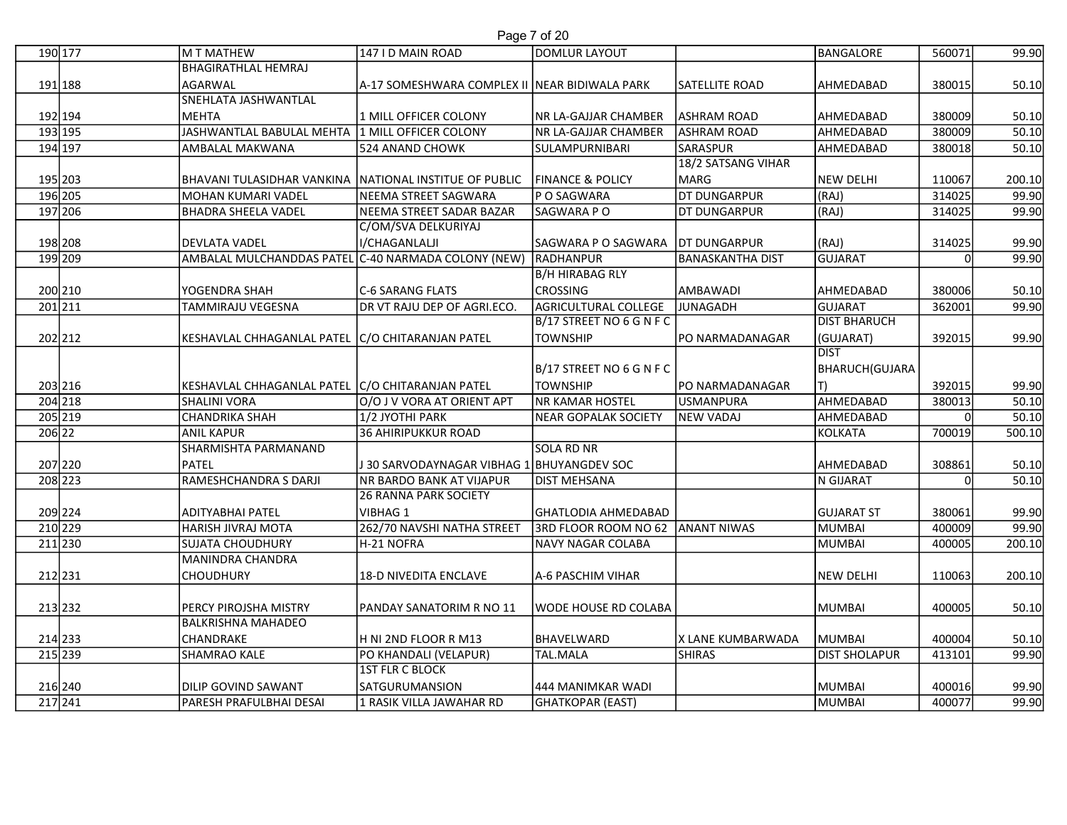## Page 7 of 20

|                    |                                                         |                                                                                | Page 7 of 20                                   |                                          |                        |                  |                |
|--------------------|---------------------------------------------------------|--------------------------------------------------------------------------------|------------------------------------------------|------------------------------------------|------------------------|------------------|----------------|
| 190 177            | M T MATHEW                                              | 147 I D MAIN ROAD                                                              | DOMLUR LAYOUT                                  |                                          | BANGALORE              | 560071           | 99.90          |
|                    | BHAGIRATHLAL HEMRAJ                                     |                                                                                |                                                |                                          |                        |                  |                |
| 191 188            | AGARWAL                                                 | A-17 SOMESHWARA COMPLEX II NEAR BIDIWALA PARK                                  |                                                | <b>SATELLITE ROAD</b>                    | <b>AHMEDABAD</b>       | 380015           | 50.10          |
|                    | <b>SNEHLATA JASHWANTLAL</b>                             |                                                                                |                                                |                                          |                        |                  |                |
| 192 194<br>193 195 | MEHTA<br>JASHWANTLAL BABULAL MEHTA                      | 1 MILL OFFICER COLONY<br>1 MILL OFFICER COLONY                                 | NR LA-GAJJAR CHAMBER<br>NR LA-GAJJAR CHAMBER   | <b>ASHRAM ROAD</b><br><b>ASHRAM ROAD</b> | AHMEDABAD<br>AHMEDABAD | 380009<br>380009 | 50.10<br>50.10 |
| 194 197            | AMBALAL MAKWANA                                         | 524 ANAND CHOWK                                                                | SULAMPURNIBARI                                 | SARASPUR                                 | AHMEDABAD              | 380018           | 50.10          |
|                    |                                                         |                                                                                |                                                | 18/2 SATSANG VIHAR                       |                        |                  |                |
| 195 203            | BHAVANI TULASIDHAR VANKINA  NATIONAL INSTITUE OF PUBLIC |                                                                                | <b>FINANCE &amp; POLICY</b>                    | MARG                                     | NEW DELHI              | 110067           | 200.10         |
| 196 205            | MOHAN KUMARI VADEL                                      | NEEMA STREET SAGWARA                                                           | P O SAGWARA                                    | <b>DT DUNGARPUR</b>                      | (RAJ)                  | 314025           | 99.90          |
| 197 206            | <b>BHADRA SHEELA VADEL</b>                              | NEEMA STREET SADAR BAZAR                                                       | SAGWARA PO                                     | <b>DT DUNGARPUR</b>                      | (RAJ)                  | 314025           | 99.90          |
|                    |                                                         | C/OM/SVA DELKURIYAJ                                                            |                                                |                                          |                        |                  |                |
| 198 208            | <b>DEVLATA VADEL</b>                                    | I/CHAGANLALJI<br>AMBALAL MULCHANDDAS PATEL C-40 NARMADA COLONY (NEW) RADHANPUR | SAGWARA P O SAGWARA                            | <b>DT DUNGARPUR</b>                      | (RAJ)                  | 314025           | 99.90          |
| 199 209            |                                                         |                                                                                | <b>B/H HIRABAG RLY</b>                         | <b>BANASKANTHA DIST</b>                  | GUJARAT                |                  | 99.90          |
| 200 210            | lYOGENDRA SHAH                                          | <b>C-6 SARANG FLATS</b>                                                        | <b>CROSSING</b>                                | AMBAWADI                                 | AHMEDABAD              | 380006           | 50.10          |
| 201211             | TAMMIRAJU VEGESNA                                       | DR VT RAJU DEP OF AGRI.ECO.                                                    | AGRICULTURAL COLLEGE                           | JUNAGADH                                 | GUJARAT                | 362001           | 99.90          |
|                    |                                                         |                                                                                | B/17 STREET NO 6 G N F C                       |                                          | <b>DIST BHARUCH</b>    |                  |                |
| 202 212            | KESHAVLAL CHHAGANLAL PATEL C/O CHITARANJAN PATEL        |                                                                                | <b>TOWNSHIP</b>                                | PO NARMADANAGAR                          | (GUJARAT)              | 392015           | 99.90          |
|                    |                                                         |                                                                                |                                                |                                          | IDIST                  |                  |                |
|                    |                                                         |                                                                                | B/17 STREET NO 6 G N F C                       |                                          | BHARUCH(GUJARA         |                  |                |
| 203 216<br>204 218 | KESHAVLAL CHHAGANLAL PATEL C/O CHITARANJAN PATEL        |                                                                                | <b>TOWNSHIP</b>                                | lPO NARMADANAGAR                         |                        | 392015           | 99.90<br>50.10 |
| 205 219            | <b>SHALINI VORA</b><br><b>CHANDRIKA SHAH</b>            | O/O J V VORA AT ORIENT APT<br>1/2 JYOTHI PARK                                  | <b>NR KAMAR HOSTEL</b><br>NEAR GOPALAK SOCIETY | USMANPURA<br>NEW VADAJ                   | AHMEDABAD<br>AHMEDABAD | 380013           | 50.10          |
| 206 22             | <b>ANIL KAPUR</b>                                       | <b>36 AHIRIPUKKUR ROAD</b>                                                     |                                                |                                          | KOLKATA                | 700019           | 500.10         |
|                    | SHARMISHTA PARMANAND                                    |                                                                                | <b>SOLA RD NR</b>                              |                                          |                        |                  |                |
| 207 220            | <b>PATEL</b>                                            | JJ 30 SARVODAYNAGAR VIBHAG 1 BHUYANGDEV SOC                                    |                                                |                                          | AHMEDABAD              | 308861           | 50.10          |
| 208 223            | RAMESHCHANDRA S DARJI                                   | <b>NR BARDO BANK AT VIJAPUR</b>                                                | <b>DIST MEHSANA</b>                            |                                          | N GIJARAT              |                  | 50.10          |
|                    |                                                         | <b>26 RANNA PARK SOCIETY</b>                                                   |                                                |                                          |                        |                  |                |
| 209 224            | ADITYABHAI PATEL                                        | VIBHAG 1                                                                       | GHATLODIA AHMEDABAD                            |                                          | <b>GUJARAT ST</b>      | 380061           | 99.90          |
| 210 229<br>211 230 | HARISH JIVRAJ MOTA<br><b>SUJATA CHOUDHURY</b>           | 262/70 NAVSHI NATHA STREET<br>H-21 NOFRA                                       | 3RD FLOOR ROOM NO 62 ANANT NIWAS               |                                          | MUMBAI<br>MUMBAI       | 400009<br>400005 | 99.90          |
|                    | MANINDRA CHANDRA                                        |                                                                                | NAVY NAGAR COLABA                              |                                          |                        |                  | 200.10         |
| 212 231            | <b>CHOUDHURY</b>                                        | 18-D NIVEDITA ENCLAVE                                                          | A-6 PASCHIM VIHAR                              |                                          | NEW DELHI              | 110063           | 200.10         |
|                    |                                                         |                                                                                |                                                |                                          |                        |                  |                |
| 213 232            | PERCY PIROJSHA MISTRY                                   | PANDAY SANATORIM R NO 11                                                       | <b>WODE HOUSE RD COLABA</b>                    |                                          | MUMBAI                 | 400005           | 50.10          |
|                    | <b>BALKRISHNA MAHADEO</b>                               |                                                                                |                                                |                                          |                        |                  |                |
| 214 233            | <b>CHANDRAKE</b>                                        | H NI 2ND FLOOR R M13                                                           | BHAVELWARD                                     | X LANE KUMBARWADA                        | MUMBAI                 | 400004           | 50.10          |
| 215 239            | <b>SHAMRAO KALE</b>                                     | PO KHANDALI (VELAPUR)                                                          | TAL.MALA                                       | SHIRAS                                   | <b>DIST SHOLAPUR</b>   | 413101           | 99.90          |
|                    |                                                         | <b>1ST FLR C BLOCK</b>                                                         |                                                |                                          |                        |                  |                |
| 216 240<br>217 241 | <b>DILIP GOVIND SAWANT</b><br>PARESH PRAFULBHAI DESAI   | SATGURUMANSION<br>1 RASIK VILLA JAWAHAR RD                                     | 444 MANIMKAR WADI<br>GHATKOPAR (EAST)          |                                          | MUMBAI<br>MUMBAI       | 400016<br>400077 | 99.90<br>99.90 |
|                    |                                                         |                                                                                |                                                |                                          |                        |                  |                |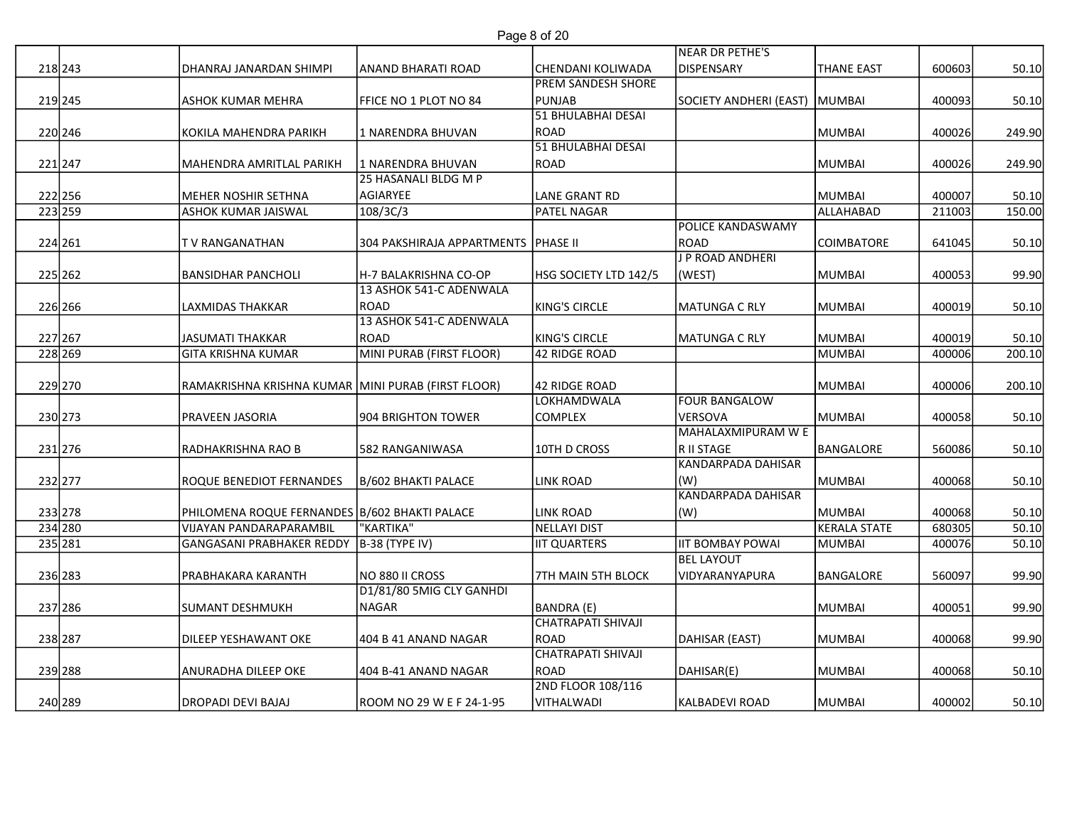|                    |                                                                          |                                             | Page 8 of 20                                   |                                         |                        |                  |                |
|--------------------|--------------------------------------------------------------------------|---------------------------------------------|------------------------------------------------|-----------------------------------------|------------------------|------------------|----------------|
|                    |                                                                          |                                             |                                                | NEAR DR PETHE'S                         |                        |                  |                |
| 218 243            | DHANRAJ JANARDAN SHIMPI                                                  | ANAND BHARATI ROAD                          | CHENDANI KOLIWADA<br><b>PREM SANDESH SHORE</b> | DISPENSARY                              | <b>THANE EAST</b>      | 600603           | 50.10          |
| 219 245            | <b>ASHOK KUMAR MEHRA</b>                                                 | FFICE NO 1 PLOT NO 84                       | PUNJAB                                         | SOCIETY ANDHERI (EAST) MUMBAI           |                        | 400093           | 50.10          |
|                    |                                                                          |                                             | 51 BHULABHAI DESAI                             |                                         |                        |                  |                |
| 220 246            | KOKILA MAHENDRA PARIKH                                                   | 1 NARENDRA BHUVAN                           | ROAD<br>51 BHULABHAI DESAI                     |                                         | MUMBAI                 | 400026           | 249.90         |
| 221 247            | MAHENDRA AMRITLAL PARIKH                                                 | 1 NARENDRA BHUVAN                           | ROAD                                           |                                         | MUMBAI                 | 400026           | 249.90         |
|                    |                                                                          | 25 HASANALI BLDG M P                        |                                                |                                         |                        |                  |                |
| 222 256            | MEHER NOSHIR SETHNA                                                      | AGIARYEE                                    | LANE GRANT RD                                  |                                         | MUMBAI                 | 400007           | 50.10          |
| 223 259            | <b>ASHOK KUMAR JAISWAL</b>                                               | 108/3C/3                                    | <b>PATEL NAGAR</b>                             | POLICE KANDASWAMY                       | ALLAHABAD              | 211003           | 150.00         |
| 224 261            | <b>TV RANGANATHAN</b>                                                    | 304 PAKSHIRAJA APPARTMENTS  PHASE II        |                                                | ROAD                                    | <b>COIMBATORE</b>      | 641045           | 50.10          |
|                    |                                                                          |                                             |                                                | J P ROAD ANDHERI                        |                        |                  |                |
| 225 262            | <b>BANSIDHAR PANCHOLI</b>                                                | H-7 BALAKRISHNA CO-OP                       | HSG SOCIETY LTD 142/5                          | (WEST)                                  | MUMBAI                 | 400053           | 99.90          |
| 226 266            | LAXMIDAS THAKKAR                                                         | 13 ASHOK 541-C ADENWALA<br>ROAD             | KING'S CIRCLE                                  | MATUNGA C RLY                           | MUMBAI                 | 400019           | 50.10          |
|                    |                                                                          | 13 ASHOK 541-C ADENWALA                     |                                                |                                         |                        |                  |                |
| 227 267            | <b>JASUMATI THAKKAR</b>                                                  | ROAD                                        | KING'S CIRCLE                                  | MATUNGA C RLY                           | <b>MUMBAI</b>          | 400019           | 50.10          |
| 228 269            | <b>GITA KRISHNA KUMAR</b>                                                | MINI PURAB (FIRST FLOOR)                    | 42 RIDGE ROAD                                  |                                         | MUMBAI                 | 400006           | 200.10         |
| 229 270            | RAMAKRISHNA KRISHNA KUMAR MINI PURAB (FIRST FLOOR)                       |                                             | 42 RIDGE ROAD                                  |                                         | MUMBAI                 | 400006           | 200.10         |
|                    |                                                                          |                                             | LOKHAMDWALA                                    | <b>FOUR BANGALOW</b>                    |                        |                  |                |
| 230 273            | <b>PRAVEEN JASORIA</b>                                                   | 904 BRIGHTON TOWER                          | <b>COMPLEX</b>                                 | VERSOVA                                 | MUMBAI                 | 400058           | 50.10          |
|                    | RADHAKRISHNA RAO B                                                       |                                             | 10TH D CROSS                                   | MAHALAXMIPURAM W E                      |                        | 560086           |                |
| 231 276            |                                                                          | 582 RANGANIWASA                             |                                                | R II STAGE<br><b>KANDARPADA DAHISAR</b> | BANGALORE              |                  | 50.10          |
| 232 277            | ROQUE BENEDIOT FERNANDES                                                 | B/602 BHAKTI PALACE                         | <b>LINK ROAD</b>                               | (W)                                     | MUMBAI                 | 400068           | 50.10          |
|                    |                                                                          |                                             |                                                | <b>KANDARPADA DAHISAR</b>               |                        |                  |                |
| 233 278<br>234 280 | PHILOMENA ROQUE FERNANDES B/602 BHAKTI PALACE<br>VIJAYAN PANDARAPARAMBIL | "KARTIKA"                                   | LINK ROAD<br>NELLAYI DIST                      | (W)                                     | MUMBAI<br>KERALA STATE | 400068<br>680305 | 50.10<br>50.10 |
| 235 281            | <b>GANGASANI PRABHAKER REDDY</b>                                         | $B-38$ (TYPE IV)                            | <b>IIT QUARTERS</b>                            | <b>IIT BOMBAY POWAI</b>                 | MUMBAI                 | 400076           | 50.10          |
|                    |                                                                          |                                             |                                                | <b>BEL LAYOUT</b>                       |                        |                  |                |
| 236 283            | PRABHAKARA KARANTH                                                       | NO 880 II CROSS<br>D1/81/80 5MIG CLY GANHDI | 7TH MAIN 5TH BLOCK                             | VIDYARANYAPURA                          | BANGALORE              | 560097           | 99.90          |
| 237 286            | <b>SUMANT DESHMUKH</b>                                                   | NAGAR                                       | BANDRA (E)                                     |                                         | MUMBAI                 | 400051           | 99.90          |
|                    |                                                                          |                                             | <b>CHATRAPATI SHIVAJI</b>                      |                                         |                        |                  |                |
| 238 287            | <b>DILEEP YESHAWANT OKE</b>                                              | 404 B 41 ANAND NAGAR                        | ROAD                                           | DAHISAR (EAST)                          | MUMBAI                 | 400068           | 99.90          |
| 239 288            | ANURADHA DILEEP OKE                                                      | 404 B-41 ANAND NAGAR                        | <b>CHATRAPATI SHIVAJI</b><br>ROAD              | DAHISAR(E)                              | MUMBAI                 | 400068           | 50.10          |
|                    |                                                                          |                                             | 2ND FLOOR 108/116                              |                                         |                        |                  |                |
| 240 289            | <b>DROPADI DEVI BAJAJ</b>                                                | ROOM NO 29 W E F 24-1-95                    | VITHALWADI                                     | KALBADEVI ROAD                          | MUMBAI                 | 400002           | 50.10          |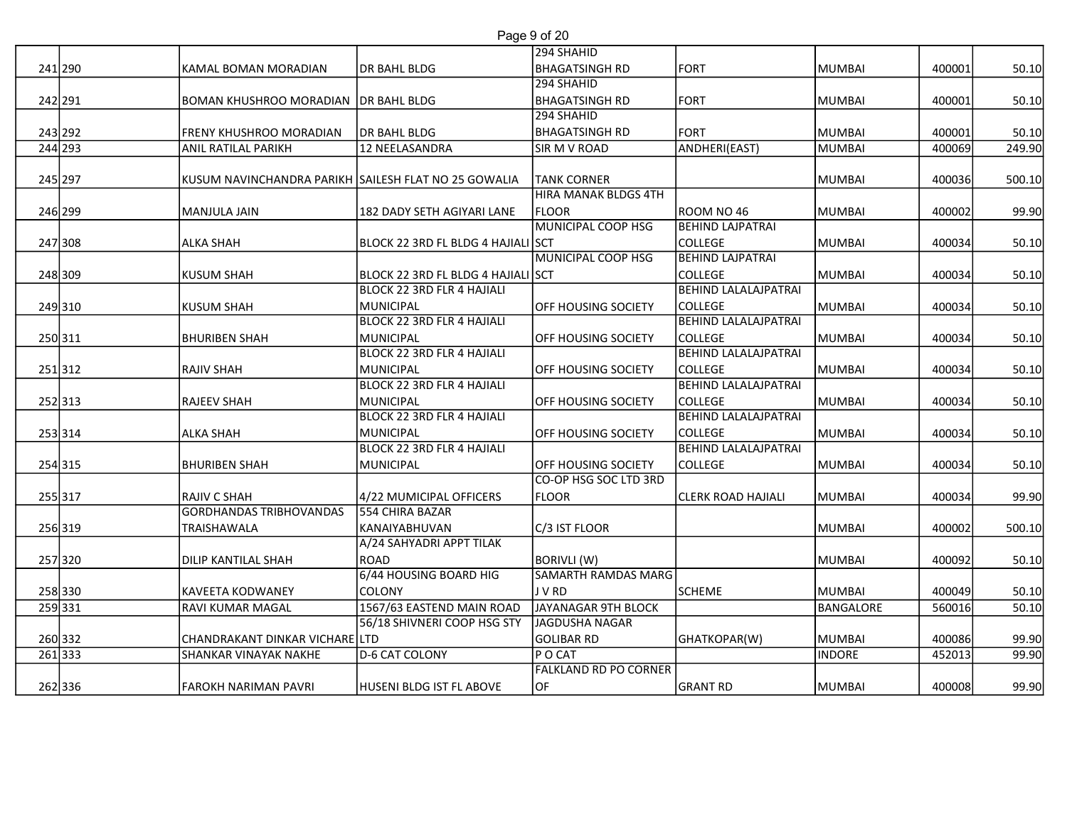|                    |                                                         |                                                                  | Page 9 of 20                                 |                                               |                  |                  |                 |
|--------------------|---------------------------------------------------------|------------------------------------------------------------------|----------------------------------------------|-----------------------------------------------|------------------|------------------|-----------------|
| 241 290            |                                                         |                                                                  | 294 SHAHID<br><b>BHAGATSINGH RD</b>          | FORT                                          | MUMBAI           | 400001           |                 |
|                    | KAMAL BOMAN MORADIAN                                    | DR BAHL BLDG                                                     | 294 SHAHID                                   |                                               |                  |                  | 50.10           |
| 242 291            | BOMAN KHUSHROO MORADIAN   DR BAHL BLDG                  |                                                                  | <b>BHAGATSINGH RD</b>                        | FORT                                          | MUMBAI           | 400001           | 50.10           |
|                    |                                                         |                                                                  | 294 SHAHID                                   |                                               |                  |                  |                 |
| 243 292<br>244 293 | FRENY KHUSHROO MORADIAN<br><b>ANIL RATILAL PARIKH</b>   | DR BAHL BLDG<br>12 NEELASANDRA                                   | <b>BHAGATSINGH RD</b><br><b>SIR M V ROAD</b> | FORT<br>ANDHERI(EAST)                         | MUMBAI<br>MUMBAI | 400001<br>400069 | 50.10<br>249.90 |
|                    |                                                         |                                                                  |                                              |                                               |                  |                  |                 |
| 245 297            | KUSUM NAVINCHANDRA PARIKH SAILESH FLAT NO 25 GOWALIA    |                                                                  | <b>TANK CORNER</b>                           |                                               | <b>MUMBAI</b>    | 400036           | 500.10          |
| 246 299            | MANJULA JAIN                                            | 182 DADY SETH AGIYARI LANE                                       | <b>HIRA MANAK BLDGS 4TH</b><br>FLOOR         | ROOM NO 46                                    | MUMBAI           | 400002           | 99.90           |
|                    |                                                         |                                                                  | MUNICIPAL COOP HSG                           | <b>BEHIND LAJPATRAI</b>                       |                  |                  |                 |
| 247 308            | <b>ALKA SHAH</b>                                        | BLOCK 22 3RD FL BLDG 4 HAJIALI SCT                               |                                              | <b>COLLEGE</b>                                | MUMBAI           | 400034           | 50.10           |
|                    |                                                         |                                                                  | MUNICIPAL COOP HSG                           | <b>BEHIND LAJPATRAI</b>                       |                  |                  |                 |
| 248 309            | <b>KUSUM SHAH</b>                                       | BLOCK 22 3RD FL BLDG 4 HAJIALI SCT<br>BLOCK 22 3RD FLR 4 HAJIALI |                                              | <b>COLLEGE</b><br><b>BEHIND LALALAJPATRAI</b> | MUMBAI           | 400034           | 50.10           |
| 249310             | <b>KUSUM SHAH</b>                                       | <b>MUNICIPAL</b>                                                 | <b>OFF HOUSING SOCIETY</b>                   | <b>COLLEGE</b>                                | <b>MUMBAI</b>    | 400034           | 50.10           |
|                    |                                                         | <b>BLOCK 22 3RD FLR 4 HAJIALI</b>                                |                                              | <b>BEHIND LALALAJPATRAI</b>                   |                  |                  |                 |
| 250 311            | <b>BHURIBEN SHAH</b>                                    | MUNICIPAL<br>BLOCK 22 3RD FLR 4 HAJIALI                          | <b>OFF HOUSING SOCIETY</b>                   | <b>COLLEGE</b><br><b>BEHIND LALALAJPATRAI</b> | <b>MUMBAI</b>    | 400034           | 50.10           |
| 251312             | RAJIV SHAH                                              | MUNICIPAL                                                        | <b>OFF HOUSING SOCIETY</b>                   | <b>COLLEGE</b>                                | MUMBAI           | 400034           | 50.10           |
|                    |                                                         | <b>BLOCK 22 3RD FLR 4 HAJIALI</b>                                |                                              | <b>BEHIND LALALAJPATRAI</b>                   |                  |                  |                 |
| 252313             | <b>RAJEEV SHAH</b>                                      | <b>MUNICIPAL</b>                                                 | <b>OFF HOUSING SOCIETY</b>                   | <b>COLLEGE</b>                                | MUMBAI           | 400034           | 50.10           |
| 253314             | <b>ALKA SHAH</b>                                        | BLOCK 22 3RD FLR 4 HAJIALI<br><b>MUNICIPAL</b>                   | <b>OFF HOUSING SOCIETY</b>                   | <b>BEHIND LALALAJPATRAI</b><br><b>COLLEGE</b> | MUMBAI           | 400034           | 50.10           |
|                    |                                                         | BLOCK 22 3RD FLR 4 HAJIALI                                       |                                              | <b>BEHIND LALALAJPATRAI</b>                   |                  |                  |                 |
| 254 315            | <b>BHURIBEN SHAH</b>                                    | <b>MUNICIPAL</b>                                                 | <b>OFF HOUSING SOCIETY</b>                   | <b>COLLEGE</b>                                | MUMBAI           | 400034           | 50.10           |
|                    |                                                         |                                                                  | CO-OP HSG SOC LTD 3RD<br><b>FLOOR</b>        |                                               |                  |                  |                 |
| 255 317            | RAJIV C SHAH<br><b>GORDHANDAS TRIBHOVANDAS</b>          | 4/22 MUMICIPAL OFFICERS<br>554 CHIRA BAZAR                       |                                              | <b>CLERK ROAD HAJIALI</b>                     | MUMBAI           | 400034           | 99.90           |
| 256 319            | TRAISHAWALA                                             | KANAIYABHUVAN                                                    | C/3 IST FLOOR                                |                                               | <b>MUMBAI</b>    | 400002           | 500.10          |
|                    |                                                         | A/24 SAHYADRI APPT TILAK                                         |                                              |                                               |                  |                  |                 |
| 257 320            | DILIP KANTILAL SHAH                                     | <b>ROAD</b><br>6/44 HOUSING BOARD HIG                            | BORIVLI (W)<br><b>SAMARTH RAMDAS MARG</b>    |                                               | <b>MUMBAI</b>    | 400092           | 50.10           |
| 258 330            | KAVEETA KODWANEY                                        | COLONY                                                           | J V RD                                       | SCHEME                                        | MUMBAI           | 400049           | 50.10           |
| 259 331            | RAVI KUMAR MAGAL                                        | 1567/63 EASTEND MAIN ROAD                                        | JAYANAGAR 9TH BLOCK                          |                                               | BANGALORE        | 560016           | 50.10           |
|                    |                                                         | 56/18 SHIVNERI COOP HSG STY                                      | JAGDUSHA NAGAR                               |                                               |                  |                  |                 |
| 260 332<br>261333  | CHANDRAKANT DINKAR VICHARE LTD<br>SHANKAR VINAYAK NAKHE | D-6 CAT COLONY                                                   | GOLIBAR RD<br>P O CAT                        | GHATKOPAR(W)                                  | MUMBAI<br>INDORE | 400086<br>452013 | 99.90<br>99.90  |
|                    |                                                         |                                                                  | <b>FALKLAND RD PO CORNER</b>                 |                                               |                  |                  |                 |
| 262336             | <b>FAROKH NARIMAN PAVRI</b>                             | HUSENI BLDG IST FL ABOVE                                         | OF                                           | GRANT RD                                      | MUMBAI           | 400008           |                 |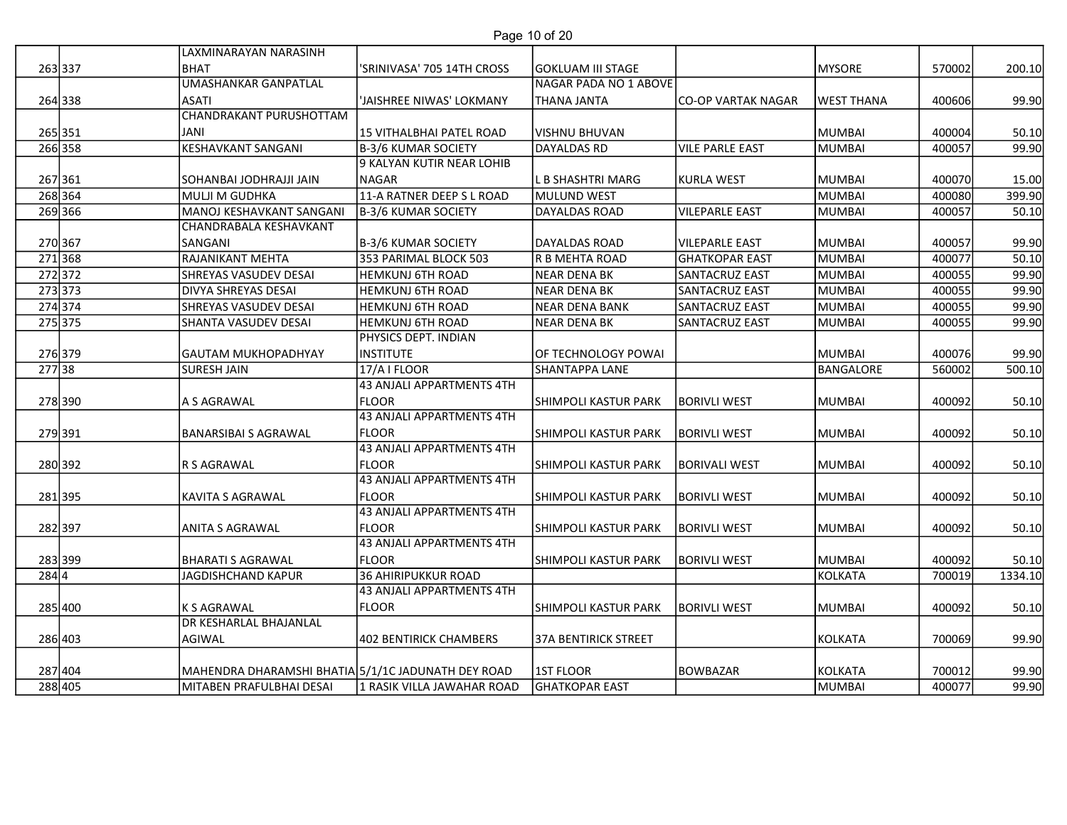| Page 10 of 20 |  |  |
|---------------|--|--|
|               |  |  |

|                     |         | LAXMINARAYAN NARASINH                              | Page 10 of 20                                           |                                       |                                         |                   |                  |                |
|---------------------|---------|----------------------------------------------------|---------------------------------------------------------|---------------------------------------|-----------------------------------------|-------------------|------------------|----------------|
| 263337              |         | <b>BHAT</b>                                        | 'SRINIVASA' 705 14TH CROSS                              | <b>GOKLUAM III STAGE</b>              |                                         | <b>MYSORE</b>     | 570002           | 200.10         |
|                     |         | <b>UMASHANKAR GANPATLAL</b>                        |                                                         | NAGAR PADA NO 1 ABOVE                 |                                         |                   |                  |                |
| 264 338             |         | <b>ASATI</b>                                       | 'JAISHREE NIWAS' LOKMANY                                | <b>THANA JANTA</b>                    | <b>CO-OP VARTAK NAGAR</b>               | <b>WEST THANA</b> | 400606           | 99.90          |
|                     |         | <b>CHANDRAKANT PURUSHOTTAM</b>                     |                                                         |                                       |                                         |                   |                  |                |
| 265 351<br>266 358  |         | JANI<br><b>KESHAVKANT SANGANI</b>                  | 15 VITHALBHAI PATEL ROAD<br><b>B-3/6 KUMAR SOCIETY</b>  | <b>VISHNU BHUVAN</b><br>DAYALDAS RD   | <b>VILE PARLE EAST</b>                  | MUMBAI<br>MUMBAI  | 400004<br>400057 | 50.10<br>99.90 |
|                     |         |                                                    | 9 KALYAN KUTIR NEAR LOHIB                               |                                       |                                         |                   |                  |                |
| 267 361             |         | SOHANBAI JODHRAJJI JAIN                            | <b>NAGAR</b>                                            | L B SHASHTRI MARG                     | <b>KURLA WEST</b>                       | MUMBAI            | 400070           | 15.00          |
| 268 364             |         | MULJI M GUDHKA                                     | 11-A RATNER DEEP S L ROAD                               | MULUND WEST                           |                                         | MUMBAI            | 400080           | 399.90         |
| 269 366             |         | MANOJ KESHAVKANT SANGANI                           | B-3/6 KUMAR SOCIETY                                     | DAYALDAS ROAD                         | <b>VILEPARLE EAST</b>                   | MUMBAI            | 400057           | 50.10          |
|                     |         | CHANDRABALA KESHAVKANT                             |                                                         |                                       |                                         |                   |                  |                |
| 270 367             |         | SANGANI                                            | B-3/6 KUMAR SOCIETY                                     | <b>DAYALDAS ROAD</b>                  | <b>VILEPARLE EAST</b>                   | MUMBAI            | 400057           | 99.90          |
| 271368<br>272372    |         | RAJANIKANT MEHTA<br><b>SHREYAS VASUDEV DESAI</b>   | 353 PARIMAL BLOCK 503<br><b>HEMKUNJ 6TH ROAD</b>        | R B MEHTA ROAD<br><b>NEAR DENA BK</b> | <b>GHATKOPAR EAST</b><br>SANTACRUZ EAST | MUMBAI<br>MUMBAI  | 400077<br>400055 | 50.10<br>99.90 |
| 273 373             |         | <b>DIVYA SHREYAS DESAI</b>                         | <b>HEMKUNJ 6TH ROAD</b>                                 | <b>NEAR DENA BK</b>                   | SANTACRUZ EAST                          | MUMBAI            | 400055           | 99.90          |
| 274 374             |         | SHREYAS VASUDEV DESAI                              | <b>HEMKUNJ 6TH ROAD</b>                                 | <b>NEAR DENA BANK</b>                 | SANTACRUZ EAST                          | MUMBAI            | 400055           | 99.90          |
| 275 375             |         | SHANTA VASUDEV DESAI                               | <b>HEMKUNJ 6TH ROAD</b>                                 | <b>NEAR DENA BK</b>                   | <b>SANTACRUZ EAST</b>                   | MUMBAI            | 400055           | 99.90          |
|                     |         |                                                    | PHYSICS DEPT. INDIAN                                    |                                       |                                         |                   |                  |                |
| 276 379             |         | <b>GAUTAM MUKHOPADHYAY</b>                         | <b>INSTITUTE</b>                                        | OF TECHNOLOGY POWAI                   |                                         | MUMBAI            | 400076           | 99.90          |
| $\overline{277 38}$ |         | <b>SURESH JAIN</b>                                 | 17/A I FLOOR<br><b>43 ANJALI APPARTMENTS 4TH</b>        | <b>SHANTAPPA LANE</b>                 |                                         | BANGALORE         | 560002           | 500.10         |
| 278 390             |         | A S AGRAWAL                                        | <b>FLOOR</b>                                            | <b>SHIMPOLI KASTUR PARK</b>           | <b>BORIVLI WEST</b>                     | MUMBAI            | 400092           | 50.10          |
|                     |         |                                                    | 43 ANJALI APPARTMENTS 4TH                               |                                       |                                         |                   |                  |                |
| 279391              |         | <b>BANARSIBAI S AGRAWAL</b>                        | <b>FLOOR</b>                                            | <b>SHIMPOLI KASTUR PARK</b>           | <b>BORIVLI WEST</b>                     | MUMBAI            | 400092           | 50.10          |
|                     |         |                                                    | 43 ANJALI APPARTMENTS 4TH                               |                                       |                                         |                   |                  |                |
| 280 392             |         | R S AGRAWAL                                        | <b>FLOOR</b><br><b>43 ANJALI APPARTMENTS 4TH</b>        | <b>SHIMPOLI KASTUR PARK</b>           | <b>BORIVALI WEST</b>                    | MUMBAI            | 400092           | 50.10          |
| 281 395             |         | KAVITA S AGRAWAL                                   | <b>FLOOR</b>                                            | SHIMPOLI KASTUR PARK                  | <b>BORIVLI WEST</b>                     | MUMBAI            | 400092           | 50.10          |
|                     |         |                                                    | 43 ANJALI APPARTMENTS 4TH                               |                                       |                                         |                   |                  |                |
| 282397              |         | ANITA S AGRAWAL                                    | <b>FLOOR</b>                                            | SHIMPOLI KASTUR PARK                  | <b>BORIVLI WEST</b>                     | MUMBAI            | 400092           | 50.10          |
|                     |         |                                                    | <b>43 ANJALI APPARTMENTS 4TH</b>                        |                                       |                                         |                   |                  |                |
| 283 399             |         | <b>BHARATI S AGRAWAL</b>                           | <b>FLOOR</b>                                            | <b>SHIMPOLI KASTUR PARK</b>           | <b>BORIVLI WEST</b>                     | MUMBAI            | 400092           | 50.10          |
| 284 4               |         | <b>JAGDISHCHAND KAPUR</b>                          | <b>36 AHIRIPUKKUR ROAD</b><br>43 ANJALI APPARTMENTS 4TH |                                       |                                         | KOLKATA           | 700019           | 1334.10        |
| 285 400             |         | K S AGRAWAL                                        | <b>FLOOR</b>                                            | SHIMPOLI KASTUR PARK                  | <b>BORIVLI WEST</b>                     | MUMBAI            | 400092           | 50.10          |
|                     |         | DR KESHARLAL BHAJANLAL                             |                                                         |                                       |                                         |                   |                  |                |
| 286 403             |         | AGIWAL                                             | <b>402 BENTIRICK CHAMBERS</b>                           | 37A BENTIRICK STREET                  |                                         | <b>KOLKATA</b>    | 700069           | 99.90          |
|                     |         |                                                    |                                                         |                                       |                                         |                   |                  |                |
| 287 404             |         | MAHENDRA DHARAMSHI BHATIA 5/1/1C JADUNATH DEY ROAD |                                                         | 1ST FLOOR<br><b>GHATKOPAR EAST</b>    | BOWBAZAR                                | <b>KOLKATA</b>    | 700012           | 99.90          |
|                     | 288 405 | MITABEN PRAFULBHAI DESAI                           | 1 RASIK VILLA JAWAHAR ROAD                              |                                       |                                         | <b>MUMBAI</b>     | 400077           | 99.90          |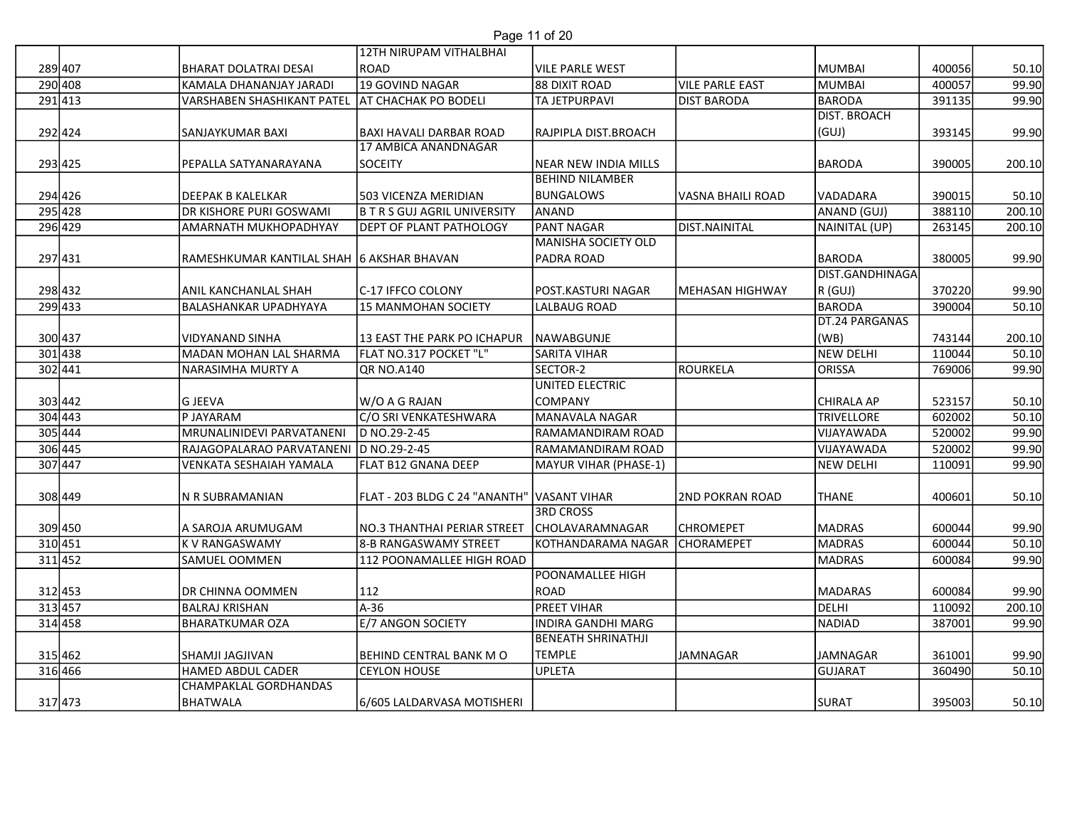## Page 11 of 20

|         |                                           | 12TH NIRUPAM VITHALBHAI                    | Page 11 of 20                                          |                        |                     |        |        |
|---------|-------------------------------------------|--------------------------------------------|--------------------------------------------------------|------------------------|---------------------|--------|--------|
| 289 407 | <b>BHARAT DOLATRAI DESAI</b>              | ROAD                                       | <b>VILE PARLE WEST</b>                                 |                        | MUMBAI              | 400056 | 50.10  |
| 290 408 | KAMALA DHANANJAY JARADI                   | 19 GOVIND NAGAR                            | 88 DIXIT ROAD                                          | <b>VILE PARLE EAST</b> | MUMBAI              | 400057 | 99.90  |
| 291 413 | <b>VARSHABEN SHASHIKANT PATEL</b>         | <b>AT CHACHAK PO BODELI</b>                | <b>TA JETPURPAVI</b>                                   | <b>DIST BARODA</b>     | BARODA              | 391135 | 99.90  |
|         |                                           |                                            |                                                        |                        | <b>DIST. BROACH</b> |        |        |
| 292424  | SANJAYKUMAR BAXI                          | <b>BAXI HAVALI DARBAR ROAD</b>             | RAJPIPLA DIST.BROACH                                   |                        | (GUJ)               | 393145 | 99.90  |
|         | PEPALLA SATYANARAYANA                     | 17 AMBICA ANANDNAGAR<br>SOCEITY            | NEAR NEW INDIA MILLS                                   |                        | <b>BARODA</b>       | 390005 |        |
| 293 425 |                                           |                                            | <b>BEHIND NILAMBER</b>                                 |                        |                     |        | 200.10 |
| 294 426 | DEEPAK B KALELKAR                         | 503 VICENZA MERIDIAN                       | <b>BUNGALOWS</b>                                       | VASNA BHAILI ROAD      | VADADARA            | 390015 | 50.10  |
| 295 428 | <b>DR KISHORE PURI GOSWAMI</b>            | <b>B T R S GUJ AGRIL UNIVERSITY</b>        | ANAND                                                  |                        | ANAND (GUJ)         | 388110 | 200.10 |
| 296 429 | <b>AMARNATH MUKHOPADHYAY</b>              | <b>DEPT OF PLANT PATHOLOGY</b>             | <b>PANT NAGAR</b>                                      | DIST.NAINITAL          | NAINITAL (UP)       | 263145 | 200.10 |
|         |                                           |                                            | MANISHA SOCIETY OLD                                    |                        |                     |        |        |
| 297431  | RAMESHKUMAR KANTILAL SHAH 6 AKSHAR BHAVAN |                                            | <b>PADRA ROAD</b>                                      |                        | <b>BARODA</b>       | 380005 | 99.90  |
|         |                                           |                                            |                                                        |                        | DIST.GANDHINAGA     |        |        |
| 298 432 | ANIL KANCHANLAL SHAH                      | lc-17 IFFCO COLONY                         | lpost.Kasturi nagar                                    | MEHASAN HIGHWAY        | R (GUJ)             | 370220 | 99.90  |
| 299 433 | <b>BALASHANKAR UPADHYAYA</b>              | 15 MANMOHAN SOCIETY                        | LALBAUG ROAD                                           |                        | BARODA              | 390004 | 50.10  |
|         |                                           |                                            |                                                        |                        | DT.24 PARGANAS      |        |        |
| 300 437 | VIDYANAND SINHA                           | 13 EAST THE PARK PO ICHAPUR NAWABGUNJE     |                                                        |                        | (WB)                | 743144 | 200.10 |
| 301 438 | MADAN MOHAN LAL SHARMA                    | FLAT NO.317 POCKET "L"                     | <b>SARITA VIHAR</b>                                    |                        | NEW DELHI           | 110044 | 50.10  |
| 302 441 | NARASIMHA MURTY A                         | QR NO.A140                                 | SECTOR-2<br><b>UNITED ELECTRIC</b>                     | ROURKELA               | <b>ORISSA</b>       | 769006 | 99.90  |
| 303 442 | <b>G JEEVA</b>                            | W/O A G RAJAN                              | COMPANY                                                |                        | CHIRALA AP          | 523157 | 50.10  |
| 304 443 | P JAYARAM                                 | C/O SRI VENKATESHWARA                      | MANAVALA NAGAR                                         |                        | <b>TRIVELLORE</b>   | 602002 | 50.10  |
| 305 444 | MRUNALINIDEVI PARVATANENI                 | D NO.29-2-45                               | RAMAMANDIRAM ROAD                                      |                        | VIJAYAWADA          | 520002 | 99.90  |
| 306 445 | RAJAGOPALARAO PARVATANENI D NO.29-2-45    |                                            | RAMAMANDIRAM ROAD                                      |                        | VIJAYAWADA          | 520002 | 99.90  |
| 307 447 | VENKATA SESHAIAH YAMALA                   | FLAT B12 GNANA DEEP                        | MAYUR VIHAR (PHASE-1)                                  |                        | NEW DELHI           | 110091 | 99.90  |
|         |                                           |                                            |                                                        |                        |                     |        |        |
| 308 449 | N R SUBRAMANIAN                           | FLAT - 203 BLDG C 24 "ANANTH" VASANT VIHAR |                                                        | <b>2ND POKRAN ROAD</b> | <b>THANE</b>        | 400601 | 50.10  |
|         |                                           |                                            | <b>3RD CROSS</b>                                       |                        |                     |        |        |
| 309 450 | A SAROJA ARUMUGAM                         | NO.3 THANTHAI PERIAR STREET                | <b>CHOLAVARAMNAGAR</b>                                 | <b>CHROMEPET</b>       | <b>MADRAS</b>       | 600044 | 99.90  |
| 310 451 | <b>KV RANGASWAMY</b>                      | 8-B RANGASWAMY STREET                      | KOTHANDARAMA NAGAR                                     | <b>CHORAMEPET</b>      | MADRAS              | 600044 | 50.10  |
| 311 452 | SAMUEL OOMMEN                             | 112 POONAMALLEE HIGH ROAD                  |                                                        |                        | MADRAS              | 600084 | 99.90  |
|         |                                           |                                            | POONAMALLEE HIGH                                       |                        |                     |        |        |
| 312 453 | DR CHINNA OOMMEN                          | 112                                        | ROAD                                                   |                        | <b>MADARAS</b>      | 600084 | 99.90  |
| 313 457 | <b>BALRAJ KRISHAN</b>                     | A-36                                       | <b>PREET VIHAR</b>                                     |                        | DELHI               | 110092 | 200.10 |
| 314 458 | <b>BHARATKUMAR OZA</b>                    | E/7 ANGON SOCIETY                          | <b>INDIRA GANDHI MARG</b><br><b>BENEATH SHRINATHJI</b> |                        | NADIAD              | 387001 | 99.90  |
| 315 462 | <b>SHAMJI JAGJIVAN</b>                    | BEHIND CENTRAL BANK M O                    | <b>TEMPLE</b>                                          | JAMNAGAR               | <b>JAMNAGAR</b>     | 361001 | 99.90  |
| 316 466 | HAMED ABDUL CADER                         | <b>CEYLON HOUSE</b>                        | UPLETA                                                 |                        | GUJARAT             | 360490 | 50.10  |
|         | <b>CHAMPAKLAL GORDHANDAS</b>              |                                            |                                                        |                        |                     |        |        |
| 317 473 | BHATWALA                                  | 6/605 LALDARVASA MOTISHERI                 |                                                        |                        | <b>SURAT</b>        | 395003 | 50.10  |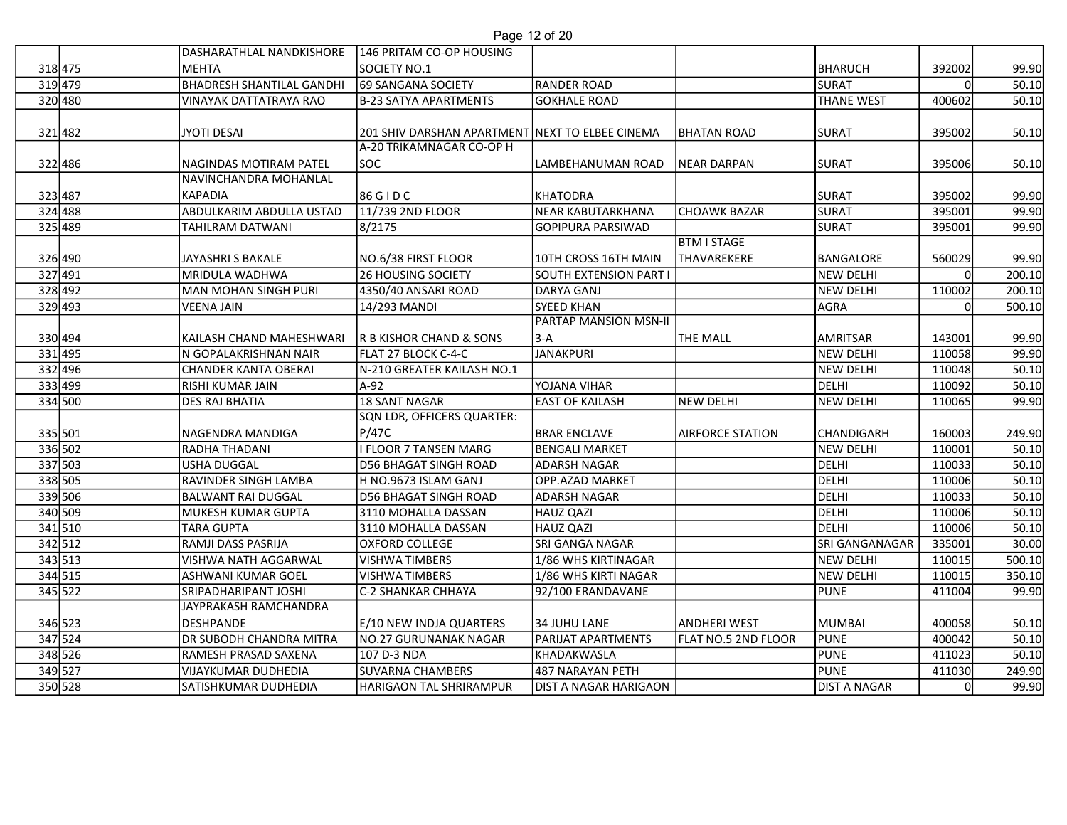|                    |                                             |                                                                             | Page 12 of 20                                    |                            |                             |        |                 |
|--------------------|---------------------------------------------|-----------------------------------------------------------------------------|--------------------------------------------------|----------------------------|-----------------------------|--------|-----------------|
|                    | DASHARATHLAL NANDKISHORE                    | 146 PRITAM CO-OP HOUSING                                                    |                                                  |                            |                             |        |                 |
| 318 475            | <b>MEHTA</b>                                | SOCIETY NO.1                                                                |                                                  |                            | BHARUCH                     | 392002 | 99.90           |
| 319 479            | <b>BHADRESH SHANTILAL GANDHI</b>            | 69 SANGANA SOCIETY                                                          | RANDER ROAD                                      |                            | SURAT                       |        | 50.10           |
| 320 480            | <b>VINAYAK DATTATRAYA RAO</b>               | <b>B-23 SATYA APARTMENTS</b>                                                | <b>GOKHALE ROAD</b>                              |                            | <b>THANE WEST</b>           | 400602 | 50.10           |
|                    |                                             |                                                                             |                                                  |                            |                             |        |                 |
| 321482             | <b>JYOTI DESAI</b>                          | 201 SHIV DARSHAN APARTMENT NEXT TO ELBEE CINEMA<br>A-20 TRIKAMNAGAR CO-OP H |                                                  | <b>BHATAN ROAD</b>         | SURAT                       | 395002 | 50.10           |
| 322 486            | NAGINDAS MOTIRAM PATEL                      | SOC                                                                         | LAMBEHANUMAN ROAD                                | <b>NEAR DARPAN</b>         | <b>SURAT</b>                | 395006 | 50.10           |
|                    | NAVINCHANDRA MOHANLAL                       |                                                                             |                                                  |                            |                             |        |                 |
| 323487             | KAPADIA                                     | 86 G I D C                                                                  | KHATODRA                                         |                            | <b>SURAT</b>                | 395002 | 99.90           |
| 324 488            | ABDULKARIM ABDULLA USTAD                    | 11/739 2ND FLOOR                                                            | NEAR KABUTARKHANA                                | <b>CHOAWK BAZAR</b>        | SURAT                       | 395001 | 99.90           |
| 325 489            | <b>TAHILRAM DATWANI</b>                     | 8/2175                                                                      | <b>GOPIPURA PARSIWAD</b>                         |                            | SURAT                       | 395001 | 99.90           |
|                    |                                             |                                                                             |                                                  | <b>BTM I STAGE</b>         |                             |        |                 |
| 326 490            | JAYASHRI S BAKALE                           | NO.6/38 FIRST FLOOR                                                         | 10TH CROSS 16TH MAIN                             | <b>THAVAREKERE</b>         | BANGALORE                   | 560029 | 99.90           |
| 327 491            | <b>MRIDULA WADHWA</b>                       | <b>26 HOUSING SOCIETY</b>                                                   | SOUTH EXTENSION PART                             |                            | NEW DELHI                   |        | 200.10          |
| 328 492            | <b>MAN MOHAN SINGH PURI</b>                 | 4350/40 ANSARI ROAD                                                         | DARYA GANJ                                       |                            | NEW DELHI                   | 110002 | 200.10          |
| 329 493            | <b>VEENA JAIN</b>                           | 14/293 MANDI                                                                | <b>SYEED KHAN</b>                                |                            | AGRA                        |        | 500.10          |
|                    |                                             |                                                                             | <b>PARTAP MANSION MSN-II</b>                     |                            |                             |        |                 |
| 330 494            | KAILASH CHAND MAHESHWARI                    | <b>R B KISHOR CHAND &amp; SONS</b>                                          | $ 3-A $                                          | <b>THE MALL</b>            | AMRITSAR                    | 143001 | 99.90           |
| 331 495            | N GOPALAKRISHNAN NAIR                       | FLAT 27 BLOCK C-4-C                                                         | JANAKPURI                                        |                            | NEW DELHI                   | 110058 | 99.90           |
| 332 496            | CHANDER KANTA OBERAI                        | N-210 GREATER KAILASH NO.1                                                  |                                                  |                            | NEW DELHI                   | 110048 | 50.10           |
| 333 499            | RISHI KUMAR JAIN                            | A-92                                                                        | YOJANA VIHAR                                     |                            | DELHI                       | 110092 | 50.10           |
| 334 500            | DES RAJ BHATIA                              | <b>18 SANT NAGAR</b>                                                        | <b>EAST OF KAILASH</b>                           | <b>NEW DELHI</b>           | NEW DELHI                   | 110065 | 99.90           |
|                    | NAGENDRA MANDIGA                            | SQN LDR, OFFICERS QUARTER:                                                  |                                                  | <b>AIRFORCE STATION</b>    | <b>CHANDIGARH</b>           | 160003 |                 |
| 335 501<br>336 502 | RADHA THADANI                               | P/47C<br>I FLOOR 7 TANSEN MARG                                              | <b>BRAR ENCLAVE</b><br><b>BENGALI MARKET</b>     |                            | NEW DELHI                   | 110001 | 249.90<br>50.10 |
| 337 503            | USHA DUGGAL                                 | D56 BHAGAT SINGH ROAD                                                       | <b>ADARSH NAGAR</b>                              |                            | DELHI                       | 110033 | 50.10           |
| 338 505            | RAVINDER SINGH LAMBA                        | H NO.9673 ISLAM GANJ                                                        | OPP.AZAD MARKET                                  |                            | DELHI                       | 110006 | 50.10           |
| 339 506            | <b>BALWANT RAI DUGGAL</b>                   | <b>D56 BHAGAT SINGH ROAD</b>                                                | <b>ADARSH NAGAR</b>                              |                            | DELHI                       | 110033 | 50.10           |
| 340 509            | MUKESH KUMAR GUPTA                          | 3110 MOHALLA DASSAN                                                         | HAUZ QAZI                                        |                            | DELHI                       | 110006 | 50.10           |
| 341 510            | TARA GUPTA                                  | 3110 MOHALLA DASSAN                                                         | HAUZ QAZI                                        |                            | <b>DELHI</b>                | 110006 | 50.10           |
| 342 512            | RAMJI DASS PASRIJA                          | OXFORD COLLEGE                                                              | <b>SRI GANGA NAGAR</b>                           |                            | SRI GANGANAGAR              | 335001 | 30.00           |
| 343 513            | VISHWA NATH AGGARWAL                        | <b>VISHWA TIMBERS</b>                                                       | 1/86 WHS KIRTINAGAR                              |                            | <b>NEW DELHI</b>            | 110015 | 500.10          |
| 344 515            | ASHWANI KUMAR GOEL                          | VISHWA TIMBERS                                                              | 1/86 WHS KIRTI NAGAR                             |                            | NEW DELHI                   | 110015 | 350.10          |
| 345 522            | SRIPADHARIPANT JOSHI                        | C-2 SHANKAR CHHAYA                                                          | 92/100 ERANDAVANE                                |                            | PUNE                        | 411004 | 99.90           |
|                    | JAYPRAKASH RAMCHANDRA                       |                                                                             |                                                  |                            |                             |        |                 |
| 346 523            | DESHPANDE                                   | E/10 NEW INDJA QUARTERS                                                     | 34 JUHU LANE                                     | <b>ANDHERI WEST</b>        | MUMBAI                      | 400058 | 50.10           |
| 347 524            | DR SUBODH CHANDRA MITRA                     | NO.27 GURUNANAK NAGAR                                                       | <b>PARIJAT APARTMENTS</b>                        | <b>FLAT NO.5 2ND FLOOR</b> | PUNE                        | 400042 | 50.10           |
|                    | RAMESH PRASAD SAXENA                        | 107 D-3 NDA                                                                 | KHADAKWASLA                                      |                            | PUNE                        | 411023 | 50.10           |
| 348 526            |                                             |                                                                             |                                                  |                            |                             |        |                 |
| 349 527<br>350 528 | VIJAYKUMAR DUDHEDIA<br>SATISHKUMAR DUDHEDIA | SUVARNA CHAMBERS<br>HARIGAON TAL SHRIRAMPUR                                 | 487 NARAYAN PETH<br><b>DIST A NAGAR HARIGAON</b> |                            | PUNE<br><b>DIST A NAGAR</b> | 411030 | 249.90<br>99.90 |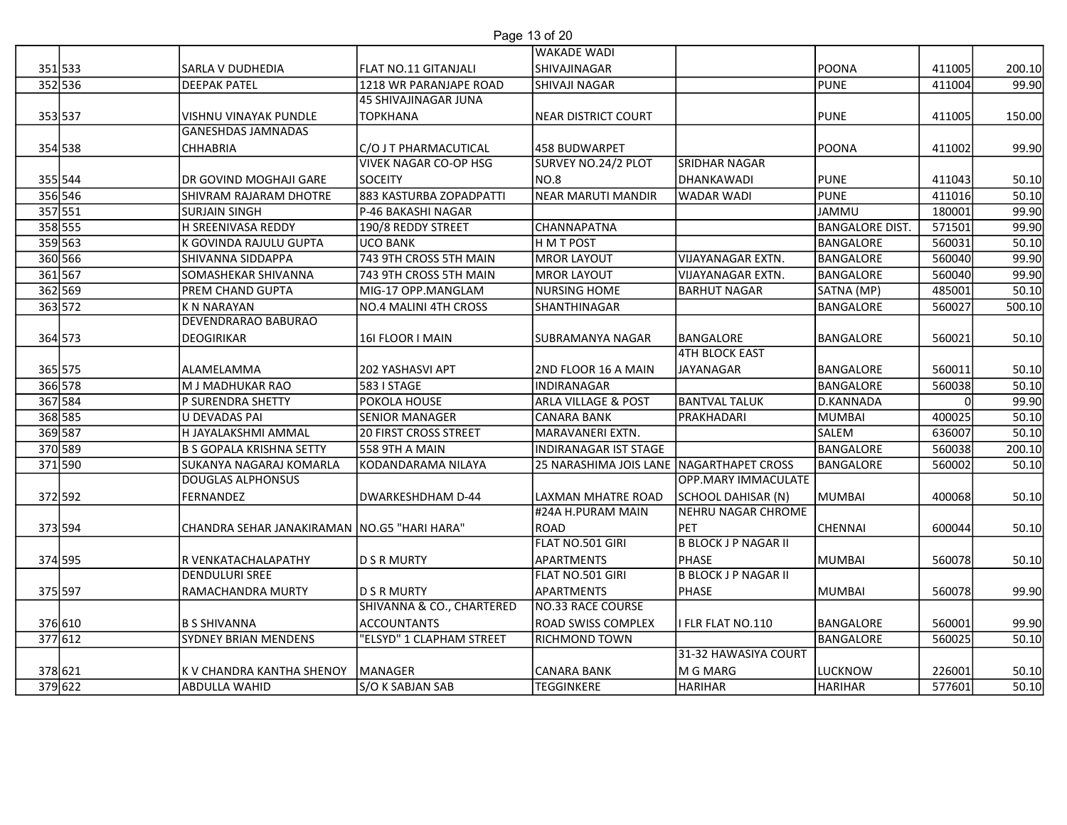# Page 13 of 20

|                      |                                             |                                                       | Page 13 of 20<br><b>WAKADE WADI</b>      |                                                 |                         |                  |                |
|----------------------|---------------------------------------------|-------------------------------------------------------|------------------------------------------|-------------------------------------------------|-------------------------|------------------|----------------|
| 351 533              | <b>SARLA V DUDHEDIA</b>                     | FLAT NO.11 GITANJALI                                  | SHIVAJINAGAR                             |                                                 | <b>POONA</b>            | 411005           | 200.10         |
| 352 536              | <b>DEEPAK PATEL</b>                         | 1218 WR PARANJAPE ROAD                                | <b>SHIVAJI NAGAR</b>                     |                                                 | PUNE                    | 411004           | 99.90          |
|                      |                                             | 45 SHIVAJINAGAR JUNA                                  |                                          |                                                 |                         |                  |                |
| 353 537              | VISHNU VINAYAK PUNDLE                       | <b>TOPKHANA</b>                                       | NEAR DISTRICT COURT                      |                                                 | PUNE                    | 411005           | 150.00         |
|                      | <b>GANESHDAS JAMNADAS</b>                   |                                                       |                                          |                                                 |                         |                  |                |
| 354 538              | <b>CHHABRIA</b>                             | C/O J T PHARMACUTICAL<br><b>VIVEK NAGAR CO-OP HSG</b> | 458 BUDWARPET<br>SURVEY NO.24/2 PLOT     | <b>SRIDHAR NAGAR</b>                            | <b>POONA</b>            | 411002           | 99.90          |
| 355 544              | DR GOVIND MOGHAJI GARE                      | <b>SOCEITY</b>                                        | NO.8                                     | DHANKAWADI                                      | PUNE                    | 411043           | 50.10          |
| 356 546              | SHIVRAM RAJARAM DHOTRE                      | 883 KASTURBA ZOPADPATTI                               | NEAR MARUTI MANDIR                       | <b>WADAR WADI</b>                               | PUNE                    | 411016           | 50.10          |
| 357 551              | <b>SURJAIN SINGH</b>                        | P-46 BAKASHI NAGAR                                    |                                          |                                                 | JAMMU                   | 180001           | 99.90          |
| 358 555              | H SREENIVASA REDDY                          | 190/8 REDDY STREET                                    | <b>CHANNAPATNA</b>                       |                                                 | <b>BANGALORE DIST.</b>  | 571501           | 99.90          |
| 359 563              | K GOVINDA RAJULU GUPTA                      | <b>UCO BANK</b>                                       | H M T POST                               |                                                 | BANGALORE               | 560031           | 50.10          |
| 360 566              | <b>SHIVANNA SIDDAPPA</b>                    | 743 9TH CROSS 5TH MAIN<br>743 9TH CROSS 5TH MAIN      | MROR LAYOUT                              | <b>VIJAYANAGAR EXTN.</b>                        | BANGALORE               | 560040           | 99.90          |
| 361 567<br>362 569   | SOMASHEKAR SHIVANNA<br>PREM CHAND GUPTA     | MIG-17 OPP.MANGLAM                                    | MROR LAYOUT<br>NURSING HOME              | <b>VIJAYANAGAR EXTN.</b><br><b>BARHUT NAGAR</b> | BANGALORE<br>SATNA (MP) | 560040<br>485001 | 99.90<br>50.10 |
| 363 572              | <b>K N NARAYAN</b>                          | NO.4 MALINI 4TH CROSS                                 | SHANTHINAGAR                             |                                                 | BANGALORE               | 560027           | 500.10         |
|                      | DEVENDRARAO BABURAO                         |                                                       |                                          |                                                 |                         |                  |                |
| 364 573              | DEOGIRIKAR                                  | 161 FLOOR I MAIN                                      | SUBRAMANYA NAGAR                         | BANGALORE                                       | BANGALORE               | 560021           | 50.10          |
|                      |                                             |                                                       |                                          | <b>4TH BLOCK EAST</b>                           |                         |                  |                |
| 365 575<br>$366$ 578 | ALAMELAMMA<br>M J MADHUKAR RAO              | 202 YASHASVI APT<br>583 I STAGE                       | 2ND FLOOR 16 A MAIN<br>INDIRANAGAR       | JAYANAGAR                                       | BANGALORE<br>BANGALORE  | 560011<br>560038 | 50.10<br>50.10 |
| 367 584              | P SURENDRA SHETTY                           | POKOLA HOUSE                                          | <b>ARLA VILLAGE &amp; POST</b>           | <b>BANTVAL TALUK</b>                            | D.KANNADA               |                  | 99.90          |
| 368 585              | U DEVADAS PAI                               | <b>SENIOR MANAGER</b>                                 | CANARA BANK                              | PRAKHADARI                                      | MUMBAI                  | 400025           | 50.10          |
| 369 587              | H JAYALAKSHMI AMMAL                         | <b>20 FIRST CROSS STREET</b>                          | MARAVANERI EXTN.                         |                                                 | <b>SALEM</b>            | 636007           | 50.10          |
| 370 589              | <b>B S GOPALA KRISHNA SETTY</b>             | 558 9TH A MAIN                                        | INDIRANAGAR IST STAGE                    |                                                 | BANGALORE               | 560038           | 200.10         |
| 371 590              | SUKANYA NAGARAJ KOMARLA                     | KODANDARAMA NILAYA                                    | 25 NARASHIMA JOIS LANE NAGARTHAPET CROSS |                                                 | BANGALORE               | 560002           | 50.10          |
| 372 592              | <b>DOUGLAS ALPHONSUS</b><br>FERNANDEZ       | DWARKESHDHAM D-44                                     | LAXMAN MHATRE ROAD                       | OPP.MARY IMMACULATE<br>SCHOOL DAHISAR (N)       | MUMBAI                  | 400068           | 50.10          |
|                      |                                             |                                                       | #24A H.PURAM MAIN                        | NEHRU NAGAR CHROME                              |                         |                  |                |
| 373 594              | CHANDRA SEHAR JANAKIRAMAN NO.G5 "HARI HARA" |                                                       | ROAD                                     | PET                                             | CHENNAI                 | 600044           | 50.10          |
|                      |                                             |                                                       | FLAT NO.501 GIRI                         | <b>B BLOCK J P NAGAR II</b>                     |                         |                  |                |
| 374 595              | R VENKATACHALAPATHY                         | D S R MURTY                                           | APARTMENTS                               | PHASE                                           | MUMBAI                  | 560078           | 50.10          |
|                      | <b>DENDULURI SREE</b>                       |                                                       | FLAT NO.501 GIRI                         | <b>B BLOCK J P NAGAR II</b>                     |                         |                  |                |
| 375 597              | RAMACHANDRA MURTY                           | D S R MURTY<br>SHIVANNA & CO., CHARTERED              | APARTMENTS<br>NO.33 RACE COURSE          | PHASE                                           | MUMBAI                  | 560078           | 99.90          |
| 376 610              | <b>B S SHIVANNA</b>                         | <b>ACCOUNTANTS</b>                                    | <b>ROAD SWISS COMPLEX</b>                | I FLR FLAT NO.110                               | BANGALORE               | 560001           | 99.90          |
| 377 612              | <b>SYDNEY BRIAN MENDENS</b>                 | "ELSYD" 1 CLAPHAM STREET                              | <b>RICHMOND TOWN</b>                     |                                                 | BANGALORE               | 560025           | 50.10          |
|                      |                                             |                                                       |                                          | 31-32 HAWASIYA COURT                            |                         |                  |                |
| 378 621              | K V CHANDRA KANTHA SHENOY                   | MANAGER                                               | CANARA BANK                              | M G MARG                                        | LUCKNOW                 | 226001           | 50.10          |
| 379 622              | ABDULLA WAHID                               | S/O K SABJAN SAB                                      | TEGGINKERE                               | <b>HARIHAR</b>                                  | HARIHAR                 | 577601           | 50.10          |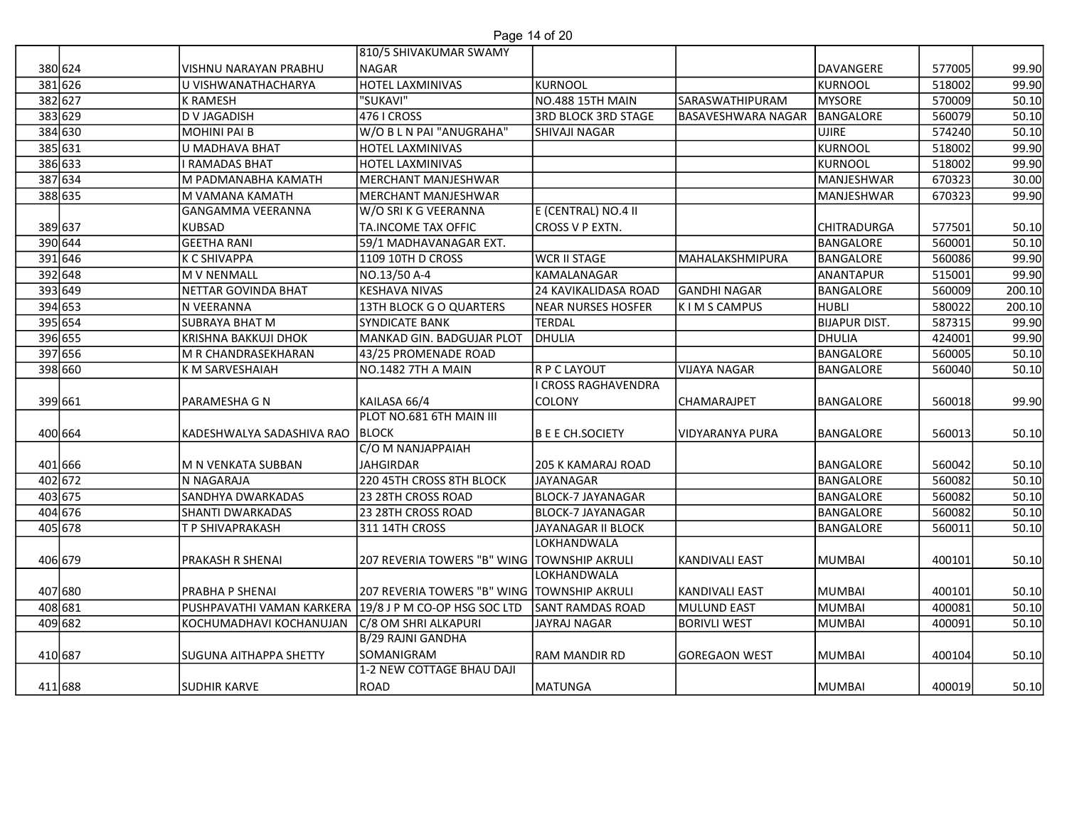| Page 14 of 20 |  |  |
|---------------|--|--|
|               |  |  |

|         |                                                                                                                                                                                                                                     |                                                                                                                                                                                                                                                                                                                                                                                                                                                      | Page 14 of 20                                                                                                                                                                                                                                                                                                                                                                                                                                                                                                                                                                                                                                       |                                                                                                                                                                                                                                                                                                                                                                                                                                                                                                                      |                                                                                                        |                                                                                                                                                                                                                                                                                    |                                                                                                                                                                                                                          |
|---------|-------------------------------------------------------------------------------------------------------------------------------------------------------------------------------------------------------------------------------------|------------------------------------------------------------------------------------------------------------------------------------------------------------------------------------------------------------------------------------------------------------------------------------------------------------------------------------------------------------------------------------------------------------------------------------------------------|-----------------------------------------------------------------------------------------------------------------------------------------------------------------------------------------------------------------------------------------------------------------------------------------------------------------------------------------------------------------------------------------------------------------------------------------------------------------------------------------------------------------------------------------------------------------------------------------------------------------------------------------------------|----------------------------------------------------------------------------------------------------------------------------------------------------------------------------------------------------------------------------------------------------------------------------------------------------------------------------------------------------------------------------------------------------------------------------------------------------------------------------------------------------------------------|--------------------------------------------------------------------------------------------------------|------------------------------------------------------------------------------------------------------------------------------------------------------------------------------------------------------------------------------------------------------------------------------------|--------------------------------------------------------------------------------------------------------------------------------------------------------------------------------------------------------------------------|
|         |                                                                                                                                                                                                                                     | 810/5 SHIVAKUMAR SWAMY                                                                                                                                                                                                                                                                                                                                                                                                                               |                                                                                                                                                                                                                                                                                                                                                                                                                                                                                                                                                                                                                                                     |                                                                                                                                                                                                                                                                                                                                                                                                                                                                                                                      |                                                                                                        |                                                                                                                                                                                                                                                                                    |                                                                                                                                                                                                                          |
| 380 624 | VISHNU NARAYAN PRABHU                                                                                                                                                                                                               | NAGAR                                                                                                                                                                                                                                                                                                                                                                                                                                                |                                                                                                                                                                                                                                                                                                                                                                                                                                                                                                                                                                                                                                                     |                                                                                                                                                                                                                                                                                                                                                                                                                                                                                                                      | DAVANGERE                                                                                              | 577005                                                                                                                                                                                                                                                                             | 99.90                                                                                                                                                                                                                    |
|         |                                                                                                                                                                                                                                     |                                                                                                                                                                                                                                                                                                                                                                                                                                                      |                                                                                                                                                                                                                                                                                                                                                                                                                                                                                                                                                                                                                                                     |                                                                                                                                                                                                                                                                                                                                                                                                                                                                                                                      |                                                                                                        |                                                                                                                                                                                                                                                                                    | 99.90                                                                                                                                                                                                                    |
|         |                                                                                                                                                                                                                                     |                                                                                                                                                                                                                                                                                                                                                                                                                                                      |                                                                                                                                                                                                                                                                                                                                                                                                                                                                                                                                                                                                                                                     |                                                                                                                                                                                                                                                                                                                                                                                                                                                                                                                      |                                                                                                        |                                                                                                                                                                                                                                                                                    | 50.10                                                                                                                                                                                                                    |
|         |                                                                                                                                                                                                                                     |                                                                                                                                                                                                                                                                                                                                                                                                                                                      |                                                                                                                                                                                                                                                                                                                                                                                                                                                                                                                                                                                                                                                     |                                                                                                                                                                                                                                                                                                                                                                                                                                                                                                                      |                                                                                                        |                                                                                                                                                                                                                                                                                    | 50.10                                                                                                                                                                                                                    |
|         |                                                                                                                                                                                                                                     |                                                                                                                                                                                                                                                                                                                                                                                                                                                      |                                                                                                                                                                                                                                                                                                                                                                                                                                                                                                                                                                                                                                                     |                                                                                                                                                                                                                                                                                                                                                                                                                                                                                                                      |                                                                                                        |                                                                                                                                                                                                                                                                                    | 50.10                                                                                                                                                                                                                    |
|         |                                                                                                                                                                                                                                     |                                                                                                                                                                                                                                                                                                                                                                                                                                                      |                                                                                                                                                                                                                                                                                                                                                                                                                                                                                                                                                                                                                                                     |                                                                                                                                                                                                                                                                                                                                                                                                                                                                                                                      |                                                                                                        |                                                                                                                                                                                                                                                                                    | 99.90                                                                                                                                                                                                                    |
|         |                                                                                                                                                                                                                                     |                                                                                                                                                                                                                                                                                                                                                                                                                                                      |                                                                                                                                                                                                                                                                                                                                                                                                                                                                                                                                                                                                                                                     |                                                                                                                                                                                                                                                                                                                                                                                                                                                                                                                      |                                                                                                        |                                                                                                                                                                                                                                                                                    | 99.90<br>30.00                                                                                                                                                                                                           |
|         |                                                                                                                                                                                                                                     |                                                                                                                                                                                                                                                                                                                                                                                                                                                      |                                                                                                                                                                                                                                                                                                                                                                                                                                                                                                                                                                                                                                                     |                                                                                                                                                                                                                                                                                                                                                                                                                                                                                                                      |                                                                                                        |                                                                                                                                                                                                                                                                                    | 99.90                                                                                                                                                                                                                    |
|         |                                                                                                                                                                                                                                     |                                                                                                                                                                                                                                                                                                                                                                                                                                                      |                                                                                                                                                                                                                                                                                                                                                                                                                                                                                                                                                                                                                                                     |                                                                                                                                                                                                                                                                                                                                                                                                                                                                                                                      |                                                                                                        |                                                                                                                                                                                                                                                                                    |                                                                                                                                                                                                                          |
|         |                                                                                                                                                                                                                                     |                                                                                                                                                                                                                                                                                                                                                                                                                                                      |                                                                                                                                                                                                                                                                                                                                                                                                                                                                                                                                                                                                                                                     |                                                                                                                                                                                                                                                                                                                                                                                                                                                                                                                      |                                                                                                        |                                                                                                                                                                                                                                                                                    | 50.10                                                                                                                                                                                                                    |
|         |                                                                                                                                                                                                                                     |                                                                                                                                                                                                                                                                                                                                                                                                                                                      |                                                                                                                                                                                                                                                                                                                                                                                                                                                                                                                                                                                                                                                     |                                                                                                                                                                                                                                                                                                                                                                                                                                                                                                                      |                                                                                                        |                                                                                                                                                                                                                                                                                    | 50.10                                                                                                                                                                                                                    |
|         |                                                                                                                                                                                                                                     |                                                                                                                                                                                                                                                                                                                                                                                                                                                      |                                                                                                                                                                                                                                                                                                                                                                                                                                                                                                                                                                                                                                                     | <b>MAHALAKSHMIPURA</b>                                                                                                                                                                                                                                                                                                                                                                                                                                                                                               |                                                                                                        |                                                                                                                                                                                                                                                                                    | 99.90                                                                                                                                                                                                                    |
|         |                                                                                                                                                                                                                                     |                                                                                                                                                                                                                                                                                                                                                                                                                                                      |                                                                                                                                                                                                                                                                                                                                                                                                                                                                                                                                                                                                                                                     |                                                                                                                                                                                                                                                                                                                                                                                                                                                                                                                      |                                                                                                        |                                                                                                                                                                                                                                                                                    | 99.90                                                                                                                                                                                                                    |
| 393 649 | NETTAR GOVINDA BHAT                                                                                                                                                                                                                 | KESHAVA NIVAS                                                                                                                                                                                                                                                                                                                                                                                                                                        | 24 KAVIKALIDASA ROAD                                                                                                                                                                                                                                                                                                                                                                                                                                                                                                                                                                                                                                | <b>GANDHI NAGAR</b>                                                                                                                                                                                                                                                                                                                                                                                                                                                                                                  | BANGALORE                                                                                              | 560009                                                                                                                                                                                                                                                                             | 200.10                                                                                                                                                                                                                   |
| 394 653 | N VEERANNA                                                                                                                                                                                                                          | 13TH BLOCK GO QUARTERS                                                                                                                                                                                                                                                                                                                                                                                                                               | <b>NEAR NURSES HOSFER</b>                                                                                                                                                                                                                                                                                                                                                                                                                                                                                                                                                                                                                           | K I M S CAMPUS                                                                                                                                                                                                                                                                                                                                                                                                                                                                                                       | <b>HUBLI</b>                                                                                           | 580022                                                                                                                                                                                                                                                                             | 200.10                                                                                                                                                                                                                   |
| 395 654 | SUBRAYA BHAT M                                                                                                                                                                                                                      | <b>SYNDICATE BANK</b>                                                                                                                                                                                                                                                                                                                                                                                                                                | <b>TERDAL</b>                                                                                                                                                                                                                                                                                                                                                                                                                                                                                                                                                                                                                                       |                                                                                                                                                                                                                                                                                                                                                                                                                                                                                                                      | <b>BIJAPUR DIST.</b>                                                                                   | 587315                                                                                                                                                                                                                                                                             | 99.90                                                                                                                                                                                                                    |
| 396 655 |                                                                                                                                                                                                                                     |                                                                                                                                                                                                                                                                                                                                                                                                                                                      |                                                                                                                                                                                                                                                                                                                                                                                                                                                                                                                                                                                                                                                     |                                                                                                                                                                                                                                                                                                                                                                                                                                                                                                                      | DHULIA                                                                                                 | 424001                                                                                                                                                                                                                                                                             | 99.90                                                                                                                                                                                                                    |
| 397 656 | M R CHANDRASEKHARAN                                                                                                                                                                                                                 | 43/25 PROMENADE ROAD                                                                                                                                                                                                                                                                                                                                                                                                                                 |                                                                                                                                                                                                                                                                                                                                                                                                                                                                                                                                                                                                                                                     |                                                                                                                                                                                                                                                                                                                                                                                                                                                                                                                      | BANGALORE                                                                                              |                                                                                                                                                                                                                                                                                    | 50.10                                                                                                                                                                                                                    |
|         |                                                                                                                                                                                                                                     |                                                                                                                                                                                                                                                                                                                                                                                                                                                      |                                                                                                                                                                                                                                                                                                                                                                                                                                                                                                                                                                                                                                                     | <b>VIJAYA NAGAR</b>                                                                                                                                                                                                                                                                                                                                                                                                                                                                                                  |                                                                                                        |                                                                                                                                                                                                                                                                                    | 50.10                                                                                                                                                                                                                    |
|         |                                                                                                                                                                                                                                     |                                                                                                                                                                                                                                                                                                                                                                                                                                                      |                                                                                                                                                                                                                                                                                                                                                                                                                                                                                                                                                                                                                                                     |                                                                                                                                                                                                                                                                                                                                                                                                                                                                                                                      |                                                                                                        |                                                                                                                                                                                                                                                                                    |                                                                                                                                                                                                                          |
|         |                                                                                                                                                                                                                                     |                                                                                                                                                                                                                                                                                                                                                                                                                                                      |                                                                                                                                                                                                                                                                                                                                                                                                                                                                                                                                                                                                                                                     |                                                                                                                                                                                                                                                                                                                                                                                                                                                                                                                      |                                                                                                        |                                                                                                                                                                                                                                                                                    | 99.90                                                                                                                                                                                                                    |
|         |                                                                                                                                                                                                                                     |                                                                                                                                                                                                                                                                                                                                                                                                                                                      |                                                                                                                                                                                                                                                                                                                                                                                                                                                                                                                                                                                                                                                     |                                                                                                                                                                                                                                                                                                                                                                                                                                                                                                                      |                                                                                                        |                                                                                                                                                                                                                                                                                    |                                                                                                                                                                                                                          |
|         |                                                                                                                                                                                                                                     |                                                                                                                                                                                                                                                                                                                                                                                                                                                      |                                                                                                                                                                                                                                                                                                                                                                                                                                                                                                                                                                                                                                                     |                                                                                                                                                                                                                                                                                                                                                                                                                                                                                                                      |                                                                                                        |                                                                                                                                                                                                                                                                                    | 50.10                                                                                                                                                                                                                    |
|         |                                                                                                                                                                                                                                     |                                                                                                                                                                                                                                                                                                                                                                                                                                                      |                                                                                                                                                                                                                                                                                                                                                                                                                                                                                                                                                                                                                                                     |                                                                                                                                                                                                                                                                                                                                                                                                                                                                                                                      |                                                                                                        |                                                                                                                                                                                                                                                                                    |                                                                                                                                                                                                                          |
|         |                                                                                                                                                                                                                                     |                                                                                                                                                                                                                                                                                                                                                                                                                                                      |                                                                                                                                                                                                                                                                                                                                                                                                                                                                                                                                                                                                                                                     |                                                                                                                                                                                                                                                                                                                                                                                                                                                                                                                      |                                                                                                        |                                                                                                                                                                                                                                                                                    | 50.10<br>50.10                                                                                                                                                                                                           |
|         |                                                                                                                                                                                                                                     |                                                                                                                                                                                                                                                                                                                                                                                                                                                      |                                                                                                                                                                                                                                                                                                                                                                                                                                                                                                                                                                                                                                                     |                                                                                                                                                                                                                                                                                                                                                                                                                                                                                                                      |                                                                                                        |                                                                                                                                                                                                                                                                                    | 50.10                                                                                                                                                                                                                    |
|         |                                                                                                                                                                                                                                     |                                                                                                                                                                                                                                                                                                                                                                                                                                                      |                                                                                                                                                                                                                                                                                                                                                                                                                                                                                                                                                                                                                                                     |                                                                                                                                                                                                                                                                                                                                                                                                                                                                                                                      |                                                                                                        |                                                                                                                                                                                                                                                                                    | 50.10                                                                                                                                                                                                                    |
|         |                                                                                                                                                                                                                                     |                                                                                                                                                                                                                                                                                                                                                                                                                                                      |                                                                                                                                                                                                                                                                                                                                                                                                                                                                                                                                                                                                                                                     |                                                                                                                                                                                                                                                                                                                                                                                                                                                                                                                      |                                                                                                        |                                                                                                                                                                                                                                                                                    | 50.10                                                                                                                                                                                                                    |
|         |                                                                                                                                                                                                                                     |                                                                                                                                                                                                                                                                                                                                                                                                                                                      | LOKHANDWALA                                                                                                                                                                                                                                                                                                                                                                                                                                                                                                                                                                                                                                         |                                                                                                                                                                                                                                                                                                                                                                                                                                                                                                                      |                                                                                                        |                                                                                                                                                                                                                                                                                    |                                                                                                                                                                                                                          |
| 406 679 | <b>PRAKASH R SHENAI</b>                                                                                                                                                                                                             |                                                                                                                                                                                                                                                                                                                                                                                                                                                      |                                                                                                                                                                                                                                                                                                                                                                                                                                                                                                                                                                                                                                                     | KANDIVALI EAST                                                                                                                                                                                                                                                                                                                                                                                                                                                                                                       | MUMBAI                                                                                                 | 400101                                                                                                                                                                                                                                                                             | 50.10                                                                                                                                                                                                                    |
|         |                                                                                                                                                                                                                                     |                                                                                                                                                                                                                                                                                                                                                                                                                                                      | LOKHANDWALA                                                                                                                                                                                                                                                                                                                                                                                                                                                                                                                                                                                                                                         |                                                                                                                                                                                                                                                                                                                                                                                                                                                                                                                      |                                                                                                        |                                                                                                                                                                                                                                                                                    |                                                                                                                                                                                                                          |
| 407 680 | PRABHA P SHENAI                                                                                                                                                                                                                     |                                                                                                                                                                                                                                                                                                                                                                                                                                                      |                                                                                                                                                                                                                                                                                                                                                                                                                                                                                                                                                                                                                                                     | KANDIVALI EAST                                                                                                                                                                                                                                                                                                                                                                                                                                                                                                       | MUMBAI                                                                                                 | 400101                                                                                                                                                                                                                                                                             | 50.10                                                                                                                                                                                                                    |
| 408 681 | PUSHPAVATHI VAMAN KARKERA                                                                                                                                                                                                           |                                                                                                                                                                                                                                                                                                                                                                                                                                                      |                                                                                                                                                                                                                                                                                                                                                                                                                                                                                                                                                                                                                                                     | MULUND EAST                                                                                                                                                                                                                                                                                                                                                                                                                                                                                                          |                                                                                                        | 400081                                                                                                                                                                                                                                                                             | 50.10                                                                                                                                                                                                                    |
| 409 682 | KOCHUMADHAVI KOCHANUJAN                                                                                                                                                                                                             |                                                                                                                                                                                                                                                                                                                                                                                                                                                      | JAYRAJ NAGAR                                                                                                                                                                                                                                                                                                                                                                                                                                                                                                                                                                                                                                        | <b>BORIVLI WEST</b>                                                                                                                                                                                                                                                                                                                                                                                                                                                                                                  | MUMBAI                                                                                                 | 400091                                                                                                                                                                                                                                                                             | 50.10                                                                                                                                                                                                                    |
|         |                                                                                                                                                                                                                                     |                                                                                                                                                                                                                                                                                                                                                                                                                                                      |                                                                                                                                                                                                                                                                                                                                                                                                                                                                                                                                                                                                                                                     |                                                                                                                                                                                                                                                                                                                                                                                                                                                                                                                      |                                                                                                        |                                                                                                                                                                                                                                                                                    |                                                                                                                                                                                                                          |
|         |                                                                                                                                                                                                                                     |                                                                                                                                                                                                                                                                                                                                                                                                                                                      |                                                                                                                                                                                                                                                                                                                                                                                                                                                                                                                                                                                                                                                     |                                                                                                                                                                                                                                                                                                                                                                                                                                                                                                                      |                                                                                                        |                                                                                                                                                                                                                                                                                    | 50.10                                                                                                                                                                                                                    |
| 411 688 |                                                                                                                                                                                                                                     | 1-2 NEW COTTAGE BHAU DAJI                                                                                                                                                                                                                                                                                                                                                                                                                            |                                                                                                                                                                                                                                                                                                                                                                                                                                                                                                                                                                                                                                                     |                                                                                                                                                                                                                                                                                                                                                                                                                                                                                                                      |                                                                                                        | 400019                                                                                                                                                                                                                                                                             |                                                                                                                                                                                                                          |
|         | <b>SUDHIR KARVE</b>                                                                                                                                                                                                                 | ROAD                                                                                                                                                                                                                                                                                                                                                                                                                                                 | MATUNGA                                                                                                                                                                                                                                                                                                                                                                                                                                                                                                                                                                                                                                             |                                                                                                                                                                                                                                                                                                                                                                                                                                                                                                                      | MUMBAI                                                                                                 |                                                                                                                                                                                                                                                                                    | 50.10                                                                                                                                                                                                                    |
|         | 381 626<br>382 627<br>383 629<br>384 630<br>385 631<br>386 633<br>387 634<br>388 635<br>389 637<br>390 644<br>391 646<br>392 648<br>398 660<br>399 661<br>400 664<br>401 666<br>402 672<br>403 675<br>404 676<br>405 678<br>410 687 | U VISHWANATHACHARYA<br><b>K RAMESH</b><br>D V JAGADISH<br>MOHINI PAI B<br>U MADHAVA BHAT<br>I RAMADAS BHAT<br>M PADMANABHA KAMATH<br>M VAMANA KAMATH<br><b>GANGAMMA VEERANNA</b><br><b>KUBSAD</b><br><b>GEETHA RANI</b><br>K C SHIVAPPA<br>M V NENMALL<br>KRISHNA BAKKUJI DHOK<br>K M SARVESHAIAH<br>PARAMESHA G N<br>M N VENKATA SUBBAN<br>N NAGARAJA<br><b>SANDHYA DWARKADAS</b><br>SHANTI DWARKADAS<br>T P SHIVAPRAKASH<br>SUGUNA AITHAPPA SHETTY | <b>HOTEL LAXMINIVAS</b><br>"SUKAVI"<br>476 I CROSS<br>W/O B L N PAI "ANUGRAHA"<br>HOTEL LAXMINIVAS<br>HOTEL LAXMINIVAS<br>MERCHANT MANJESHWAR<br>MERCHANT MANJESHWAR<br>W/O SRI K G VEERANNA<br>TA.INCOME TAX OFFIC<br>59/1 MADHAVANAGAR EXT.<br>1109 10TH D CROSS<br>NO.13/50 A-4<br>MANKAD GIN. BADGUJAR PLOT<br>NO.1482 7TH A MAIN<br>lKAILASA 66/4<br>PLOT NO.681 6TH MAIN III<br>KADESHWALYA SADASHIVA RAO BLOCK<br>C/O M NANJAPPAIAH<br><b>JAHGIRDAR</b><br>220 45TH CROSS 8TH BLOCK<br>23 28TH CROSS ROAD<br>23 28TH CROSS ROAD<br>311 14TH CROSS<br>19/8 J P M CO-OP HSG SOC LTD<br>C/8 OM SHRI ALKAPURI<br>B/29 RAJNI GANDHA<br>SOMANIGRAM | KURNOOL<br><b>NO.488 15TH MAIN</b><br>3RD BLOCK 3RD STAGE<br>SHIVAJI NAGAR<br>E (CENTRAL) NO.4 II<br>CROSS V P EXTN.<br><b>WCR II STAGE</b><br>KAMALANAGAR<br><b>DHULIA</b><br>R P C LAYOUT<br><b>I CROSS RAGHAVENDRA</b><br><b>COLONY</b><br>B E E CH.SOCIETY<br>205 K KAMARAJ ROAD<br>JAYANAGAR<br><b>BLOCK-7 JAYANAGAR</b><br><b>BLOCK-7 JAYANAGAR</b><br>JAYANAGAR II BLOCK<br>207 REVERIA TOWERS "B" WING   TOWNSHIP AKRULI<br>207 REVERIA TOWERS "B" WING TOWNSHIP AKRULI<br>SANT RAMDAS ROAD<br>RAM MANDIR RD | SARASWATHIPURAM<br><b>BASAVESHWARA NAGAR</b><br><b>CHAMARAJPET</b><br>VIDYARANYA PURA<br>GOREGAON WEST | KURNOOL<br>MYSORE<br>BANGALORE<br>UJIRE<br>KURNOOL<br>KURNOOL<br>MANJESHWAR<br>MANJESHWAR<br><b>CHITRADURGA</b><br>BANGALORE<br>BANGALORE<br>ANANTAPUR<br>BANGALORE<br>BANGALORE<br>BANGALORE<br>BANGALORE<br>BANGALORE<br>BANGALORE<br>BANGALORE<br>BANGALORE<br>MUMBAI<br>MUMBAI | 518002<br>570009<br>560079<br>574240<br>518002<br>518002<br>670323<br>670323<br>577501<br>560001<br>560086<br>515001<br>560005<br>560040<br>560018<br>560013<br>560042<br>560082<br>560082<br>560082<br>560011<br>400104 |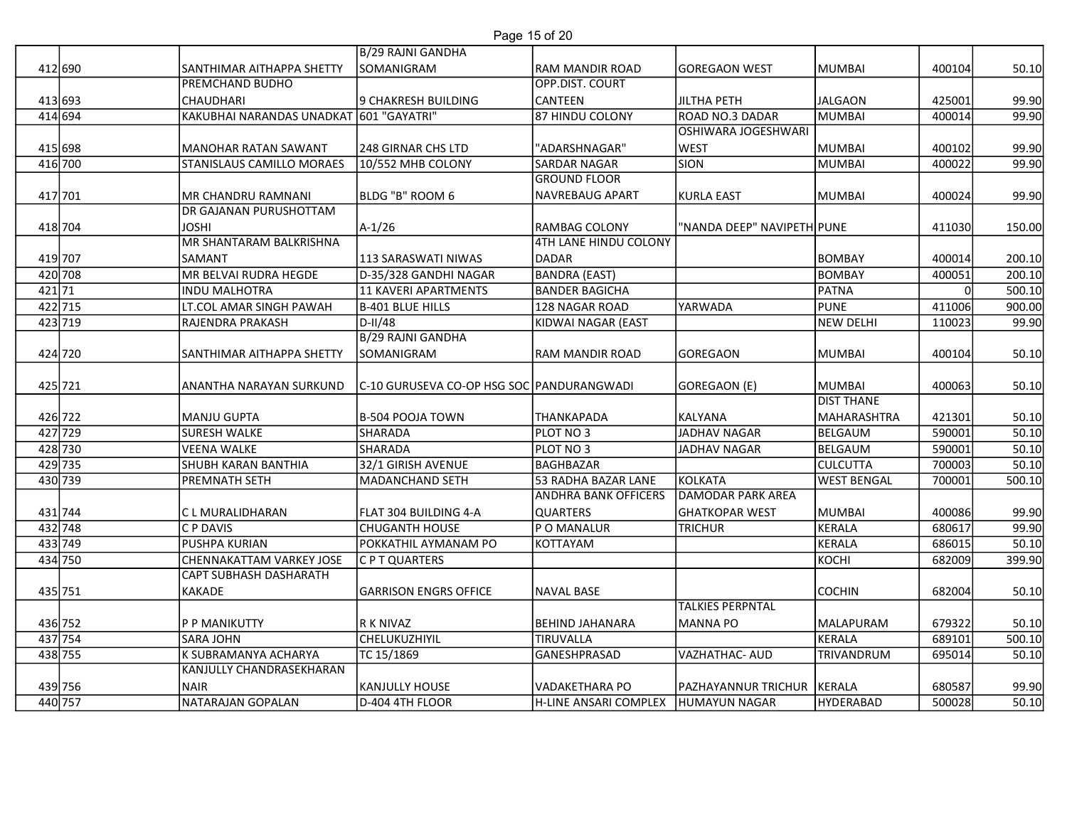# Page 15 of 20

|                    |                                                           |                                           | Page 15 of 20                           |                              |                      |                    |                  |
|--------------------|-----------------------------------------------------------|-------------------------------------------|-----------------------------------------|------------------------------|----------------------|--------------------|------------------|
|                    |                                                           | B/29 RAJNI GANDHA                         |                                         |                              |                      |                    |                  |
| 412 690            | <b>SANTHIMAR AITHAPPA SHETTY</b>                          | SOMANIGRAM                                | <b>RAM MANDIR ROAD</b>                  | GOREGAON WEST                | MUMBAI               | 400104             | 50.10            |
|                    | <b>PREMCHAND BUDHO</b>                                    |                                           | <b>OPP.DIST. COURT</b>                  |                              |                      |                    |                  |
| 413 693            | <b>CHAUDHARI</b>                                          | 9 CHAKRESH BUILDING                       | CANTEEN                                 | JILTHA PETH                  | JALGAON              | 425001             | 99.90            |
| 414 694            | KAKUBHAI NARANDAS UNADKAT 601 "GAYATRI"                   |                                           | 87 HINDU COLONY                         | ROAD NO.3 DADAR              | MUMBAI               | 400014             | 99.90            |
| 415 698            | MANOHAR RATAN SAWANT                                      |                                           | "ADARSHNAGAR"                           | <b>OSHIWARA JOGESHWARI</b>   | MUMBAI               | 400102             |                  |
| 416 700            | STANISLAUS CAMILLO MORAES                                 | 248 GIRNAR CHS LTD<br>10/552 MHB COLONY   | SARDAR NAGAR                            | <b>WEST</b><br>SION          | MUMBAI               | 400022             | 99.90<br>99.90   |
|                    |                                                           |                                           | <b>GROUND FLOOR</b>                     |                              |                      |                    |                  |
| 417 701            | MR CHANDRU RAMNANI                                        | BLDG "B" ROOM 6                           | NAVREBAUG APART                         | KURLA EAST                   | MUMBAI               | 400024             | 99.90            |
|                    | <b>DR GAJANAN PURUSHOTTAM</b>                             |                                           |                                         |                              |                      |                    |                  |
| 418 704            | <b>JOSHI</b>                                              | $A-1/26$                                  | RAMBAG COLONY                           | "NANDA DEEP" NAVIPETH PUNE   |                      | 411030             | 150.00           |
|                    | MR SHANTARAM BALKRISHNA                                   |                                           | 4TH LANE HINDU COLONY                   |                              |                      |                    |                  |
| 419 707            | <b>SAMANT</b>                                             | 113 SARASWATI NIWAS                       | <b>IDADAR</b>                           |                              | BOMBAY               | 400014             | 200.10           |
| 420 708<br>421 71  | MR BELVAI RUDRA HEGDE<br>INDU MALHOTRA                    | D-35/328 GANDHI NAGAR                     | <b>BANDRA (EAST)</b>                    |                              | BOMBAY               | 400051<br>$\Omega$ | 200.10<br>500.10 |
| 422 715            | LT.COL AMAR SINGH PAWAH                                   | 11 KAVERI APARTMENTS<br>B-401 BLUE HILLS  | <b>BANDER BAGICHA</b><br>128 NAGAR ROAD | YARWADA                      | PATNA<br><b>PUNE</b> | 411006             | 900.00           |
| 423 719            | RAJENDRA PRAKASH                                          | $ D-I /48$                                | KIDWAI NAGAR (EAST                      |                              | NEW DELHI            | 110023             | 99.90            |
|                    |                                                           | B/29 RAJNI GANDHA                         |                                         |                              |                      |                    |                  |
| 424 720            | SANTHIMAR AITHAPPA SHETTY                                 | <b>SOMANIGRAM</b>                         | RAM MANDIR ROAD                         | GOREGAON                     | MUMBAI               | 400104             | 50.10            |
|                    |                                                           |                                           |                                         |                              |                      |                    |                  |
| 425 721            | ANANTHA NARAYAN SURKUND                                   | C-10 GURUSEVA CO-OP HSG SOC PANDURANGWADI |                                         | GOREGAON (E)                 | MUMBAI               | 400063             | 50.10            |
|                    |                                                           |                                           |                                         |                              | <b>DIST THANE</b>    |                    |                  |
| 426 722<br>427 729 | MANJU GUPTA                                               | B-504 POOJA TOWN<br>SHARADA               | THANKAPADA                              | KALYANA<br>JADHAV NAGAR      | MAHARASHTRA          | 421301<br>590001   | 50.10<br>50.10   |
| 428 730            | <b>SURESH WALKE</b><br><b>VEENA WALKE</b>                 | SHARADA                                   | PLOT NO 3<br>PLOT NO 3                  | JADHAV NAGAR                 | BELGAUM<br>BELGAUM   | 590001             | 50.10            |
| 429 735            | SHUBH KARAN BANTHIA                                       | 32/1 GIRISH AVENUE                        | <b>BAGHBAZAR</b>                        |                              | <b>CULCUTTA</b>      | 700003             | 50.10            |
| 430 739            | <b>PREMNATH SETH</b>                                      | MADANCHAND SETH                           | 53 RADHA BAZAR LANE                     | KOLKATA                      | <b>WEST BENGAL</b>   | 700001             | 500.10           |
|                    |                                                           |                                           | ANDHRA BANK OFFICERS                    | <b>DAMODAR PARK AREA</b>     |                      |                    |                  |
| 431 744            | C L MURALIDHARAN                                          | FLAT 304 BUILDING 4-A                     | <b>QUARTERS</b>                         | <b>GHATKOPAR WEST</b>        | <b>MUMBAI</b>        | 400086             | 99.90            |
| 432 748            | C P DAVIS                                                 | <b>CHUGANTH HOUSE</b>                     | P O MANALUR                             | <b>TRICHUR</b>               | KERALA               | 680617             | 99.90            |
| 433 749            | PUSHPA KURIAN                                             | POKKATHIL AYMANAM PO                      | KOTTAYAM                                |                              | KERALA               | 686015             | 50.10            |
| 434 750            | CHENNAKATTAM VARKEY JOSE<br><b>CAPT SUBHASH DASHARATH</b> | C P T QUARTERS                            |                                         |                              | косні                | 682009             | 399.90           |
| 435 751            | KAKADE                                                    | <b>GARRISON ENGRS OFFICE</b>              | <b>NAVAL BASE</b>                       |                              | COCHIN               | 682004             | 50.10            |
|                    |                                                           |                                           |                                         | <b>TALKIES PERPNTAL</b>      |                      |                    |                  |
| 436 752            | P P MANIKUTTY                                             | R K NIVAZ                                 | <b>BEHIND JAHANARA</b>                  | MANNA PO                     | MALAPURAM            | 679322             | 50.10            |
| 437 754            | <b>SARA JOHN</b>                                          | <b>CHELUKUZHIYIL</b>                      | TIRUVALLA                               |                              | KERALA               | 689101             | 500.10           |
| 438 755            | K SUBRAMANYA ACHARYA                                      | TC 15/1869                                | GANESHPRASAD                            | VAZHATHAC- AUD               | TRIVANDRUM           | 695014             | 50.10            |
|                    | KANJULLY CHANDRASEKHARAN                                  |                                           |                                         |                              |                      |                    |                  |
| 439 756            | <b>NAIR</b>                                               | KANJULLY HOUSE<br>D-404 4TH FLOOR         | VADAKETHARA PO                          | PAZHAYANNUR TRICHUR   KERALA |                      | 680587             | 99.90            |
| 440 757            | NATARAJAN GOPALAN                                         |                                           | H-LINE ANSARI COMPLEX                   | HUMAYUN NAGAR                | HYDERABAD            | 500028             | 50.10            |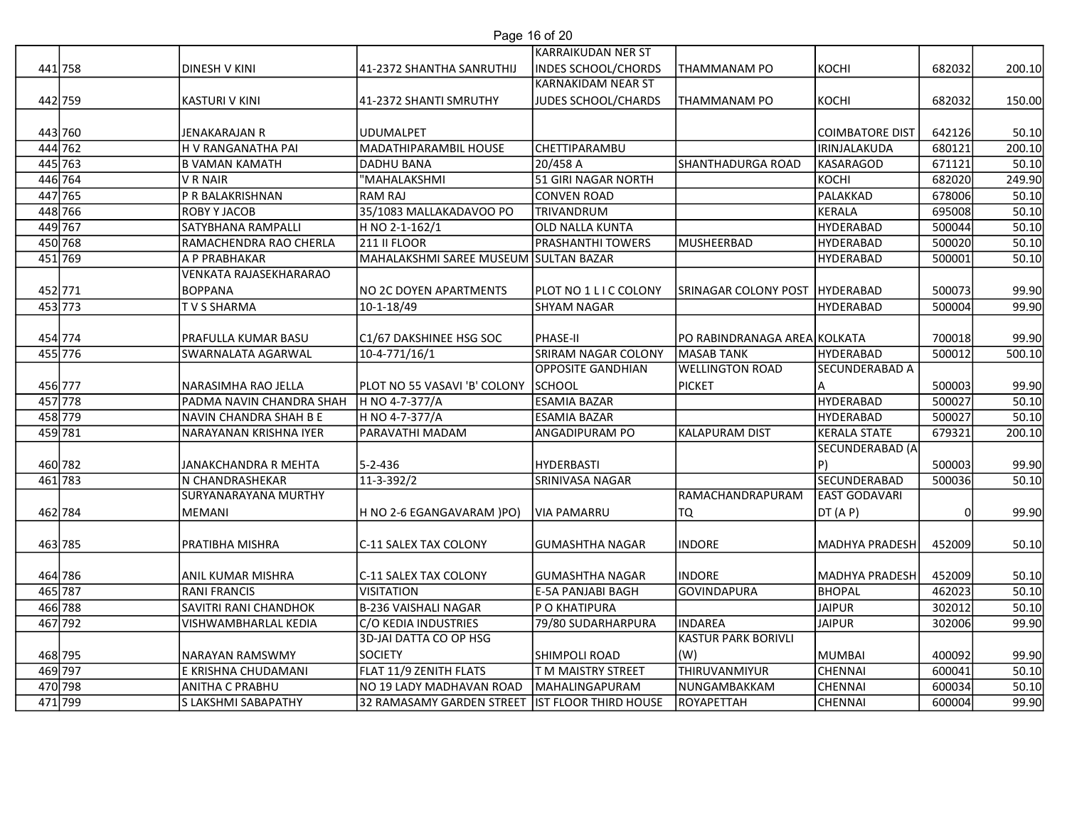| Page 16 of 20 |  |  |
|---------------|--|--|
|               |  |  |

|                    |                                                    |                                                  | Page 16 of 20                   |                                              |                        |                  |                 |
|--------------------|----------------------------------------------------|--------------------------------------------------|---------------------------------|----------------------------------------------|------------------------|------------------|-----------------|
|                    |                                                    |                                                  | <b>KARRAIKUDAN NER ST</b>       |                                              |                        |                  |                 |
| 441 758            | <b>DINESH V KINI</b>                               | 41-2372 SHANTHA SANRUTHIJ                        | <b>INDES SCHOOL/CHORDS</b>      | <b>THAMMANAM PO</b>                          | KOCHI                  | 682032           | 200.10          |
|                    |                                                    |                                                  | <b>KARNAKIDAM NEAR ST</b>       |                                              |                        |                  |                 |
| 442 759            | KASTURI V KINI                                     | 41-2372 SHANTI SMRUTHY                           | JUDES SCHOOL/CHARDS             | <b>THAMMANAM PO</b>                          | KOCHI                  | 682032           | 150.00          |
|                    |                                                    |                                                  |                                 |                                              |                        |                  |                 |
| 443 760            | JENAKARAJAN R                                      | <b>JUDUMALPET</b>                                |                                 |                                              | COIMBATORE DIST        | 642126           | 50.10           |
| 444 762            | H V RANGANATHA PAI                                 | MADATHIPARAMBIL HOUSE                            | <b>CHETTIPARAMBU</b>            | SHANTHADURGA ROAD                            | IRINJALAKUDA           | 680121           | 200.10          |
| 445 763<br>446 764 | <b>B VAMAN KAMATH</b><br>V R NAIR                  | DADHU BANA<br>"MAHALAKSHMI                       | 20/458 A<br>51 GIRI NAGAR NORTH |                                              | KASARAGOD<br>KOCHI     | 671121<br>682020 | 50.10<br>249.90 |
| 447 765            | P R BALAKRISHNAN                                   | RAM RAJ                                          | <b>CONVEN ROAD</b>              |                                              | PALAKKAD               | 678006           | 50.10           |
| 448 766            | <b>ROBY Y JACOB</b>                                | 35/1083 MALLAKADAVOO PO                          | TRIVANDRUM                      |                                              | KERALA                 | 695008           | 50.10           |
| 449 767            | SATYBHANA RAMPALLI                                 | H NO 2-1-162/1                                   | OLD NALLA KUNTA                 |                                              | HYDERABAD              | 500044           | 50.10           |
| 450 768            | RAMACHENDRA RAO CHERLA                             | <b>211 II FLOOR</b>                              | PRASHANTHI TOWERS               | MUSHEERBAD                                   | HYDERABAD              | 500020           | 50.10           |
| 451 769            | <b>A P PRABHAKAR</b>                               | MAHALAKSHMI SAREE MUSEUM SULTAN BAZAR            |                                 |                                              | HYDERABAD              | 500001           | 50.10           |
|                    | <b>VENKATA RAJASEKHARARAO</b>                      |                                                  |                                 |                                              |                        |                  |                 |
| 452 771            | <b>BOPPANA</b>                                     | <b>NO 2C DOYEN APARTMENTS</b>                    | PLOT NO 1 L I C COLONY          | SRINAGAR COLONY POST   HYDERABAD             |                        | 500073           | 99.90           |
| 453 773            | <b>TVS SHARMA</b>                                  | 10-1-18/49                                       | <b>SHYAM NAGAR</b>              |                                              | HYDERABAD              | 500004           | 99.90           |
|                    |                                                    |                                                  |                                 |                                              |                        |                  |                 |
| 454 774            | <b>PRAFULLA KUMAR BASU</b>                         | C1/67 DAKSHINEE HSG SOC                          | PHASE-II                        | PO RABINDRANAGA AREA KOLKATA                 |                        | 700018           | 99.90           |
| 455 776            | <b>SWARNALATA AGARWAL</b>                          | 10-4-771/16/1                                    | SRIRAM NAGAR COLONY             | MASAB TANK                                   | HYDERABAD              | 500012           | 500.10          |
|                    |                                                    |                                                  | <b>OPPOSITE GANDHIAN</b>        | <b>WELLINGTON ROAD</b>                       | SECUNDERABAD A         |                  |                 |
| 456 777            | NARASIMHA RAO JELLA                                | PLOT NO 55 VASAVI 'B' COLONY SCHOOL              |                                 | <b>PICKET</b>                                |                        | 500003           | 99.90           |
| 457 778<br>458 779 | PADMA NAVIN CHANDRA SHAH<br>NAVIN CHANDRA SHAH B E | H NO 4-7-377/A<br>H NO 4-7-377/A                 | ESAMIA BAZAR<br>ESAMIA BAZAR    |                                              | HYDERABAD<br>HYDERABAD | 500027<br>500027 | 50.10<br>50.10  |
| 459 781            | NARAYANAN KRISHNA IYER                             | PARAVATHI MADAM                                  | ANGADIPURAM PO                  | KALAPURAM DIST                               | KERALA STATE           | 679321           | 200.10          |
|                    |                                                    |                                                  |                                 |                                              | SECUNDERABAD (A        |                  |                 |
| 460 782            | JANAKCHANDRA R MEHTA                               | 5-2-436                                          | <b>HYDERBASTI</b>               |                                              |                        | 500003           | 99.90           |
| 461 783            | N CHANDRASHEKAR                                    | 11-3-392/2                                       | SRINIVASA NAGAR                 |                                              | SECUNDERABAD           | 500036           | 50.10           |
|                    | SURYANARAYANA MURTHY                               |                                                  |                                 | RAMACHANDRAPURAM                             | <b>EAST GODAVARI</b>   |                  |                 |
| 462 784            | MEMANI                                             | H NO 2-6 EGANGAVARAM )PO)                        | <b>VIA PAMARRU</b>              | TQ                                           | DT (A P)               |                  | 99.90           |
|                    |                                                    |                                                  |                                 |                                              |                        |                  |                 |
| 463 785            | PRATIBHA MISHRA                                    | C-11 SALEX TAX COLONY                            | GUMASHTHA NAGAR                 | <b>INDORE</b>                                | MADHYA PRADESH         | 452009           | 50.10           |
|                    |                                                    |                                                  |                                 |                                              |                        |                  |                 |
| 464 786            | <b>ANIL KUMAR MISHRA</b>                           | C-11 SALEX TAX COLONY                            | <b>GUMASHTHA NAGAR</b>          | <b>INDORE</b>                                | MADHYA PRADESH         | 452009           | 50.10           |
| 465 787            | <b>RANI FRANCIS</b>                                | <b>VISITATION</b>                                | E-5A PANJABI BAGH               | <b>GOVINDAPURA</b>                           | BHOPAL                 | 462023           | 50.10           |
| 466 788            | <b>SAVITRI RANI CHANDHOK</b>                       | B-236 VAISHALI NAGAR                             | P O KHATIPURA                   |                                              | JAIPUR                 | 302012           | 50.10           |
| 467 792            | <b>VISHWAMBHARLAL KEDIA</b>                        | C/O KEDIA INDUSTRIES<br>3D-JAI DATTA CO OP HSG   | 79/80 SUDARHARPURA              | <b>INDAREA</b><br><b>KASTUR PARK BORIVLI</b> | <b>JAIPUR</b>          | 302006           | 99.90           |
|                    | <b>NARAYAN RAMSWMY</b>                             | SOCIETY                                          | <b>SHIMPOLI ROAD</b>            |                                              | <b>MUMBAI</b>          | 400092           |                 |
| 468 795<br>469 797 | E KRISHNA CHUDAMANI                                | FLAT 11/9 ZENITH FLATS                           | T M MAISTRY STREET              | (W)<br>THIRUVANMIYUR                         | <b>CHENNAI</b>         | 600041           | 99.90<br>50.10  |
| 470 798            | <b>ANITHA C PRABHU</b>                             | NO 19 LADY MADHAVAN ROAD                         | MAHALINGAPURAM                  | NUNGAMBAKKAM                                 | <b>CHENNAI</b>         | 600034           | 50.10           |
| 471 799            | S LAKSHMI SABAPATHY                                |                                                  |                                 |                                              |                        |                  |                 |
|                    |                                                    | 32 RAMASAMY GARDEN STREET  IST FLOOR THIRD HOUSE |                                 | ROYAPETTAH                                   | <b>CHENNAI</b>         | 600004           | 99.90           |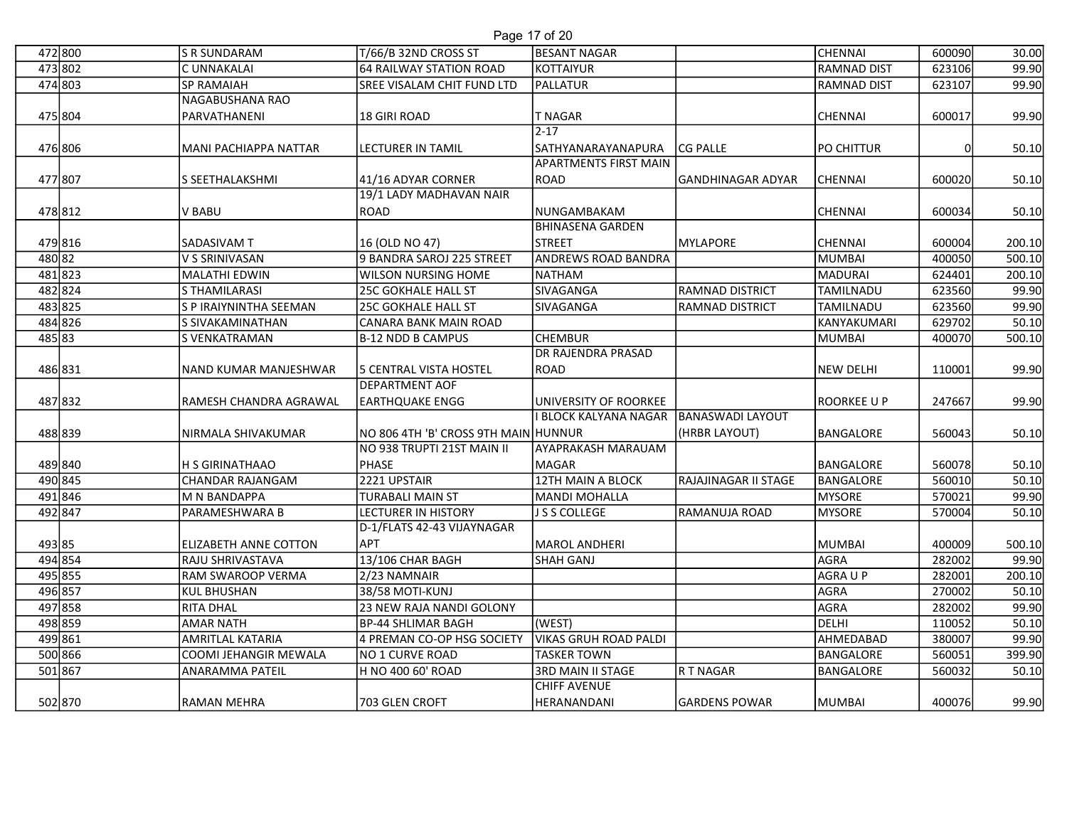## Page 17 of 20

|                    |                                        |                                                       | Page 17 of 20                                   |                         |                    |                  |                |
|--------------------|----------------------------------------|-------------------------------------------------------|-------------------------------------------------|-------------------------|--------------------|------------------|----------------|
| 472 800            | <b>S R SUNDARAM</b>                    | T/66/B 32ND CROSS ST                                  | <b>BESANT NAGAR</b>                             |                         | CHENNAI            | 600090           | 30.00          |
| 473 802            | C UNNAKALAI                            | 64 RAILWAY STATION ROAD                               | KOTTAIYUR                                       |                         | <b>RAMNAD DIST</b> | 623106           | 99.90          |
| 474 803            | SP RAMAIAH                             | SREE VISALAM CHIT FUND LTD                            | PALLATUR                                        |                         | <b>RAMNAD DIST</b> | 623107           | 99.90          |
|                    | NAGABUSHANA RAO                        |                                                       |                                                 |                         |                    |                  |                |
| 475 804            | PARVATHANENI                           | 18 GIRI ROAD                                          | T NAGAR                                         |                         | <b>CHENNAI</b>     | 600017           | 99.90          |
|                    |                                        |                                                       | $2 - 17$                                        |                         |                    |                  |                |
| 476 806            | <b>MANI PACHIAPPA NATTAR</b>           | <b>LECTURER IN TAMIL</b>                              | <b>SATHYANARAYANAPURA</b>                       | <b>CG PALLE</b>         | PO CHITTUR         |                  | 50.10          |
|                    |                                        |                                                       | <b>APARTMENTS FIRST MAIN</b>                    |                         |                    |                  |                |
| 477 807            | S SEETHALAKSHMI                        | 41/16 ADYAR CORNER<br>19/1 LADY MADHAVAN NAIR         | ROAD                                            | GANDHINAGAR ADYAR       | CHENNAI            | 600020           | 50.10          |
| 478 812            | V BABU                                 | ROAD                                                  | NUNGAMBAKAM                                     |                         | CHENNAI            | 600034           | 50.10          |
|                    |                                        |                                                       | <b>BHINASENA GARDEN</b>                         |                         |                    |                  |                |
| 479 816            | SADASIVAM T                            | 16 (OLD NO 47)                                        | STREET                                          | <b>MYLAPORE</b>         | <b>CHENNAI</b>     | 600004           | 200.10         |
| 480 82             | V S SRINIVASAN                         | 9 BANDRA SAROJ 225 STREET                             | <b>ANDREWS ROAD BANDRA</b>                      |                         | MUMBAI             | 400050           | 500.10         |
| 481823             | <b>MALATHI EDWIN</b>                   | WILSON NURSING HOME                                   | NATHAM                                          |                         | MADURAI            | 624401           | 200.10         |
| 482 824            | S THAMILARASI                          | 25C GOKHALE HALL ST                                   | SIVAGANGA                                       | <b>RAMNAD DISTRICT</b>  | TAMILNADU          | 623560           | 99.90          |
| 483 825            | S P IRAIYNINTHA SEEMAN                 | 25C GOKHALE HALL ST                                   | SIVAGANGA                                       | <b>RAMNAD DISTRICT</b>  | TAMILNADU          | 623560           | 99.90          |
| 484 826            | S SIVAKAMINATHAN                       | CANARA BANK MAIN ROAD                                 |                                                 |                         | KANYAKUMARI        | 629702           | 50.10          |
| 485 83             | S VENKATRAMAN                          | <b>B-12 NDD B CAMPUS</b>                              | <b>CHEMBUR</b>                                  |                         | MUMBAI             | 400070           | 500.10         |
|                    |                                        |                                                       | <b>DR RAJENDRA PRASAD</b>                       |                         |                    |                  |                |
| 486 831            | NAND KUMAR MANJESHWAR                  | <b>5 CENTRAL VISTA HOSTEL</b>                         | ROAD                                            |                         | NEW DELHI          | 110001           | 99.90          |
|                    |                                        | JDEPARTMENT AOF                                       |                                                 |                         |                    |                  |                |
| 487 832            | RAMESH CHANDRA AGRAWAL                 | EARTHQUAKE ENGG                                       | UNIVERSITY OF ROORKEE<br>li BLOCK KALYANA NAGAR | <b>BANASWADI LAYOUT</b> | ROORKEE U P        | 247667           | 99.90          |
| 488 839            | NIRMALA SHIVAKUMAR                     | NO 806 4TH 'B' CROSS 9TH MAIN HUNNUR                  |                                                 | (HRBR LAYOUT)           | BANGALORE          | 560043           | 50.10          |
|                    |                                        | NO 938 TRUPTI 21ST MAIN II                            | <b>AYAPRAKASH MARAUAM</b>                       |                         |                    |                  |                |
| 489840             | H S GIRINATHAAO                        | PHASE                                                 | MAGAR                                           |                         | BANGALORE          | 560078           | 50.10          |
| 490 845            | CHANDAR RAJANGAM                       | 2221 UPSTAIR                                          | 12TH MAIN A BLOCK                               | RAJAJINAGAR II STAGE    | BANGALORE          | 560010           | 50.10          |
| 491846             | M N BANDAPPA                           | <b>TURABALI MAIN ST</b>                               | MANDI MOHALLA                                   |                         | MYSORE             | 570021           | 99.90          |
| 492 847            | PARAMESHWARA B                         | <b>LECTURER IN HISTORY</b>                            | J S S COLLEGE                                   | RAMANUJA ROAD           | <b>MYSORE</b>      | 570004           | 50.10          |
|                    |                                        | D-1/FLATS 42-43 VIJAYNAGAR                            |                                                 |                         |                    |                  |                |
| 493 85             | ELIZABETH ANNE COTTON                  | <b>APT</b>                                            | MAROL ANDHERI                                   |                         | <b>MUMBAI</b>      | 400009           | 500.10         |
| 494 854            | RAJU SHRIVASTAVA                       | 13/106 CHAR BAGH                                      | <b>SHAH GANJ</b>                                |                         | AGRA               | 282002           | 99.90          |
| 495 855            | RAM SWAROOP VERMA                      | 2/23 NAMNAIR                                          |                                                 |                         | AGRA U P           | 282001           | 200.10         |
| 496 857            | <b>KUL BHUSHAN</b><br><b>RITA DHAL</b> | 38/58 MOTI-KUNJ                                       |                                                 |                         | AGRA               | 270002<br>282002 | 50.10          |
| 497 858<br>498 859 | <b>AMAR NATH</b>                       | 23 NEW RAJA NANDI GOLONY<br><b>BP-44 SHLIMAR BAGH</b> | (WEST)                                          |                         | AGRA<br>DELHI      | 110052           | 99.90<br>50.10 |
| 499 861            | AMRITLAL KATARIA                       | 4 PREMAN CO-OP HSG SOCIETY                            | <b>VIKAS GRUH ROAD PALDI</b>                    |                         | AHMEDABAD          | 380007           | 99.90          |
| 500 866            | COOMI JEHANGIR MEWALA                  | NO 1 CURVE ROAD                                       | <b>TASKER TOWN</b>                              |                         | BANGALORE          | 560051           | 399.90         |
| 501867             | <b>ANARAMMA PATEIL</b>                 | H NO 400 60' ROAD                                     | 3RD MAIN II STAGE                               | R T NAGAR               | BANGALORE          | 560032           | 50.10          |
|                    |                                        |                                                       | <b>CHIFF AVENUE</b>                             |                         |                    |                  |                |
| 502 870            | <b>RAMAN MEHRA</b>                     | 703 GLEN CROFT                                        | HERANANDANI                                     | <b>GARDENS POWAR</b>    | MUMBAI             | 400076           | 99.90          |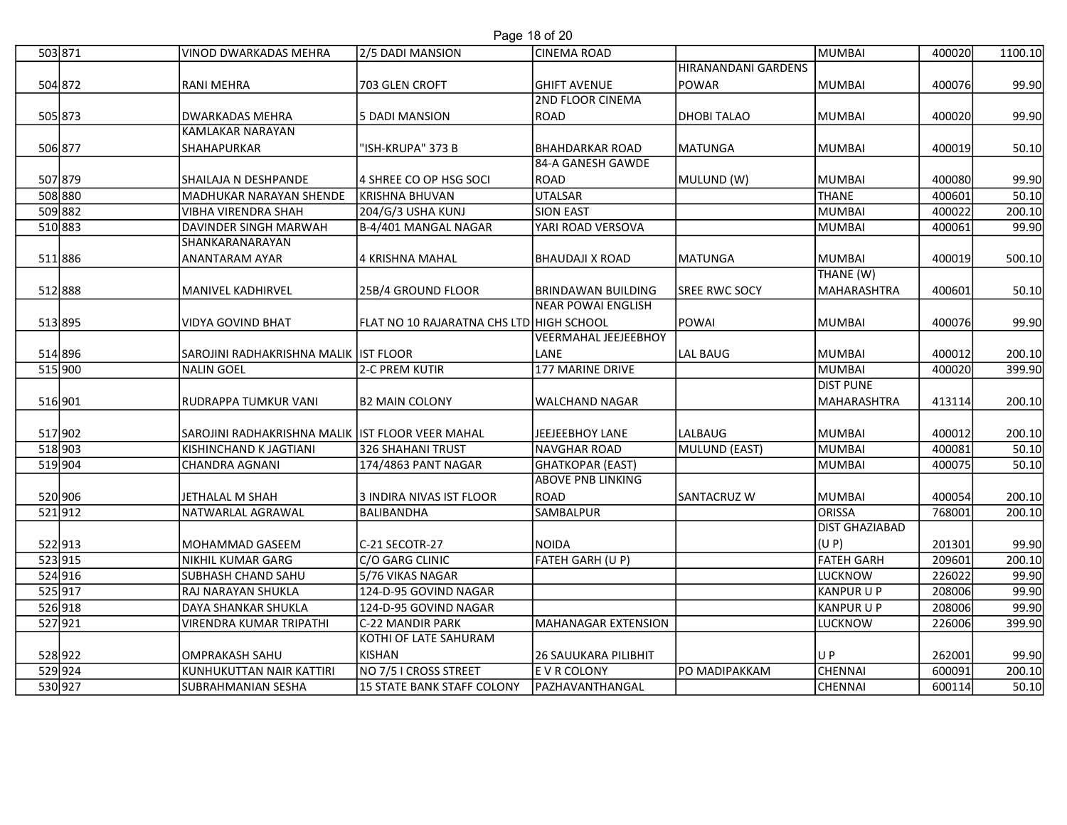## Page 18 of 20

| 503 871           | <b>VINOD DWARKADAS MEHRA</b>                       | 2/5 DADI MANSION                         | Page 18 of 20<br><b>CINEMA ROAD</b> |                            | MUMBAI                                 | 400020           | 1100.10         |
|-------------------|----------------------------------------------------|------------------------------------------|-------------------------------------|----------------------------|----------------------------------------|------------------|-----------------|
|                   |                                                    |                                          |                                     | <b>HIRANANDANI GARDENS</b> |                                        |                  |                 |
| 504 872           | <b>RANI MEHRA</b>                                  | 703 GLEN CROFT                           | <b>GHIFT AVENUE</b>                 | <b>POWAR</b>               | MUMBAI                                 | 400076           | 99.90           |
| 505 873           | <b>DWARKADAS MEHRA</b>                             | 5 DADI MANSION                           | <b>2ND FLOOR CINEMA</b><br>ROAD     | <b>DHOBI TALAO</b>         | MUMBAI                                 | 400020           | 99.90           |
| 506 877           | <b>KAMLAKAR NARAYAN</b><br><b>SHAHAPURKAR</b>      | "ISH-KRUPA" 373 B                        | <b>BHAHDARKAR ROAD</b>              | <b>MATUNGA</b>             | <b>MUMBAI</b>                          | 400019           | 50.10           |
|                   |                                                    |                                          | 84-A GANESH GAWDE                   |                            |                                        |                  |                 |
| 507 879           | SHAILAJA N DESHPANDE                               | 4 SHREE CO OP HSG SOCI                   | ROAD                                | MULUND (W)                 | MUMBAI                                 | 400080           | 99.90           |
| 508 880           | MADHUKAR NARAYAN SHENDE                            | KRISHNA BHUVAN                           | UTALSAR                             |                            | THANE                                  | 400601           | 50.10           |
| 509 882           | <b>VIBHA VIRENDRA SHAH</b>                         | 204/G/3 USHA KUNJ                        | <b>SION EAST</b>                    |                            | MUMBAI                                 | 400022           | 200.10          |
| 510 883           | <b>DAVINDER SINGH MARWAH</b>                       | B-4/401 MANGAL NAGAR                     | YARI ROAD VERSOVA                   |                            | MUMBAI                                 | 400061           | 99.90           |
|                   | SHANKARANARAYAN                                    |                                          |                                     |                            |                                        |                  |                 |
| 511886            | ANANTARAM AYAR                                     | 4 KRISHNA MAHAL                          | BHAUDAJI X ROAD                     | MATUNGA                    | MUMBAI                                 | 400019           | 500.10          |
|                   |                                                    |                                          |                                     |                            | THANE (W)                              |                  |                 |
| 512888            | <b>MANIVEL KADHIRVEL</b>                           | 25B/4 GROUND FLOOR                       | <b>BRINDAWAN BUILDING</b>           | <b>SREE RWC SOCY</b>       | MAHARASHTRA                            | 400601           | 50.10           |
|                   |                                                    |                                          | <b>NEAR POWAI ENGLISH</b>           |                            |                                        |                  |                 |
| 513 895           | <b>VIDYA GOVIND BHAT</b>                           | FLAT NO 10 RAJARATNA CHS LTD HIGH SCHOOL | <b>VEERMAHAL JEEJEEBHOY</b>         | POWAI                      | <b>MUMBAI</b>                          | 400076           | 99.90           |
| 514 896           | SAROJINI RADHAKRISHNA MALIK IST FLOOR              |                                          | <b>LANE</b>                         | LAL BAUG                   | MUMBAI                                 | 400012           | 200.10          |
| 515 900           | <b>NALIN GOEL</b>                                  | 2-C PREM KUTIR                           | 177 MARINE DRIVE                    |                            | MUMBAI                                 | 400020           | 399.90          |
|                   |                                                    |                                          |                                     |                            | <b>DIST PUNE</b>                       |                  |                 |
| 516 901           | RUDRAPPA TUMKUR VANI                               | <b>B2 MAIN COLONY</b>                    | <b>WALCHAND NAGAR</b>               |                            | MAHARASHTRA                            | 413114           | 200.10          |
|                   |                                                    |                                          |                                     |                            |                                        |                  |                 |
| 517 902           | SAROJINI RADHAKRISHNA MALIK   IST FLOOR VEER MAHAL |                                          | JEEJEEBHOY LANE                     | LALBAUG                    | MUMBAI                                 | 400012           | 200.10          |
| 518 903           | KISHINCHAND K JAGTIANI                             | 326 SHAHANI TRUST                        | NAVGHAR ROAD                        | MULUND (EAST)              | MUMBAI                                 | 400081           | 50.10           |
| 519 904           | CHANDRA AGNANI                                     | 174/4863 PANT NAGAR                      | GHATKOPAR (EAST)                    |                            | MUMBAI                                 | 400075           | 50.10           |
|                   |                                                    |                                          | <b>ABOVE PNB LINKING</b>            |                            |                                        |                  |                 |
| 520 906           | JETHALAL M SHAH                                    | 3 INDIRA NIVAS IST FLOOR                 | ROAD                                | SANTACRUZ W                | MUMBAI                                 | 400054           | 200.10          |
| 521912            | NATWARLAL AGRAWAL                                  | BALIBANDHA                               | <b>SAMBALPUR</b>                    |                            | <b>ORISSA</b><br><b>DIST GHAZIABAD</b> | 768001           | 200.10          |
|                   |                                                    |                                          |                                     |                            |                                        |                  |                 |
| 522913<br>523 915 | MOHAMMAD GASEEM<br>NIKHIL KUMAR GARG               | C-21 SECOTR-27<br>C/O GARG CLINIC        | NOIDA<br><b>FATEH GARH (U P)</b>    |                            | (U P)<br><b>FATEH GARH</b>             | 201301<br>209601 | 99.90<br>200.10 |
| 524 916           | SUBHASH CHAND SAHU                                 | 5/76 VIKAS NAGAR                         |                                     |                            | LUCKNOW                                | 226022           | 99.90           |
| 525 917           | RAJ NARAYAN SHUKLA                                 | 124-D-95 GOVIND NAGAR                    |                                     |                            | KANPUR U P                             | 208006           | 99.90           |
| 526 918           | DAYA SHANKAR SHUKLA                                | 124-D-95 GOVIND NAGAR                    |                                     |                            | KANPUR U P                             | 208006           | 99.90           |
| 527 921           | VIRENDRA KUMAR TRIPATHI                            | C-22 MANDIR PARK                         | MAHANAGAR EXTENSION                 |                            | LUCKNOW                                | 226006           | 399.90          |
|                   |                                                    | KOTHI OF LATE SAHURAM                    |                                     |                            |                                        |                  |                 |
| 528 922           | <b>OMPRAKASH SAHU</b>                              | <b>KISHAN</b>                            | <b>26 SAUUKARA PILIBHIT</b>         |                            | UP                                     | 262001           | 99.90           |
| 529 924           | KUNHUKUTTAN NAIR KATTIRI                           | NO 7/5 I CROSS STREET                    | E V R COLONY                        | PO MADIPAKKAM              | <b>CHENNAI</b>                         | 600091           | 200.10          |
| 530 927           | <b>SUBRAHMANIAN SESHA</b>                          | 15 STATE BANK STAFF COLONY               | PAZHAVANTHANGAL                     |                            | CHENNAI                                | 600114           | 50.10           |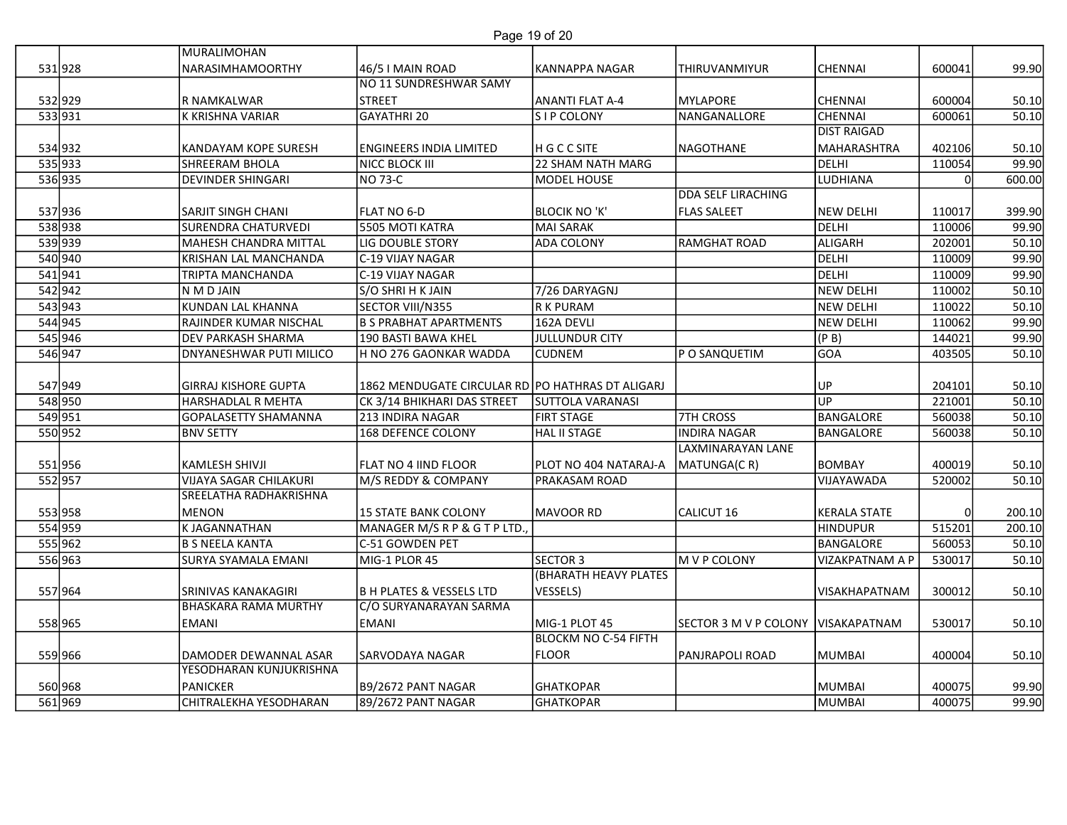|                    |                                            |                                                  | Page 19 of 20                    |                                          |                    |        |                 |
|--------------------|--------------------------------------------|--------------------------------------------------|----------------------------------|------------------------------------------|--------------------|--------|-----------------|
|                    | MURALIMOHAN                                |                                                  |                                  |                                          |                    |        |                 |
| 531928             | <b>NARASIMHAMOORTHY</b>                    | 46/5 I MAIN ROAD                                 | KANNAPPA NAGAR                   | <b>THIRUVANMIYUR</b>                     | <b>CHENNAI</b>     | 600041 | 99.90           |
|                    |                                            | NO 11 SUNDRESHWAR SAMY                           |                                  |                                          |                    |        |                 |
| 532 929            | R NAMKALWAR                                | <b>STREET</b>                                    | <b>ANANTI FLAT A-4</b>           | MYLAPORE                                 | <b>CHENNAI</b>     | 600004 | 50.10           |
| 533931             | K KRISHNA VARIAR                           | GAYATHRI 20                                      | S I P COLONY                     | NANGANALLORE                             | <b>CHENNAI</b>     | 600061 | 50.10           |
|                    |                                            |                                                  |                                  |                                          | <b>DIST RAIGAD</b> |        |                 |
| 534 932            | <b>KANDAYAM KOPE SURESH</b>                | <b>ENGINEERS INDIA LIMITED</b>                   | H G C C SITE                     | NAGOTHANE                                | MAHARASHTRA        | 402106 | 50.10           |
| 535 933<br>536 935 | SHREERAM BHOLA<br><b>DEVINDER SHINGARI</b> | NICC BLOCK III<br>NO 73-C                        | 22 SHAM NATH MARG<br>MODEL HOUSE |                                          | DELHI<br>LUDHIANA  | 110054 | 99.90<br>600.00 |
|                    |                                            |                                                  |                                  | DDA SELF LIRACHING                       |                    |        |                 |
| 537 936            | <b>SARJIT SINGH CHANI</b>                  | FLAT NO 6-D                                      | <b>BLOCIK NO 'K'</b>             | <b>FLAS SALEET</b>                       | NEW DELHI          | 110017 | 399.90          |
| 538 938            | <b>SURENDRA CHATURVEDI</b>                 | 5505 MOTI KATRA                                  | MAI SARAK                        |                                          | DELHI              | 110006 | 99.90           |
| 539 939            | MAHESH CHANDRA MITTAL                      | LIG DOUBLE STORY                                 | <b>ADA COLONY</b>                | RAMGHAT ROAD                             | ALIGARH            | 202001 | 50.10           |
| 540 940            | KRISHAN LAL MANCHANDA                      | C-19 VIJAY NAGAR                                 |                                  |                                          | DELHI              | 110009 | 99.90           |
| 541941             | <b>TRIPTA MANCHANDA</b>                    | C-19 VIJAY NAGAR                                 |                                  |                                          | DELHI              | 110009 | 99.90           |
| 542 942            | N M D JAIN                                 | S/O SHRI H K JAIN                                | 7/26 DARYAGNJ                    |                                          | NEW DELHI          | 110002 | 50.10           |
| 543 943            | KUNDAN LAL KHANNA                          | SECTOR VIII/N355                                 | R K PURAM                        |                                          | NEW DELHI          | 110022 | 50.10           |
| 544 945            | RAJINDER KUMAR NISCHAL                     | <b>B S PRABHAT APARTMENTS</b>                    | 162A DEVLI                       |                                          | <b>NEW DELHI</b>   | 110062 | 99.90           |
| 545 946            | <b>DEV PARKASH SHARMA</b>                  | 190 BASTI BAWA KHEL                              | <b>JULLUNDUR CITY</b>            |                                          | (P B)              | 144021 | 99.90           |
| 546 947            | <b>DNYANESHWAR PUTI MILICO</b>             | H NO 276 GAONKAR WADDA                           | <b>CUDNEM</b>                    | P O SANQUETIM                            | GOA                | 403505 | 50.10           |
|                    |                                            |                                                  |                                  |                                          |                    |        |                 |
| 547 949            | <b>GIRRAJ KISHORE GUPTA</b>                | 1862 MENDUGATE CIRCULAR RD PO HATHRAS DT ALIGARJ |                                  |                                          | UP                 | 204101 | 50.10           |
| 548 950            | <b>HARSHADLAL R MEHTA</b>                  | CK 3/14 BHIKHARI DAS STREET                      | <b>SUTTOLA VARANASI</b>          |                                          | UP                 | 221001 | 50.10           |
| 549 951            | <b>GOPALASETTY SHAMANNA</b>                | 213 INDIRA NAGAR                                 | <b>FIRT STAGE</b>                | 7TH CROSS                                | BANGALORE          | 560038 | 50.10           |
| 550 952            | <b>BNV SETTY</b>                           | 168 DEFENCE COLONY                               | HAL II STAGE                     | <b>INDIRA NAGAR</b><br>LAXMINARAYAN LANE | BANGALORE          | 560038 | 50.10           |
| 551956             | <b>KAMLESH SHIVJI</b>                      | <b>FLAT NO 4 IIND FLOOR</b>                      | PLOT NO 404 NATARAJ-A            | MATUNGA(CR)                              | BOMBAY             | 400019 | 50.10           |
| 552957             | <b>VIJAYA SAGAR CHILAKURI</b>              | M/S REDDY & COMPANY                              | PRAKASAM ROAD                    |                                          | VIJAYAWADA         | 520002 | 50.10           |
|                    | SREELATHA RADHAKRISHNA                     |                                                  |                                  |                                          |                    |        |                 |
| 553 958            | <b>MENON</b>                               | 15 STATE BANK COLONY                             | MAVOOR RD                        | CALICUT 16                               | KERALA STATE       |        | 200.10          |
| 554 959            | K JAGANNATHAN                              | MANAGER M/S R P & G T P LTD.,                    |                                  |                                          | HINDUPUR           | 515201 | 200.10          |
| 555 962            | <b>B S NEELA KANTA</b>                     | C-51 GOWDEN PET                                  |                                  |                                          | BANGALORE          | 560053 | 50.10           |
| 556 963            | SURYA SYAMALA EMANI                        | MIG-1 PLOR 45                                    | SECTOR 3                         | M V P COLONY                             | VIZAKPATNAM A P    | 530017 | 50.10           |
|                    |                                            |                                                  | (BHARATH HEAVY PLATES            |                                          |                    |        |                 |
| 557 964            | <b>SRINIVAS KANAKAGIRI</b>                 | B H PLATES & VESSELS LTD                         | <b>VESSELS)</b>                  |                                          | VISAKHAPATNAM      | 300012 | 50.10           |
|                    | <b>BHASKARA RAMA MURTHY</b>                | C/O SURYANARAYAN SARMA                           |                                  |                                          |                    |        |                 |
| 558 965            | <b>EMANI</b>                               | <b>EMANI</b>                                     | MIG-1 PLOT 45                    | SECTOR 3 M V P COLONY VISAKAPATNAM       |                    | 530017 | 50.10           |
|                    |                                            |                                                  | <b>BLOCKM NO C-54 FIFTH</b>      |                                          |                    |        |                 |
| 559 966            | DAMODER DEWANNAL ASAR                      | <b>SARVODAYA NAGAR</b>                           | FLOOR                            | <b>PANJRAPOLI ROAD</b>                   | MUMBAI             | 400004 | 50.10           |
|                    | YESODHARAN KUNJUKRISHNA                    |                                                  |                                  |                                          |                    |        |                 |
| 560 968<br>561969  | PANICKER<br>CHITRALEKHA YESODHARAN         | B9/2672 PANT NAGAR<br>89/2672 PANT NAGAR         | <b>GHATKOPAR</b>                 |                                          | MUMBAI             | 400075 | 99.90           |
|                    |                                            |                                                  | <b>GHATKOPAR</b>                 |                                          | MUMBAI             | 400075 | 99.90           |